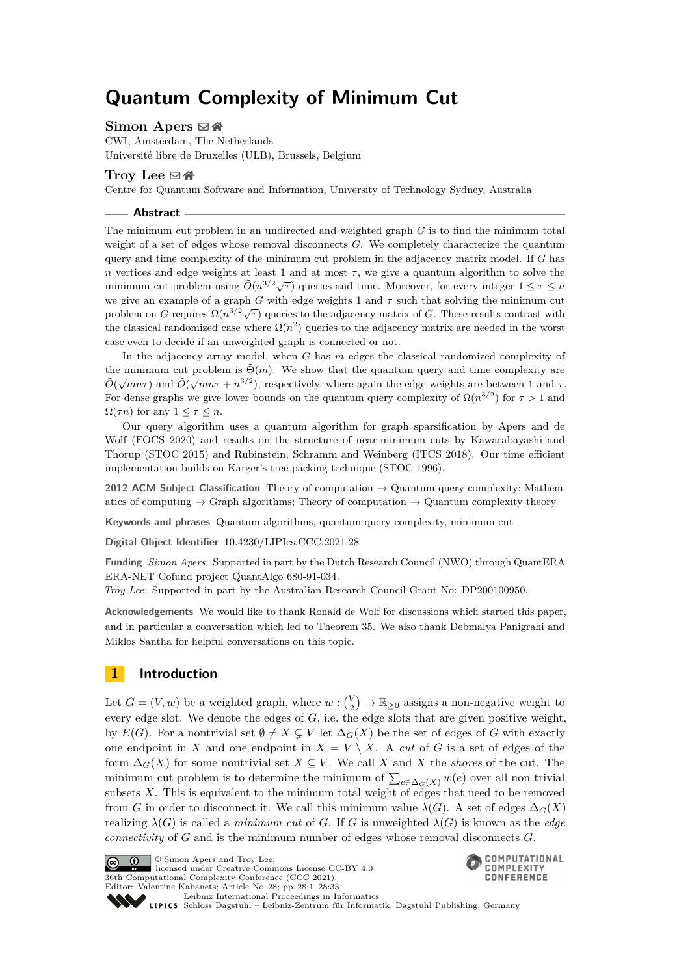# **Quantum Complexity of Minimum Cut**

## **Simon Apers** ⊠ ↑

CWI, Amsterdam, The Netherlands Université libre de Bruxelles (ULB), Brussels, Belgium

## **Troy Lee** [#](mailto:troyjlee@gmail.com) [Ñ](https://troylee.org)

Centre for Quantum Software and Information, University of Technology Sydney, Australia

**Abstract**

The minimum cut problem in an undirected and weighted graph *G* is to find the minimum total weight of a set of edges whose removal disconnects *G*. We completely characterize the quantum query and time complexity of the minimum cut problem in the adjacency matrix model. If *G* has *n* vertices and edge weights at least 1 and at most  $\tau$ , we give a quantum algorithm to solve the minimum cut problem using  $\tilde{O}(n^{3/2}\sqrt{\tau})$  queries and time. Moreover, for every integer  $1 \leq \tau \leq n$ we give an example of a graph *G* with edge weights 1 and  $\tau$  such that solving the minimum cut problem on *G* requires  $\Omega(n^{3/2}\sqrt{\tau})$  queries to the adjacency matrix of *G*. These results contrast with the classical randomized case where  $\Omega(n^2)$  queries to the adjacency matrix are needed in the worst case even to decide if an unweighted graph is connected or not.

In the adjacency array model, when *G* has *m* edges the classical randomized complexity of the minimum cut problem is  $\tilde{\Theta}(m)$ . We show that the quantum query and time complexity are  $\tilde{O}(\sqrt{mn\tau})$  and  $\tilde{O}(\sqrt{mn\tau} + n^{3/2})$ , respectively, where again the edge weights are between 1 and *τ*. For dense graphs we give lower bounds on the quantum query complexity of  $\Omega(n^{3/2})$  for  $\tau > 1$  and  $\Omega(\tau n)$  for any  $1 \leq \tau \leq n$ .

Our query algorithm uses a quantum algorithm for graph sparsification by Apers and de Wolf (FOCS 2020) and results on the structure of near-minimum cuts by Kawarabayashi and Thorup (STOC 2015) and Rubinstein, Schramm and Weinberg (ITCS 2018). Our time efficient implementation builds on Karger's tree packing technique (STOC 1996).

**2012 ACM Subject Classification** Theory of computation → Quantum query complexity; Mathematics of computing  $\rightarrow$  Graph algorithms; Theory of computation  $\rightarrow$  Quantum complexity theory

**Keywords and phrases** Quantum algorithms, quantum query complexity, minimum cut

**Digital Object Identifier** [10.4230/LIPIcs.CCC.2021.28](https://doi.org/10.4230/LIPIcs.CCC.2021.28)

**Funding** *Simon Apers*: Supported in part by the Dutch Research Council (NWO) through QuantERA ERA-NET Cofund project QuantAlgo 680-91-034.

*Troy Lee*: Supported in part by the Australian Research Council Grant No: DP200100950.

**Acknowledgements** We would like to thank Ronald de Wolf for discussions which started this paper, and in particular a conversation which led to Theorem [35.](#page-23-0) We also thank Debmalya Panigrahi and Miklos Santha for helpful conversations on this topic.

## **1 Introduction**

Let  $G = (V, w)$  be a weighted graph, where  $w : {V \choose 2} \to \mathbb{R}_{\geq 0}$  assigns a non-negative weight to every edge slot. We denote the edges of *G*, i.e. the edge slots that are given positive weight, by  $E(G)$ . For a nontrivial set  $\emptyset \neq X \subsetneq V$  let  $\Delta_G(X)$  be the set of edges of *G* with exactly one endpoint in X and one endpoint in  $\overline{X} = V \setminus X$ . A *cut* of G is a set of edges of the form  $\Delta_G(X)$  for some nontrivial set  $X \subseteq V$ . We call X and  $\overline{X}$  the *shores* of the cut. The minimum cut problem is to determine the minimum of  $\sum_{e \in \Delta_G(X)} w(e)$  over all non trivial subsets *X*. This is equivalent to the minimum total weight of edges that need to be removed from *G* in order to disconnect it. We call this minimum value  $\lambda(G)$ . A set of edges  $\Delta_G(X)$ realizing  $\lambda(G)$  is called a *minimum cut* of *G*. If *G* is unweighted  $\lambda(G)$  is known as the *edge connectivity* of *G* and is the minimum number of edges whose removal disconnects *G*.

© Simon Apers and Troy Lee;  $\boxed{6}$  0 licensed under Creative Commons License CC-BY 4.0 36th Computational Complexity Conference (CCC 2021). Editor: Valentine Kabanets; Article No. 28; pp. 28:1–28:33



[Leibniz International Proceedings in Informatics](https://www.dagstuhl.de/lipics/) Leibniz International Froceedings in miormatics<br>
LIPICS [Schloss Dagstuhl – Leibniz-Zentrum für Informatik, Dagstuhl Publishing, Germany](https://www.dagstuhl.de)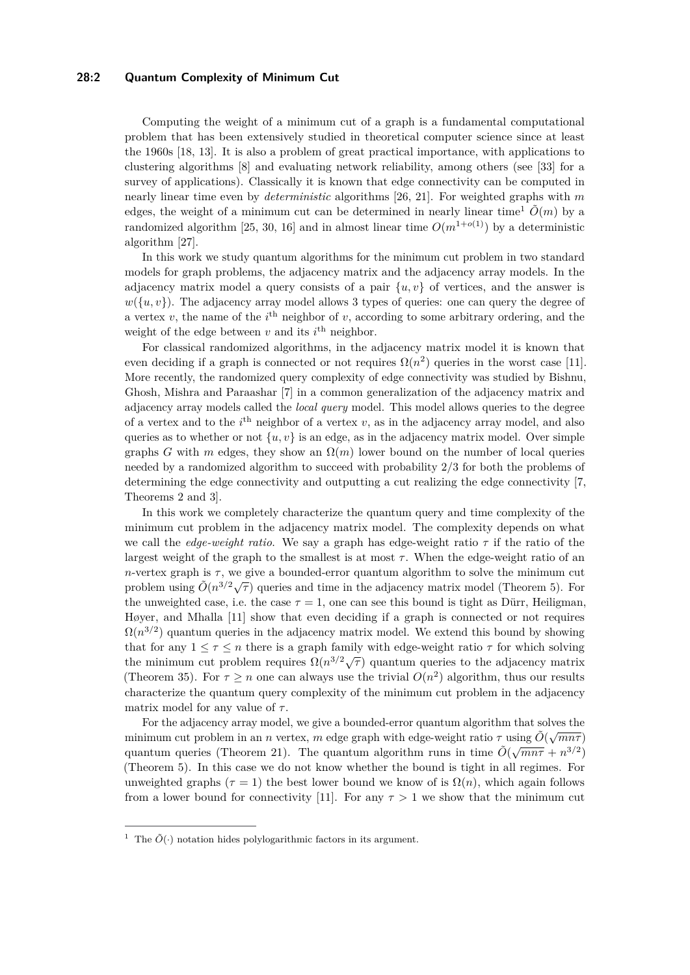## **28:2 Quantum Complexity of Minimum Cut**

Computing the weight of a minimum cut of a graph is a fundamental computational problem that has been extensively studied in theoretical computer science since at least the 1960s [\[18,](#page-29-0) [13\]](#page-28-0). It is also a problem of great practical importance, with applications to clustering algorithms [\[8\]](#page-28-1) and evaluating network reliability, among others (see [\[33\]](#page-29-1) for a survey of applications). Classically it is known that edge connectivity can be computed in nearly linear time even by *deterministic* algorithms [\[26,](#page-29-2) [21\]](#page-29-3). For weighted graphs with *m* edges, the weight of a minimum cut can be determined in nearly linear time<sup>[1](#page-1-0)</sup>  $\tilde{O}(m)$  by a randomized algorithm [\[25,](#page-29-4) [30,](#page-29-5) [16\]](#page-29-6) and in almost linear time  $O(m^{1+o(1)})$  by a deterministic algorithm [\[27\]](#page-29-7).

In this work we study quantum algorithms for the minimum cut problem in two standard models for graph problems, the adjacency matrix and the adjacency array models. In the adjacency matrix model a query consists of a pair  $\{u, v\}$  of vertices, and the answer is  $w({u,v})$ . The adjacency array model allows 3 types of queries: one can query the degree of a vertex  $v$ , the name of the  $i<sup>th</sup>$  neighbor of  $v$ , according to some arbitrary ordering, and the weight of the edge between  $v$  and its  $i^{\text{th}}$  neighbor.

For classical randomized algorithms, in the adjacency matrix model it is known that even deciding if a graph is connected or not requires  $\Omega(n^2)$  queries in the worst case [\[11\]](#page-28-2). More recently, the randomized query complexity of edge connectivity was studied by Bishnu, Ghosh, Mishra and Paraashar [\[7\]](#page-28-3) in a common generalization of the adjacency matrix and adjacency array models called the *local query* model. This model allows queries to the degree of a vertex and to the *i*<sup>th</sup> neighbor of a vertex *v*, as in the adjacency array model, and also queries as to whether or not  $\{u, v\}$  is an edge, as in the adjacency matrix model. Over simple graphs *G* with *m* edges, they show an  $\Omega(m)$  lower bound on the number of local queries needed by a randomized algorithm to succeed with probability 2*/*3 for both the problems of determining the edge connectivity and outputting a cut realizing the edge connectivity [\[7,](#page-28-3) Theorems 2 and 3].

In this work we completely characterize the quantum query and time complexity of the minimum cut problem in the adjacency matrix model. The complexity depends on what we call the *edge-weight ratio*. We say a graph has edge-weight ratio *τ* if the ratio of the largest weight of the graph to the smallest is at most  $\tau$ . When the edge-weight ratio of an *n*-vertex graph is  $\tau$ , we give a bounded-error quantum algorithm to solve the minimum cut problem using  $\tilde{O}(n^{3/2}\sqrt{\tau})$  queries and time in the adjacency matrix model (Theorem [5\)](#page-7-0). For the unweighted case, i.e. the case  $\tau = 1$ , one can see this bound is tight as Dürr, Heiligman, Høyer, and Mhalla [\[11\]](#page-28-2) show that even deciding if a graph is connected or not requires  $\Omega(n^{3/2})$  quantum queries in the adjacency matrix model. We extend this bound by showing that for any  $1 \leq \tau \leq n$  there is a graph family with edge-weight ratio  $\tau$  for which solving the minimum cut problem requires  $\Omega(n^{3/2}\sqrt{\tau})$  quantum queries to the adjacency matrix (Theorem [35\)](#page-23-0). For  $\tau \geq n$  one can always use the trivial  $O(n^2)$  algorithm, thus our results characterize the quantum query complexity of the minimum cut problem in the adjacency matrix model for any value of *τ* .

For the adjacency array model, we give a bounded-error quantum algorithm that solves the minimum cut problem in an *n* vertex, *m* edge graph with edge-weight ratio  $\tau$  using  $\tilde{O}(\sqrt{mn\tau})$ quantum queries (Theorem [21\)](#page-17-0). The quantum algorithm runs in time  $\tilde{O}(\sqrt{mn\tau} + n^{3/2})$ (Theorem [5\)](#page-7-0). In this case we do not know whether the bound is tight in all regimes. For unweighted graphs ( $\tau = 1$ ) the best lower bound we know of is  $\Omega(n)$ , which again follows from a lower bound for connectivity [\[11\]](#page-28-2). For any  $\tau > 1$  we show that the minimum cut

<span id="page-1-0"></span><sup>&</sup>lt;sup>1</sup> The  $\tilde{O}(\cdot)$  notation hides polylogarithmic factors in its argument.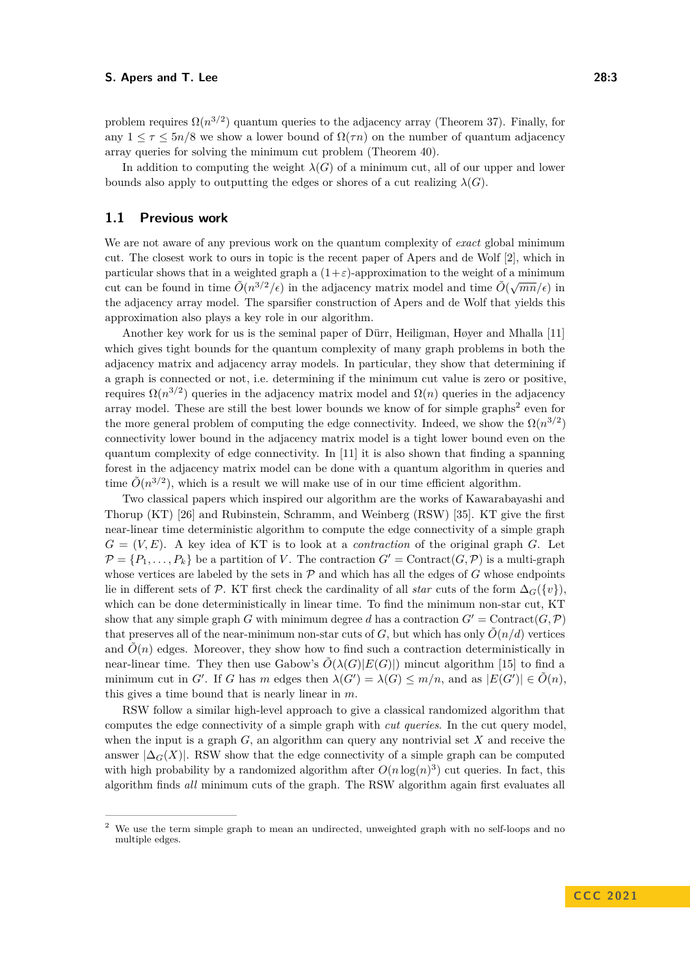problem requires  $\Omega(n^{3/2})$  quantum queries to the adjacency array (Theorem [37\)](#page-25-0). Finally, for any  $1 \leq \tau \leq 5n/8$  we show a lower bound of  $\Omega(\tau n)$  on the number of quantum adjacency array queries for solving the minimum cut problem (Theorem [40\)](#page-27-0).

In addition to computing the weight  $\lambda(G)$  of a minimum cut, all of our upper and lower bounds also apply to outputting the edges or shores of a cut realizing  $\lambda(G)$ .

## **1.1 Previous work**

We are not aware of any previous work on the quantum complexity of *exact* global minimum cut. The closest work to ours in topic is the recent paper of Apers and de Wolf [\[2\]](#page-28-4), which in particular shows that in a weighted graph a  $(1+\varepsilon)$ -approximation to the weight of a minimum particular shows that in a weighted graph a  $(1 + \varepsilon)$ -approximation to the weight of a minimum<br>cut can be found in time  $\tilde{O}(n^{3/2}/\epsilon)$  in the adjacency matrix model and time  $\tilde{O}(\sqrt{mn}/\epsilon)$  in the adjacency array model. The sparsifier construction of Apers and de Wolf that yields this approximation also plays a key role in our algorithm.

Another key work for us is the seminal paper of Dürr, Heiligman, Høyer and Mhalla [\[11\]](#page-28-2) which gives tight bounds for the quantum complexity of many graph problems in both the adjacency matrix and adjacency array models. In particular, they show that determining if a graph is connected or not, i.e. determining if the minimum cut value is zero or positive, requires  $\Omega(n^{3/2})$  queries in the adjacency matrix model and  $\Omega(n)$  queries in the adjacency array model. These are still the best lower bounds we know of for simple graphs<sup>[2](#page-2-0)</sup> even for the more general problem of computing the edge connectivity. Indeed, we show the  $\Omega(n^{3/2})$ connectivity lower bound in the adjacency matrix model is a tight lower bound even on the quantum complexity of edge connectivity. In [\[11\]](#page-28-2) it is also shown that finding a spanning forest in the adjacency matrix model can be done with a quantum algorithm in queries and time  $\tilde{O}(n^{3/2})$ , which is a result we will make use of in our time efficient algorithm.

Two classical papers which inspired our algorithm are the works of Kawarabayashi and Thorup (KT) [\[26\]](#page-29-2) and Rubinstein, Schramm, and Weinberg (RSW) [\[35\]](#page-30-0). KT give the first near-linear time deterministic algorithm to compute the edge connectivity of a simple graph  $G = (V, E)$ . A key idea of KT is to look at a *contraction* of the original graph *G*. Let  $\mathcal{P} = \{P_1, \ldots, P_k\}$  be a partition of *V*. The contraction  $G' = \text{Contract}(G, \mathcal{P})$  is a multi-graph whose vertices are labeled by the sets in  $P$  and which has all the edges of  $G$  whose endpoints lie in different sets of  $\mathcal{P}$ . KT first check the cardinality of all *star* cuts of the form  $\Delta_G({v})$ , which can be done deterministically in linear time. To find the minimum non-star cut, KT show that any simple graph *G* with minimum degree *d* has a contraction  $G' =$  Contract $(G, \mathcal{P})$ that preserves all of the near-minimum non-star cuts of *G*, but which has only  $\tilde{O}(n/d)$  vertices and  $O(n)$  edges. Moreover, they show how to find such a contraction deterministically in near-linear time. They then use Gabow's  $\tilde{O}(\lambda(G)|E(G)|)$  mincut algorithm [\[15\]](#page-28-5) to find a minimum cut in *G*'. If *G* has *m* edges then  $\lambda(G') = \lambda(G) \le m/n$ , and as  $|E(G')| \in \tilde{O}(n)$ , this gives a time bound that is nearly linear in *m*.

RSW follow a similar high-level approach to give a classical randomized algorithm that computes the edge connectivity of a simple graph with *cut queries*. In the cut query model, when the input is a graph *G*, an algorithm can query any nontrivial set *X* and receive the answer  $|\Delta_G(X)|$ . RSW show that the edge connectivity of a simple graph can be computed with high probability by a randomized algorithm after  $O(n \log(n)^3)$  cut queries. In fact, this algorithm finds *all* minimum cuts of the graph. The RSW algorithm again first evaluates all

<span id="page-2-0"></span><sup>&</sup>lt;sup>2</sup> We use the term simple graph to mean an undirected, unweighted graph with no self-loops and no multiple edges.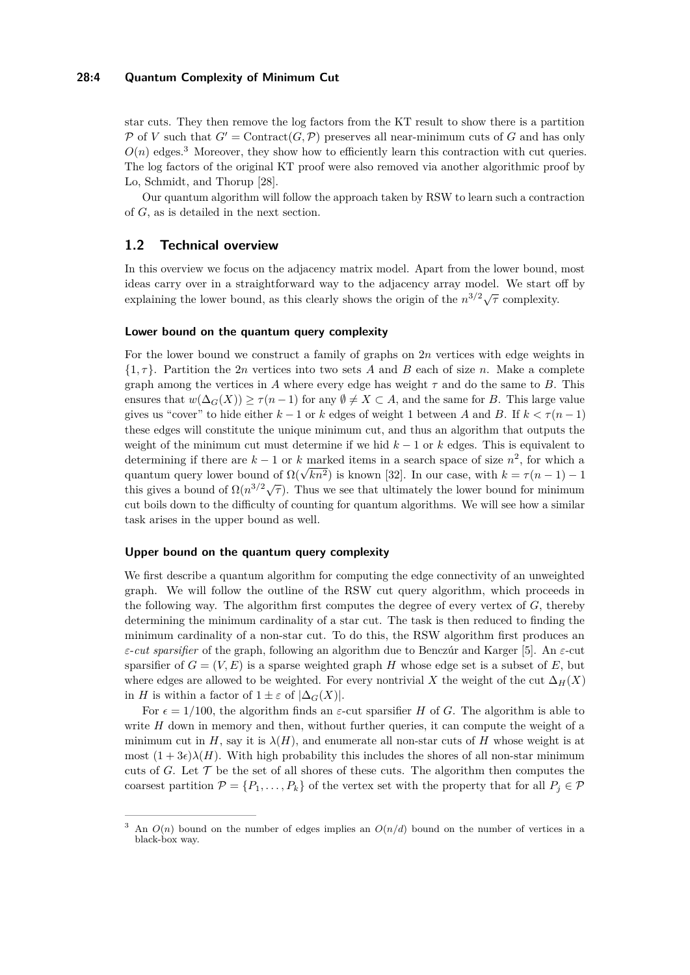## **28:4 Quantum Complexity of Minimum Cut**

star cuts. They then remove the log factors from the KT result to show there is a partition P of *V* such that  $G' =$  Contract $(G, \mathcal{P})$  preserves all near-minimum cuts of G and has only  $O(n)$  edges.<sup>[3](#page-3-0)</sup> Moreover, they show how to efficiently learn this contraction with cut queries. The log factors of the original KT proof were also removed via another algorithmic proof by Lo, Schmidt, and Thorup [\[28\]](#page-29-8).

Our quantum algorithm will follow the approach taken by RSW to learn such a contraction of *G*, as is detailed in the next section.

## **1.2 Technical overview**

In this overview we focus on the adjacency matrix model. Apart from the lower bound, most ideas carry over in a straightforward way to the adjacency array model. We start off by explaining the lower bound, as this clearly shows the origin of the  $n^{3/2}\sqrt{\tau}$  complexity.

### **Lower bound on the quantum query complexity**

For the lower bound we construct a family of graphs on 2*n* vertices with edge weights in  $\{1,\tau\}$ . Partition the 2*n* vertices into two sets *A* and *B* each of size *n*. Make a complete graph among the vertices in  $A$  where every edge has weight  $\tau$  and do the same to  $B$ . This ensures that  $w(\Delta_G(X)) > \tau(n-1)$  for any  $\emptyset \neq X \subset A$ , and the same for *B*. This large value gives us "cover" to hide either  $k-1$  or  $k$  edges of weight 1 between  $A$  and  $B$ . If  $k < \tau(n-1)$ these edges will constitute the unique minimum cut, and thus an algorithm that outputs the weight of the minimum cut must determine if we hid *k* − 1 or *k* edges. This is equivalent to determining if there are *k* − 1 or *k* marked items in a search space of size *n* 2 , for which a determining if there are  $\kappa - 1$  or  $\kappa$  marked from it a search space of size *n*, for which a quantum query lower bound of  $\Omega(\sqrt{kn^2})$  is known [\[32\]](#page-29-9). In our case, with  $k = \tau(n-1) - 1$ this gives a bound of  $\Omega(n^{3/2}\sqrt{\tau})$ . Thus we see that ultimately the lower bound for minimum this gives a bound of  $\Omega(n^{3/2}\sqrt{\tau})$ . cut boils down to the difficulty of counting for quantum algorithms. We will see how a similar task arises in the upper bound as well.

#### **Upper bound on the quantum query complexity**

We first describe a quantum algorithm for computing the edge connectivity of an unweighted graph. We will follow the outline of the RSW cut query algorithm, which proceeds in the following way. The algorithm first computes the degree of every vertex of *G*, thereby determining the minimum cardinality of a star cut. The task is then reduced to finding the minimum cardinality of a non-star cut. To do this, the RSW algorithm first produces an *ε*-*cut sparsifier* of the graph, following an algorithm due to Benczúr and Karger [\[5\]](#page-28-6). An *ε*-cut sparsifier of  $G = (V, E)$  is a sparse weighted graph *H* whose edge set is a subset of *E*, but where edges are allowed to be weighted. For every nontrivial *X* the weight of the cut  $\Delta_H(X)$ in *H* is within a factor of  $1 \pm \varepsilon$  of  $|\Delta_G(X)|$ .

For  $\epsilon = 1/100$ , the algorithm finds an  $\varepsilon$ -cut sparsifier *H* of *G*. The algorithm is able to write *H* down in memory and then, without further queries, it can compute the weight of a minimum cut in *H*, say it is  $\lambda(H)$ , and enumerate all non-star cuts of *H* whose weight is at most  $(1+3\epsilon)\lambda(H)$ . With high probability this includes the shores of all non-star minimum cuts of *G*. Let  $\mathcal T$  be the set of all shores of these cuts. The algorithm then computes the coarsest partition  $\mathcal{P} = \{P_1, \ldots, P_k\}$  of the vertex set with the property that for all  $P_j \in \mathcal{P}$ 

<span id="page-3-0"></span><sup>&</sup>lt;sup>3</sup> An  $O(n)$  bound on the number of edges implies an  $O(n/d)$  bound on the number of vertices in a black-box way.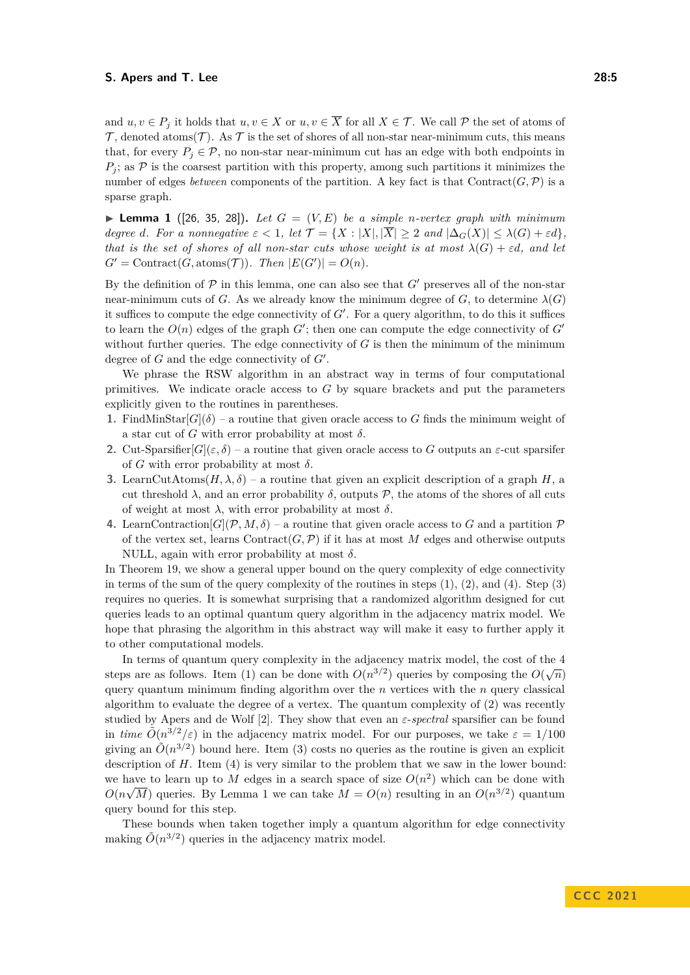and  $u, v \in P_j$  it holds that  $u, v \in X$  or  $u, v \in \overline{X}$  for all  $X \in \mathcal{T}$ . We call  $\mathcal{P}$  the set of atoms of  $\mathcal{T}$ , denoted atoms( $\mathcal{T}$ ). As  $\mathcal{T}$  is the set of shores of all non-star near-minimum cuts, this means that, for every  $P_i \in \mathcal{P}$ , no non-star near-minimum cut has an edge with both endpoints in  $P_i$ ; as  $P$  is the coarsest partition with this property, among such partitions it minimizes the number of edges *between* components of the partition. A key fact is that  $Contract(G, \mathcal{P})$  is a sparse graph.

<span id="page-4-0"></span> $\blacktriangleright$  **Lemma 1** ([\[26,](#page-29-2) [35,](#page-30-0) [28\]](#page-29-8)). Let  $G = (V, E)$  be a simple *n*-vertex graph with minimum *degree d.* For a nonnegative  $\varepsilon < 1$ , let  $\mathcal{T} = \{X : |X|, |\overline{X}| \geq 2 \text{ and } |\Delta_G(X)| \leq \lambda(G) + \varepsilon d\}$ , *that is the set of shores of all non-star cuts whose weight is at most*  $\lambda(G) + \varepsilon d$ , and let  $G' = \text{Contract}(G, \text{atoms}(\mathcal{T}))$ *. Then*  $|E(G')| = O(n)$ *.* 

By the definition of  $P$  in this lemma, one can also see that  $G'$  preserves all of the non-star near-minimum cuts of *G*. As we already know the minimum degree of *G*, to determine  $\lambda(G)$ it suffices to compute the edge connectivity of  $G'$ . For a query algorithm, to do this it suffices to learn the  $O(n)$  edges of the graph  $G'$ ; then one can compute the edge connectivity of  $G'$ without further queries. The edge connectivity of  $G$  is then the minimum of the minimum degree of *G* and the edge connectivity of *G*′ .

We phrase the RSW algorithm in an abstract way in terms of four computational primitives. We indicate oracle access to *G* by square brackets and put the parameters explicitly given to the routines in parentheses.

- **1.** FindMinStar $[G](\delta)$  a routine that given oracle access to G finds the minimum weight of a star cut of *G* with error probability at most  $\delta$ .
- **2.** Cut-Sparsifier $[G](\varepsilon, \delta)$  a routine that given oracle access to *G* outputs an  $\varepsilon$ -cut sparsifer of *G* with error probability at most  $\delta$ .
- **3.** LearnCutAtoms $(H, \lambda, \delta)$  a routine that given an explicit description of a graph *H*, a cut threshold  $\lambda$ , and an error probability  $\delta$ , outputs  $\mathcal{P}$ , the atoms of the shores of all cuts of weight at most  $\lambda$ , with error probability at most  $\delta$ .
- **4.** LearnContraction $[G](P, M, \delta)$  a routine that given oracle access to *G* and a partition P of the vertex set, learns  $Contract(G, P)$  if it has at most M edges and otherwise outputs NULL, again with error probability at most  $\delta$ .

In Theorem [19,](#page-15-0) we show a general upper bound on the query complexity of edge connectivity in terms of the sum of the query complexity of the routines in steps  $(1)$ ,  $(2)$ , and  $(4)$ . Step  $(3)$ requires no queries. It is somewhat surprising that a randomized algorithm designed for cut queries leads to an optimal quantum query algorithm in the adjacency matrix model. We hope that phrasing the algorithm in this abstract way will make it easy to further apply it to other computational models.

In terms of quantum query complexity in the adjacency matrix model, the cost of the 4 steps are as follows. Item (1) can be done with  $O(n^{3/2})$  queries by composing the  $O(\sqrt{n})$ query quantum minimum finding algorithm over the *n* vertices with the *n* query classical algorithm to evaluate the degree of a vertex. The quantum complexity of (2) was recently studied by Apers and de Wolf [\[2\]](#page-28-4). They show that even an *ε*-*spectral* sparsifier can be found in *time*  $\tilde{O}(n^{3/2}/\varepsilon)$  in the adjacency matrix model. For our purposes, we take  $\varepsilon = 1/100$ giving an  $\tilde{O}(n^{3/2})$  bound here. Item (3) costs no queries as the routine is given an explicit description of *H*. Item (4) is very similar to the problem that we saw in the lower bound: we have to learn up to *M* edges in a search space of size  $O(n^2)$  which can be done with  $O(n\sqrt{M})$  queries. By Lemma [1](#page-4-0) we can take  $M = O(n)$  resulting in an  $O(n^{3/2})$  quantum query bound for this step.

These bounds when taken together imply a quantum algorithm for edge connectivity making  $\tilde{O}(n^{3/2})$  queries in the adjacency matrix model.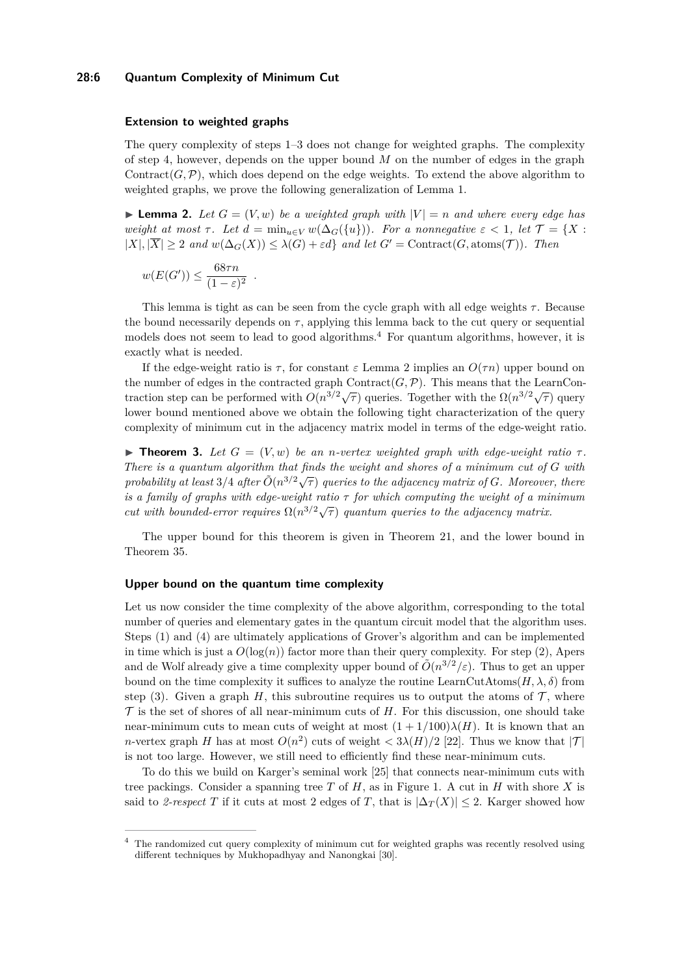## **28:6 Quantum Complexity of Minimum Cut**

#### **Extension to weighted graphs**

The query complexity of steps 1–3 does not change for weighted graphs. The complexity of step 4, however, depends on the upper bound *M* on the number of edges in the graph Contract( $G, P$ ), which does depend on the edge weights. To extend the above algorithm to weighted graphs, we prove the following generalization of Lemma [1.](#page-4-0)

<span id="page-5-1"></span>**• Lemma 2.** Let  $G = (V, w)$  be a weighted graph with  $|V| = n$  and where every edge has *weight at most*  $\tau$ *. Let*  $d = \min_{u \in V} w(\Delta_G(\{u\}))$ *. For a nonnegative*  $\varepsilon < 1$ *, let*  $\mathcal{T} = \{X :$  $|X|, |\overline{X}| \geq 2$  *and*  $w(\Delta_G(X)) \leq \lambda(G) + \varepsilon d$  *and let*  $G' = \text{Contract}(G, \text{atoms}(\mathcal{T}))$ *. Then* 

$$
w(E(G')) \le \frac{68\tau n}{(1-\varepsilon)^2}
$$

*.*

This lemma is tight as can be seen from the cycle graph with all edge weights  $\tau$ . Because the bound necessarily depends on  $\tau$ , applying this lemma back to the cut query or sequential models does not seem to lead to good algorithms.[4](#page-5-0) For quantum algorithms, however, it is exactly what is needed.

If the edge-weight ratio is  $\tau$ , for constant  $\varepsilon$  Lemma [2](#page-5-1) implies an  $O(\tau n)$  upper bound on the number of edges in the contracted graph  $\text{Contract}(G, \mathcal{P})$ . This means that the LearnContraction step can be performed with  $O(n^{3/2}\sqrt{\tau})$  queries. Together with the  $\Omega(n^{3/2}\sqrt{\tau})$  query lower bound mentioned above we obtain the following tight characterization of the query complexity of minimum cut in the adjacency matrix model in terms of the edge-weight ratio.

 $\blacktriangleright$  **Theorem 3.** Let  $G = (V, w)$  be an *n*-vertex weighted graph with edge-weight ratio  $\tau$ . *There is a quantum algorithm that finds the weight and shores of a minimum cut of G with probability at least*  $3/4$  *after*  $\tilde{O}(n^{3/2}\sqrt{\tau})$  *queries to the adjacency matrix of G. Moreover, there is a family of graphs with edge-weight ratio τ for which computing the weight of a minimum cut with bounded-error requires*  $\Omega(n^{3/2}\sqrt{\tau})$  *quantum queries to the adjacency matrix.* 

The upper bound for this theorem is given in Theorem [21,](#page-17-0) and the lower bound in Theorem [35.](#page-23-0)

## **Upper bound on the quantum time complexity**

Let us now consider the time complexity of the above algorithm, corresponding to the total number of queries and elementary gates in the quantum circuit model that the algorithm uses. Steps (1) and (4) are ultimately applications of Grover's algorithm and can be implemented in time which is just a  $O(\log(n))$  factor more than their query complexity. For step (2), Apers and de Wolf already give a time complexity upper bound of  $\tilde{O}(n^{3/2}/\varepsilon)$ . Thus to get an upper bound on the time complexity it suffices to analyze the routine LearnCutAtoms $(H, \lambda, \delta)$  from step (3). Given a graph  $H$ , this subroutine requires us to output the atoms of  $\mathcal{T}$ , where  $\mathcal T$  is the set of shores of all near-minimum cuts of  $H$ . For this discussion, one should take near-minimum cuts to mean cuts of weight at most  $(1 + 1/100)\lambda(H)$ . It is known that an *n*-vertex graph *H* has at most  $O(n^2)$  cuts of weight  $\langle 3\lambda(H)/2 \rangle$  [\[22\]](#page-29-10). Thus we know that  $|\mathcal{T}|$ is not too large. However, we still need to efficiently find these near-minimum cuts.

To do this we build on Karger's seminal work [\[25\]](#page-29-4) that connects near-minimum cuts with tree packings. Consider a spanning tree *T* of *H*, as in Figure [1.](#page-6-0) A cut in *H* with shore *X* is said to 2-respect *T* if it cuts at most 2 edges of *T*, that is  $|\Delta_T(X)| \leq 2$ . Karger showed how

<span id="page-5-0"></span><sup>4</sup> The randomized cut query complexity of minimum cut for weighted graphs was recently resolved using different techniques by Mukhopadhyay and Nanongkai [\[30\]](#page-29-5).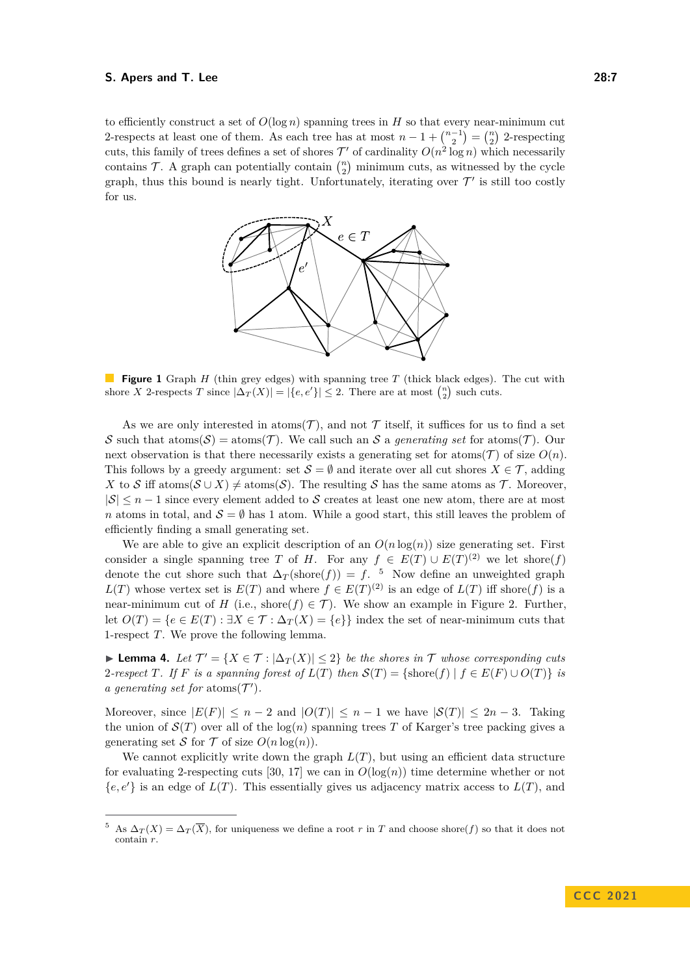<span id="page-6-0"></span>to efficiently construct a set of  $O(\log n)$  spanning trees in *H* so that every near-minimum cut 2-respects at least one of them. As each tree has at most  $n-1+\binom{n-1}{2}=\binom{n}{2}$  2-respecting cuts, this family of trees defines a set of shores  $\mathcal{T}'$  of cardinality  $O(n^2 \log n)$  which necessarily contains  $\mathcal{T}$ . A graph can potentially contain  $\binom{n}{2}$  minimum cuts, as witnessed by the cycle graph, thus this bound is nearly tight. Unfortunately, iterating over  $\mathcal{T}'$  is still too costly for us.



**Figure 1** Graph *H* (thin grey edges) with spanning tree *T* (thick black edges). The cut with shore *X* 2-respects *T* since  $|\Delta_T(X)| = |\{e, e'\}| \leq 2$ . There are at most  $\binom{n}{2}$  such cuts.

As we are only interested in atoms  $(\mathcal{T})$ , and not  $\mathcal T$  itself, it suffices for us to find a set S such that  $atom(S) = atom(S)$ . We call such an S a *generating set* for  $atom(S)$ . Our next observation is that there necessarily exists a generating set for atoms( $\mathcal{T}$ ) of size  $O(n)$ . This follows by a greedy argument: set  $\mathcal{S} = \emptyset$  and iterate over all cut shores  $X \in \mathcal{T}$ , adding *X* to S iff atoms( $S \cup X$ )  $\neq$  atoms(S). The resulting S has the same atoms as T. Moreover,  $|S| \leq n-1$  since every element added to S creates at least one new atom, there are at most *n* atoms in total, and  $S = \emptyset$  has 1 atom. While a good start, this still leaves the problem of efficiently finding a small generating set.

We are able to give an explicit description of an  $O(n \log(n))$  size generating set. First consider a single spanning tree *T* of *H*. For any  $f \in E(T) \cup E(T)^{(2)}$  we let shore(*f*) denote the cut shore such that  $\Delta_T(\text{shore}(f)) = f$ . <sup>[5](#page-6-1)</sup> Now define an unweighted graph *L*(*T*) whose vertex set is  $E(T)$  and where  $f \in E(T)^{(2)}$  is an edge of  $L(T)$  iff shore(*f*) is a near-minimum cut of *H* (i.e., shore( $f$ )  $\in$  *T*). We show an example in Figure [2.](#page-7-1) Further, let  $O(T) = \{e \in E(T) : \exists X \in T : \Delta_T(X) = \{e\}\}\$ index the set of near-minimum cuts that 1-respect *T*. We prove the following lemma.

▶ **Lemma 4.** Let  $\mathcal{T}' = \{X \in \mathcal{T} : |\Delta_T(X)| \leq 2\}$  be the shores in  $\mathcal{T}$  whose corresponding cuts 2-respect *T*. If *F* is a spanning forest of  $L(T)$  then  $S(T) = \{\text{shore}(f) | f \in E(F) \cup O(T)\}\$ is *a generating set for* atoms( $\mathcal{T}'$ ).

Moreover, since  $|E(F)| \leq n-2$  and  $|O(T)| \leq n-1$  we have  $|S(T)| \leq 2n-3$ . Taking the union of  $\mathcal{S}(T)$  over all of the  $\log(n)$  spanning trees T of Karger's tree packing gives a generating set S for T of size  $O(n \log(n))$ .

We cannot explicitly write down the graph  $L(T)$ , but using an efficient data structure for evaluating 2-respecting cuts [\[30,](#page-29-5) [17\]](#page-29-11) we can in  $O(\log(n))$  time determine whether or not {*e, e*′} is an edge of *L*(*T*). This essentially gives us adjacency matrix access to *L*(*T*), and

<span id="page-6-1"></span><sup>&</sup>lt;sup>5</sup> As  $\Delta_T(X) = \Delta_T(\overline{X})$ , for uniqueness we define a root *r* in *T* and choose shore(*f*) so that it does not contain *r*.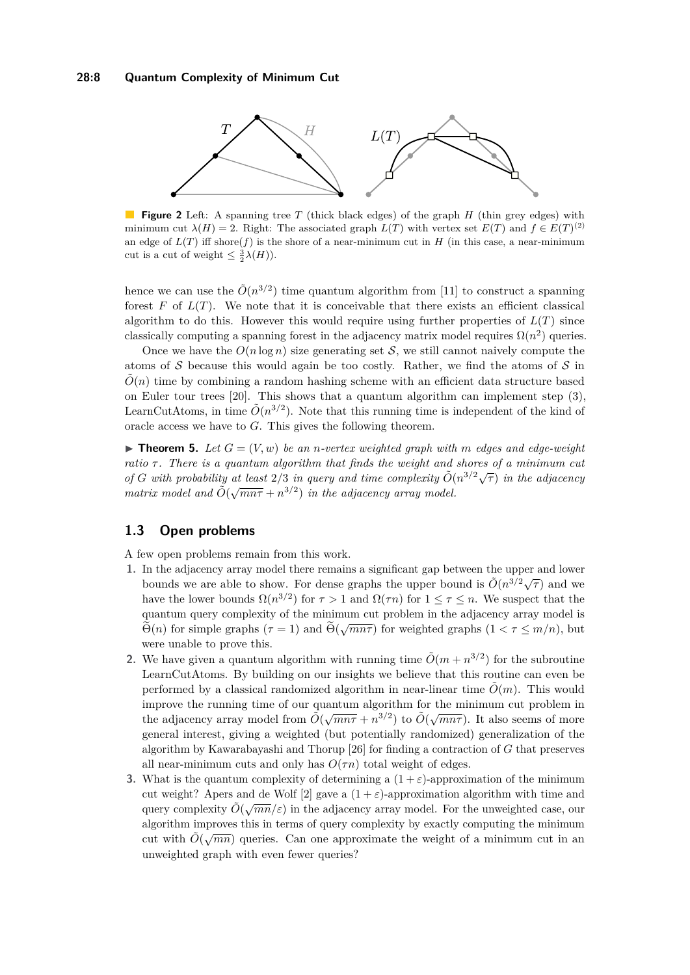<span id="page-7-1"></span>

**Figure 2** Left: A spanning tree *T* (thick black edges) of the graph *H* (thin grey edges) with minimum cut  $\lambda(H) = 2$ . Right: The associated graph  $L(T)$  with vertex set  $E(T)$  and  $f \in E(T)^{(2)}$ an edge of  $L(T)$  iff shore( $f$ ) is the shore of a near-minimum cut in  $H$  (in this case, a near-minimum cut is a cut of weight  $\leq \frac{3}{2}\lambda(H)$ ).

hence we can use the  $\tilde{O}(n^{3/2})$  time quantum algorithm from [\[11\]](#page-28-2) to construct a spanning forest  $F$  of  $L(T)$ . We note that it is conceivable that there exists an efficient classical algorithm to do this. However this would require using further properties of  $L(T)$  since classically computing a spanning forest in the adjacency matrix model requires  $\Omega(n^2)$  queries.

Once we have the  $O(n \log n)$  size generating set S, we still cannot naively compute the atoms of  $S$  because this would again be too costly. Rather, we find the atoms of  $S$  in  $\tilde{O}(n)$  time by combining a random hashing scheme with an efficient data structure based on Euler tour trees [\[20\]](#page-29-12). This shows that a quantum algorithm can implement step (3), LearnCutAtoms, in time  $\tilde{O}(n^{3/2})$ . Note that this running time is independent of the kind of oracle access we have to *G*. This gives the following theorem.

<span id="page-7-0"></span> $\blacktriangleright$  **Theorem 5.** Let  $G = (V, w)$  be an *n*-vertex weighted graph with *m* edges and edge-weight *ratio*  $\tau$ . There is a quantum algorithm that finds the weight and shores of a minimum cut *of G* with probability at least 2/3 in query and time complexity  $\tilde{O}(n^{3/2}\sqrt{\tau})$  in the adjacency  $\int \frac{1}{\pi} \int \frac{1}{\pi} \int \frac{1}{\pi} \int \frac{1}{\pi} \int \frac{1}{\pi} \int \frac{1}{\pi} \int \frac{1}{\pi} \int \frac{1}{\pi} \int \frac{1}{\pi} \int \frac{1}{\pi} \int \frac{1}{\pi} \int \frac{1}{\pi} \int \frac{1}{\pi} \int \frac{1}{\pi} \int \frac{1}{\pi} \int \frac{1}{\pi} \int \frac{1}{\pi} \int \frac{1}{\pi} \int \frac{1}{\pi} \int \frac{1}{\pi} \int \frac{1}{\pi} \int \frac{1}{\pi}$ 

## **1.3 Open problems**

A few open problems remain from this work.

- **1.** In the adjacency array model there remains a significant gap between the upper and lower bounds we are able to show. For dense graphs the upper bound is  $\tilde{O}(n^{3/2}\sqrt{\tau})$  and we bounds we are able to show. For dense graphs the upper bound is  $\tilde{O}(n^{3/2}\sqrt{\tau})$  and we have the lower bounds  $\Omega(n^{3/2})$  for  $\tau > 1$  and  $\Omega(\tau n)$  for  $1 \leq \tau \leq n$ . We suspect that the quantum query complexity of the minimum cut problem in the adjacency array model is  $\Theta(n)$  for simple graphs ( $\tau = 1$ ) and  $\Theta(\sqrt{mn\tau})$  for weighted graphs ( $1 < \tau \leq m/n$ ), but were unable to prove this.
- **2.** We have given a quantum algorithm with running time  $\tilde{O}(m + n^{3/2})$  for the subroutine LearnCutAtoms. By building on our insights we believe that this routine can even be performed by a classical randomized algorithm in near-linear time  $\tilde{O}(m)$ . This would improve the running time of our quantum algorithm for the minimum cut problem in the adjacency array model from  $\tilde{O}(\sqrt{mn\tau} + n^{3/2})$  to  $\tilde{O}(\sqrt{mn\tau})$ . It also seems of more general interest, giving a weighted (but potentially randomized) generalization of the algorithm by Kawarabayashi and Thorup [\[26\]](#page-29-2) for finding a contraction of *G* that preserves all near-minimum cuts and only has  $O(\tau n)$  total weight of edges.
- **3.** What is the quantum complexity of determining a  $(1 + \varepsilon)$ -approximation of the minimum cut weight? Apers and de Wolf [\[2\]](#page-28-4) gave a  $(1 + \varepsilon)$ -approximation algorithm with time and query complexity  $\tilde{O}(\sqrt{mn}/\varepsilon)$  in the adjacency array model. For the unweighted case, our algorithm improves this in terms of query complexity by exactly computing the minimum cut with  $\tilde{O}(\sqrt{mn})$  queries. Can one approximate the weight of a minimum cut in an unweighted graph with even fewer queries?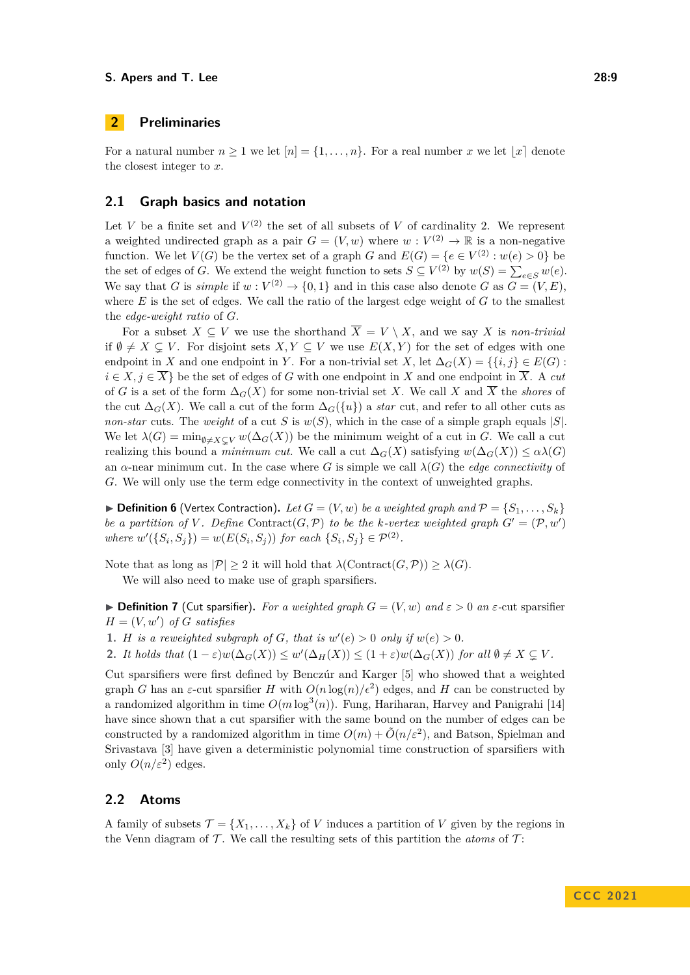## **2 Preliminaries**

For a natural number  $n \geq 1$  we let  $[n] = \{1, \ldots, n\}$ . For a real number *x* we let  $|x|$  denote the closest integer to *x*.

## **2.1 Graph basics and notation**

Let *V* be a finite set and  $V^{(2)}$  the set of all subsets of *V* of cardinality 2. We represent a weighted undirected graph as a pair  $G = (V, w)$  where  $w : V^{(2)} \to \mathbb{R}$  is a non-negative function. We let  $V(G)$  be the vertex set of a graph *G* and  $E(G) = \{e \in V^{(2)} : w(e) > 0\}$  be the set of edges of *G*. We extend the weight function to sets  $S \subseteq V^{(2)}$  by  $w(S) = \sum_{e \in S} w(e)$ . We say that *G* is *simple* if  $w: V^{(2)} \to \{0,1\}$  and in this case also denote *G* as  $G = (V, E)$ , where *E* is the set of edges. We call the ratio of the largest edge weight of *G* to the smallest the *edge-weight ratio* of *G*.

For a subset  $X \subseteq V$  we use the shorthand  $\overline{X} = V \setminus X$ , and we say *X* is *non-trivial* if  $\emptyset \neq X \subseteq V$ . For disjoint sets  $X, Y \subseteq V$  we use  $E(X, Y)$  for the set of edges with one endpoint in *X* and one endpoint in *Y*. For a non-trivial set *X*, let  $\Delta_G(X) = \{ \{i, j \} \in E(G) \}$ :  $i \in X, j \in \overline{X}$  be the set of edges of *G* with one endpoint in *X* and one endpoint in  $\overline{X}$ . A *cut* of *G* is a set of the form  $\Delta_G(X)$  for some non-trivial set *X*. We call *X* and  $\overline{X}$  the *shores* of the cut  $\Delta_G(X)$ . We call a cut of the form  $\Delta_G(\{u\})$  a *star* cut, and refer to all other cuts as *non-star* cuts. The *weight* of a cut *S* is  $w(S)$ , which in the case of a simple graph equals  $|S|$ . We let  $\lambda(G) = \min_{\emptyset \neq X \subseteq V} w(\Delta_G(X))$  be the minimum weight of a cut in *G*. We call a cut realizing this bound a *minimum cut*. We call a cut  $\Delta_G(X)$  satisfying  $w(\Delta_G(X)) \leq \alpha \lambda(G)$ an  $\alpha$ -near minimum cut. In the case where *G* is simple we call  $\lambda(G)$  the *edge connectivity* of *G*. We will only use the term edge connectivity in the context of unweighted graphs.

 $\blacktriangleright$  **Definition 6** (Vertex Contraction). Let  $G = (V, w)$  be a weighted graph and  $\mathcal{P} = \{S_1, \ldots, S_k\}$ *be a partition of V*. Define Contract(*G, P*) *to be the k-vertex weighted graph*  $G' = (\mathcal{P}, w')$ *where*  $w'(\{S_i, S_j\}) = w(E(S_i, S_j))$  *for each*  $\{S_i, S_j\} \in \mathcal{P}^{(2)}$ *.* 

Note that as long as  $|\mathcal{P}| > 2$  it will hold that  $\lambda$ (Contract(*G, P*))  $> \lambda$ (*G*).

We will also need to make use of graph sparsifiers.

 $\blacktriangleright$  **Definition 7** (Cut sparsifier). For a weighted graph  $G = (V, w)$  and  $\varepsilon > 0$  an  $\varepsilon$ -cut sparsifier  $H = (V, w')$  *of G satisfies* 

**1.** *H is a reweighted subgraph of G*, *that is*  $w'(e) > 0$  *only if*  $w(e) > 0$ *.* 

**2.** *It holds that*  $(1 - \varepsilon)w(\Delta_G(X)) \leq w'(\Delta_H(X)) \leq (1 + \varepsilon)w(\Delta_G(X))$  *for all*  $\emptyset \neq X \subsetneq V$ *.* 

Cut sparsifiers were first defined by Benczúr and Karger [\[5\]](#page-28-6) who showed that a weighted graph *G* has an *ε*-cut sparsifier *H* with  $O(n \log(n)/\epsilon^2)$  edges, and *H* can be constructed by a randomized algorithm in time  $O(m \log^3(n))$ . Fung, Hariharan, Harvey and Panigrahi [\[14\]](#page-28-7) have since shown that a cut sparsifier with the same bound on the number of edges can be constructed by a randomized algorithm in time  $O(m) + \tilde{O}(n/\varepsilon^2)$ , and Batson, Spielman and Srivastava [\[3\]](#page-28-8) have given a deterministic polynomial time construction of sparsifiers with only  $O(n/\varepsilon^2)$  edges.

## **2.2 Atoms**

A family of subsets  $\mathcal{T} = \{X_1, \ldots, X_k\}$  of *V* induces a partition of *V* given by the regions in the Venn diagram of  $\mathcal T$ . We call the resulting sets of this partition the *atoms* of  $\mathcal T$ :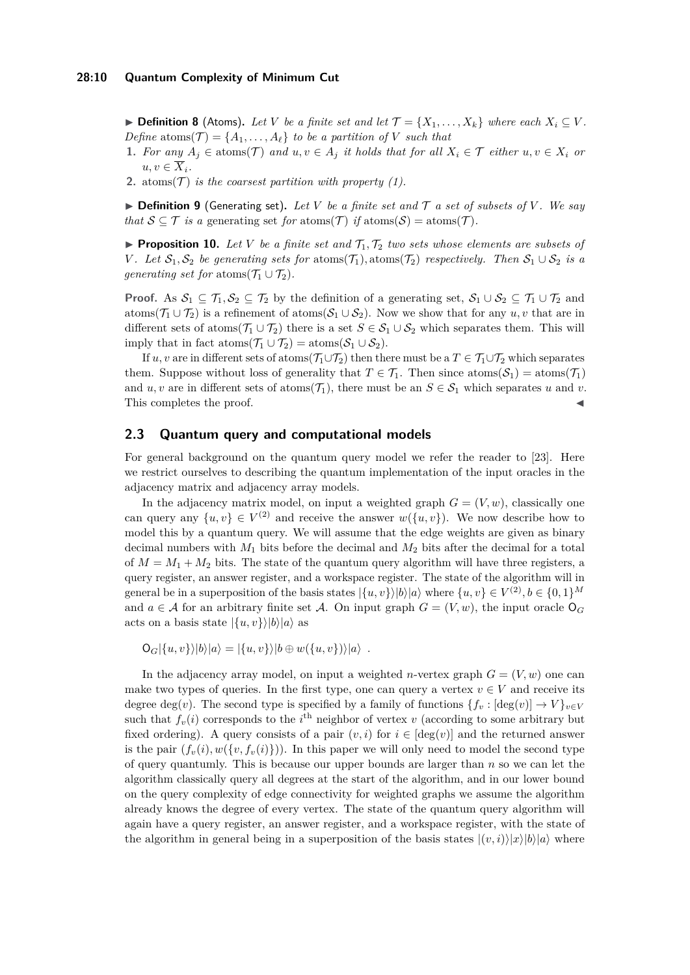▶ **Definition 8** (Atoms). Let *V* be a finite set and let  $\mathcal{T} = \{X_1, \ldots, X_k\}$  where each  $X_i \subseteq V$ . *Define* atoms( $\mathcal{T}$ ) = { $A_1, \ldots, A_\ell$ } *to be a partition of V such that* 

- **1.** For any  $A_i \in \text{atoms}(\mathcal{T})$  and  $u, v \in A_i$  it holds that for all  $X_i \in \mathcal{T}$  either  $u, v \in X_i$  or  $u, v \in \overline{X}_i$ .
- **2.** atoms( $T$ ) *is the coarsest partition with property (1).*

 $\triangleright$  **Definition 9** (Generating set). Let V be a finite set and T a set of subsets of V. We say *that*  $S \subseteq T$  *is a* generating set *for* atoms( $T$ ) *if* atoms( $S$ ) = atoms( $T$ )*.* 

<span id="page-9-0"></span> $\blacktriangleright$  **Proposition 10.** Let V be a finite set and  $\mathcal{T}_1, \mathcal{T}_2$  two sets whose elements are subsets of *V*. Let  $S_1$ ,  $S_2$  be generating sets for atoms( $T_1$ ), atoms( $T_2$ ) respectively. Then  $S_1 \cup S_2$  is a *generating set for* atoms $(\mathcal{T}_1 \cup \mathcal{T}_2)$ .

**Proof.** As  $S_1 \subseteq T_1, S_2 \subseteq T_2$  by the definition of a generating set,  $S_1 \cup S_2 \subseteq T_1 \cup T_2$  and atoms( $\mathcal{T}_1 \cup \mathcal{T}_2$ ) is a refinement of atoms( $\mathcal{S}_1 \cup \mathcal{S}_2$ ). Now we show that for any  $u, v$  that are in different sets of atoms( $\mathcal{T}_1 \cup \mathcal{T}_2$ ) there is a set  $S \in \mathcal{S}_1 \cup \mathcal{S}_2$  which separates them. This will imply that in fact atoms( $\mathcal{T}_1 \cup \mathcal{T}_2$ ) = atoms( $\mathcal{S}_1 \cup \mathcal{S}_2$ ).

If *u*, *v* are in different sets of atoms( $\mathcal{T}_1 \cup \mathcal{T}_2$ ) then there must be a  $T \in \mathcal{T}_1 \cup \mathcal{T}_2$  which separates them. Suppose without loss of generality that  $T \in \mathcal{T}_1$ . Then since  $\text{atoms}(\mathcal{S}_1) = \text{atoms}(\mathcal{T}_1)$ and *u*, *v* are in different sets of atoms( $\mathcal{T}_1$ ), there must be an  $S \in \mathcal{S}_1$  which separates *u* and *v*. This completes the proof.

## **2.3 Quantum query and computational models**

For general background on the quantum query model we refer the reader to [\[23\]](#page-29-13). Here we restrict ourselves to describing the quantum implementation of the input oracles in the adjacency matrix and adjacency array models.

In the adjacency matrix model, on input a weighted graph  $G = (V, w)$ , classically one can query any  $\{u, v\} \in V^{(2)}$  and receive the answer  $w(\{u, v\})$ . We now describe how to model this by a quantum query. We will assume that the edge weights are given as binary decimal numbers with  $M_1$  bits before the decimal and  $M_2$  bits after the decimal for a total of  $M = M_1 + M_2$  bits. The state of the quantum query algorithm will have three registers, a query register, an answer register, and a workspace register. The state of the algorithm will in general be in a superposition of the basis states  $|\{u, v\}\rangle |b\rangle|a\rangle$  where  $\{u, v\} \in V^{(2)}, b \in \{0, 1\}^M$ and  $a \in \mathcal{A}$  for an arbitrary finite set  $\mathcal{A}$ . On input graph  $G = (V, w)$ , the input oracle  $\mathsf{O}_G$ acts on a basis state  $|\{u, v\}\rangle |b\rangle |a\rangle$  as

$$
O_G(\{u, v\} \rangle |b\rangle |a\rangle = |\{u, v\}\rangle |b \oplus w(\{u, v\})\rangle |a\rangle .
$$

In the adjacency array model, on input a weighted *n*-vertex graph  $G = (V, w)$  one can make two types of queries. In the first type, one can query a vertex  $v \in V$  and receive its degree deg(*v*). The second type is specified by a family of functions  ${f_v : [\deg(v)] \to V}_{v \in V}$ such that  $f_v(i)$  corresponds to the  $i^{\text{th}}$  neighbor of vertex *v* (according to some arbitrary but fixed ordering). A query consists of a pair  $(v, i)$  for  $i \in [\deg(v)]$  and the returned answer is the pair  $(f_v(i), w(f_v, f_v(i)))$ . In this paper we will only need to model the second type of query quantumly. This is because our upper bounds are larger than *n* so we can let the algorithm classically query all degrees at the start of the algorithm, and in our lower bound on the query complexity of edge connectivity for weighted graphs we assume the algorithm already knows the degree of every vertex. The state of the quantum query algorithm will again have a query register, an answer register, and a workspace register, with the state of the algorithm in general being in a superposition of the basis states  $|(v, i)\rangle |x\rangle |b\rangle |a\rangle$  where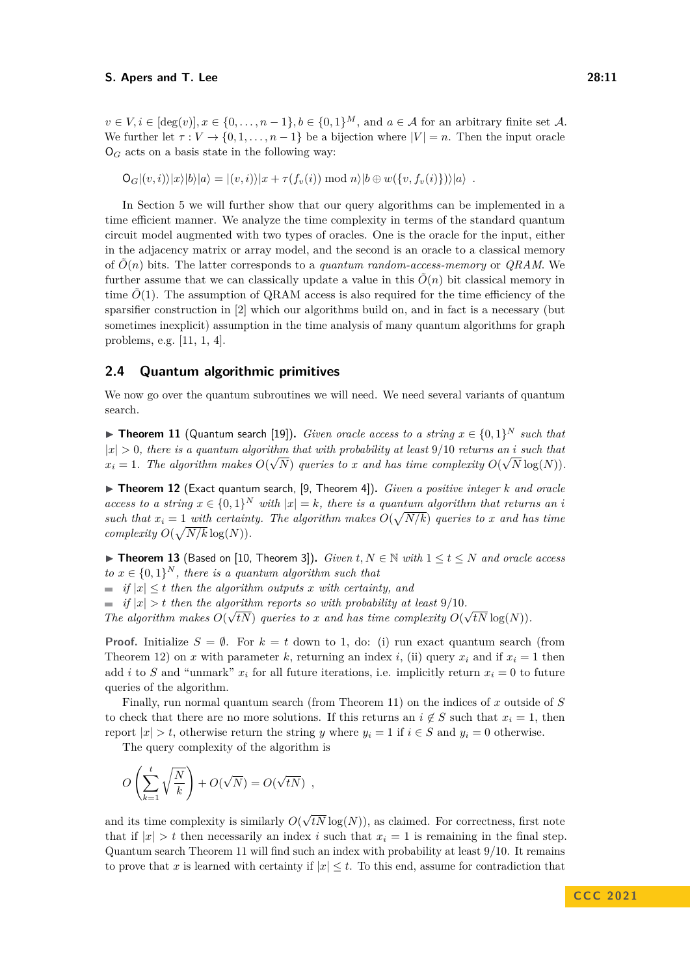$v \in V, i \in [\deg(v)], x \in \{0, \ldots, n-1\}, b \in \{0,1\}^M$ , and  $a \in \mathcal{A}$  for an arbitrary finite set  $\mathcal{A}$ . We further let  $\tau : V \to \{0, 1, \ldots, n-1\}$  be a bijection where  $|V| = n$ . Then the input oracle  $\mathsf{O}_G$  acts on a basis state in the following way:

 $O_G|(v, i)\rangle|x\rangle|b\rangle|a\rangle = |(v, i)\rangle|x + \tau(f_v(i)) \bmod n|b \oplus w({v, f_v(i)})\rangle|a\rangle$ .

In Section [5](#page-17-1) we will further show that our query algorithms can be implemented in a time efficient manner. We analyze the time complexity in terms of the standard quantum circuit model augmented with two types of oracles. One is the oracle for the input, either in the adjacency matrix or array model, and the second is an oracle to a classical memory of  $\tilde{O}(n)$  bits. The latter corresponds to a *quantum random-access-memory* or *QRAM*. We further assume that we can classically update a value in this  $\tilde{O}(n)$  bit classical memory in time  $O(1)$ . The assumption of QRAM access is also required for the time efficiency of the sparsifier construction in [\[2\]](#page-28-4) which our algorithms build on, and in fact is a necessary (but sometimes inexplicit) assumption in the time analysis of many quantum algorithms for graph problems, e.g. [\[11,](#page-28-2) [1,](#page-28-9) [4\]](#page-28-10).

## **2.4 Quantum algorithmic primitives**

We now go over the quantum subroutines we will need. We need several variants of quantum search.

<span id="page-10-1"></span>▶ **Theorem 11** (Quantum search [\[19\]](#page-29-14)). *Given oracle access to a string*  $x \in \{0,1\}^N$  *such that*  $|x| > 0$ , there is a quantum algorithm that with probability at least 9/10 *returns an i* such that  $x_i = 1$ *. The algorithm makes*  $O(\sqrt{N})$  *queries to x and has time complexity*  $O(\sqrt{N} \log(N))$ *.* 

<span id="page-10-0"></span>▶ **Theorem 12** (Exact quantum search, [\[9,](#page-28-11) Theorem 4])**.** *Given a positive integer k and oracle access to a string*  $x \in \{0,1\}^N$  *with*  $|x| = k$ *, there is a quantum algorithm that returns an <i>i such that*  $x_i = 1$  *with certainty. The algorithm makes*  $O(\sqrt{N/k})$  *queries to x and* has time *complexity*  $O(\sqrt{N/k} \log(N))$ *.* 

<span id="page-10-2"></span>▶ **Theorem 13** (Based on [\[10,](#page-28-12) Theorem 3]). *Given*  $t, N \in \mathbb{N}$  with  $1 \le t \le N$  and oracle access  $to x \in \{0,1\}^N$ , there is a quantum algorithm such that

 $\equiv$  *if*  $|x| \leq t$  *then the algorithm outputs x with certainty, and* 

*if*  $|x| > t$  *then the algorithm reports so with probability at least* 9/10*.* 

*The algorithm makes*  $O(\sqrt{t})$  *queries to x and has time complexity*  $O(\sqrt{t})$ √  $tN\log(N)$ ).

**Proof.** Initialize  $S = \emptyset$ . For  $k = t$  down to 1, do: (i) run exact quantum search (from Theorem [12\)](#page-10-0) on *x* with parameter *k*, returning an index *i*, (ii) query  $x_i$  and if  $x_i = 1$  then add *i* to *S* and "unmark"  $x_i$  for all future iterations, i.e. implicitly return  $x_i = 0$  to future queries of the algorithm.

Finally, run normal quantum search (from Theorem [11\)](#page-10-1) on the indices of *x* outside of *S* to check that there are no more solutions. If this returns an  $i \notin S$  such that  $x_i = 1$ , then report  $|x| > t$ , otherwise return the string *y* where  $y_i = 1$  if  $i \in S$  and  $y_i = 0$  otherwise.

The query complexity of the algorithm is

$$
O\left(\sum_{k=1}^t \sqrt{\frac{N}{k}}\right) + O(\sqrt{N}) = O(\sqrt{tN}) ,
$$

and its time complexity is similarly *O*( √  $tN\log(N)$ , as claimed. For correctness, first note that if  $|x| > t$  then necessarily an index *i* such that  $x<sub>i</sub> = 1$  is remaining in the final step. Quantum search Theorem [11](#page-10-1) will find such an index with probability at least 9*/*10. It remains to prove that *x* is learned with certainty if  $|x| \leq t$ . To this end, assume for contradiction that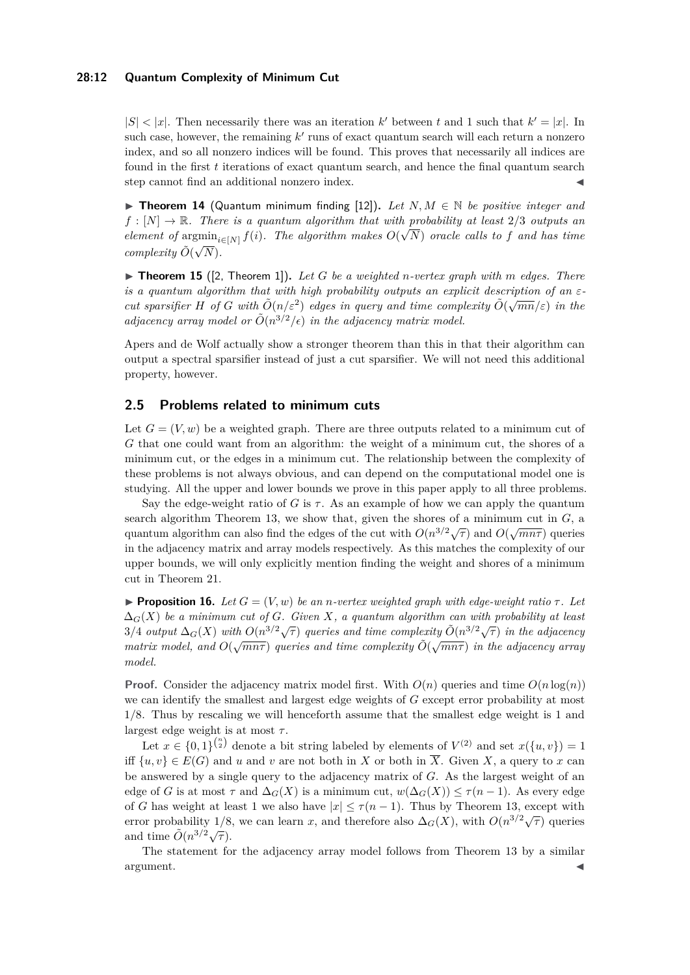## **28:12 Quantum Complexity of Minimum Cut**

 $|S| < |x|$ . Then necessarily there was an iteration k' between t and 1 such that  $k' = |x|$ . In such case, however, the remaining  $k'$  runs of exact quantum search will each return a nonzero index, and so all nonzero indices will be found. This proves that necessarily all indices are found in the first *t* iterations of exact quantum search, and hence the final quantum search step cannot find an additional nonzero index.

<span id="page-11-0"></span>▶ **Theorem 14** (Quantum minimum finding [\[12\]](#page-28-13)). Let  $N, M \in \mathbb{N}$  be positive integer and  $f : [N] \to \mathbb{R}$ . There is a quantum algorithm that with probability at least 2/3 *outputs an element of* argmin<sub>*i*∈[*N*]</sub>  $f(i)$ *. The algorithm makes*  $O(\sqrt{N})$  *oracle calls to f and has time complexity*  $\tilde{O}(\sqrt{2})$ *N*)*.*

<span id="page-11-1"></span> $\triangleright$  **Theorem 15** ([\[2,](#page-28-4) Theorem 1]). Let G be a weighted *n*-vertex graph with m edges. There *is a quantum algorithm that with high probability outputs an explicit description of an εcut sparsifier H of G with*  $\tilde{O}(n/\varepsilon^2)$  *edges in query and time complexity*  $\tilde{O}(\sqrt{mn}/\varepsilon)$  *in the adjacency array model or*  $O(n^{3/2}/\epsilon)$  *in the adjacency matrix model.* 

Apers and de Wolf actually show a stronger theorem than this in that their algorithm can output a spectral sparsifier instead of just a cut sparsifier. We will not need this additional property, however.

## **2.5 Problems related to minimum cuts**

Let  $G = (V, w)$  be a weighted graph. There are three outputs related to a minimum cut of *G* that one could want from an algorithm: the weight of a minimum cut, the shores of a minimum cut, or the edges in a minimum cut. The relationship between the complexity of these problems is not always obvious, and can depend on the computational model one is studying. All the upper and lower bounds we prove in this paper apply to all three problems.

Say the edge-weight ratio of *G* is  $\tau$ . As an example of how we can apply the quantum search algorithm Theorem [13,](#page-10-2) we show that, given the shores of a minimum cut in *G*, a quantum algorithm can also find the edges of the cut with  $O(n^{3/2}\sqrt{\tau})$  and  $O(\sqrt{mn\tau})$  queries in the adjacency matrix and array models respectively. As this matches the complexity of our upper bounds, we will only explicitly mention finding the weight and shores of a minimum cut in Theorem [21.](#page-17-0)

**• Proposition 16.** *Let*  $G = (V, w)$  *be an n-vertex weighted graph with edge-weight ratio*  $\tau$ *. Let* ∆*G*(*X*) *be a minimum cut of G. Given X, a quantum algorithm can with probability at least*  $3/4$  *output*  $\Delta_G(X)$  *with*  $O(n^{3/2}\sqrt{\tau})$  *queries and time complexity*  $\tilde{O}(n^{3/2}\sqrt{\tau})$  *in the adjacency matrix model, and*  $O(\sqrt{mn\tau})$  *queries and time complexity*  $\tilde{O}(\sqrt{mn\tau})$  *in the adjacency array model.*

**Proof.** Consider the adjacency matrix model first. With  $O(n)$  queries and time  $O(n \log(n))$ we can identify the smallest and largest edge weights of *G* except error probability at most 1*/*8. Thus by rescaling we will henceforth assume that the smallest edge weight is 1 and largest edge weight is at most *τ* .

Let  $x \in \{0,1\}^{\binom{n}{2}}$  denote a bit string labeled by elements of  $V^{(2)}$  and set  $x(\{u, v\}) = 1$ iff  $\{u, v\} \in E(G)$  and *u* and *v* are not both in *X* or both in  $\overline{X}$ . Given *X*, a query to *x* can be answered by a single query to the adjacency matrix of *G*. As the largest weight of an edge of *G* is at most  $\tau$  and  $\Delta_G(X)$  is a minimum cut,  $w(\Delta_G(X)) \leq \tau(n-1)$ . As every edge of *G* has weight at least 1 we also have  $|x| \leq \tau(n-1)$ . Thus by Theorem [13,](#page-10-2) except with error probability 1/8, we can learn *x*, and therefore also  $\Delta_G(X)$ , with  $O(n^{3/2}\sqrt{\tau})$  queries and time  $\tilde{O}(n^{3/2}\sqrt{\tau}).$ 

The statement for the adjacency array model follows from Theorem [13](#page-10-2) by a similar  $\blacksquare$ argument.  $\blacktriangleleft$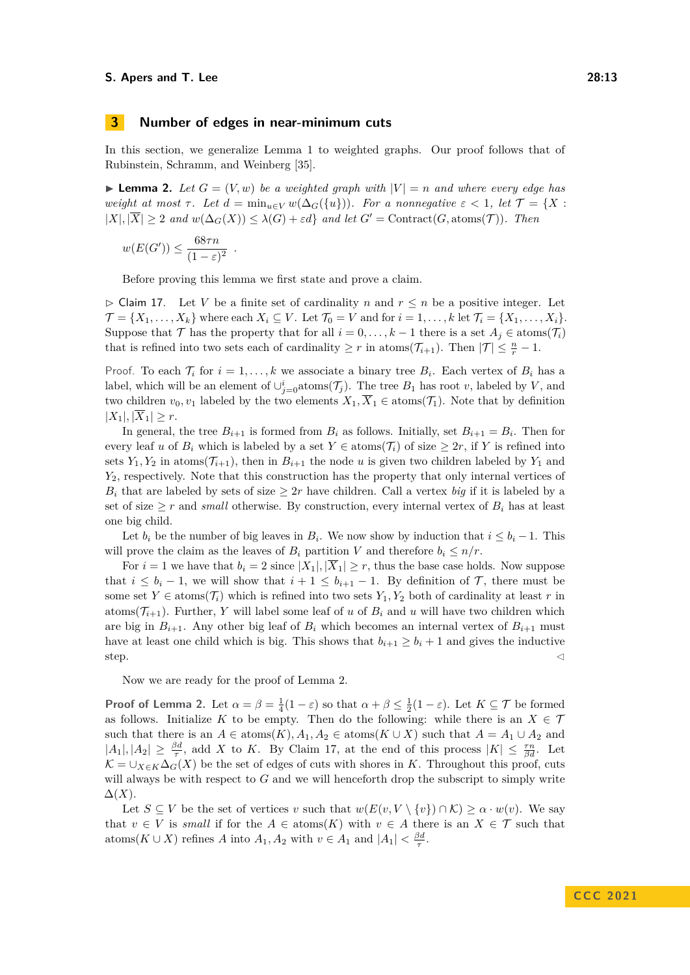## **3 Number of edges in near-minimum cuts**

*.*

In this section, we generalize Lemma [1](#page-4-0) to weighted graphs. Our proof follows that of Rubinstein, Schramm, and Weinberg [\[35\]](#page-30-0).

 $\blacktriangleright$  **Lemma 2.** Let  $G = (V, w)$  be a weighted graph with  $|V| = n$  and where every edge has *weight at most*  $\tau$ *. Let*  $d = \min_{u \in V} w(\Delta_G(\{u\}))$ *. For a nonnegative*  $\varepsilon < 1$ *, let*  $\mathcal{T} = \{X :$  $|X|, |\overline{X}| \geq 2$  *and*  $w(\Delta_G(X)) \leq \lambda(G) + \varepsilon d$  *and let*  $G' = \text{Contract}(G, \text{atoms}(\mathcal{T}))$ *. Then* 

$$
w(E(G')) \le \frac{68\tau n}{(1-\varepsilon)^2}
$$

Before proving this lemma we first state and prove a claim.

<span id="page-12-0"></span> $\triangleright$  Claim 17. Let *V* be a finite set of cardinality *n* and  $r \leq n$  be a positive integer. Let  $\mathcal{T} = \{X_1, \ldots, X_k\}$  where each  $X_i \subseteq V$ . Let  $\mathcal{T}_0 = V$  and for  $i = 1, \ldots, k$  let  $\mathcal{T}_i = \{X_1, \ldots, X_i\}$ . Suppose that  $\mathcal{T}$  has the property that for all  $i = 0, \ldots, k - 1$  there is a set  $A_j \in \text{atoms}(\mathcal{T}_i)$ that is refined into two sets each of cardinality  $\geq r$  in atoms( $\mathcal{T}_{i+1}$ ). Then  $|\mathcal{T}| \leq \frac{n}{r} - 1$ .

Proof. To each  $\mathcal{T}_i$  for  $i = 1, \ldots, k$  we associate a binary tree  $B_i$ . Each vertex of  $B_i$  has a label, which will be an element of  $\cup_{j=0}^{i} \text{atoms}(\mathcal{T}_j)$ . The tree  $B_1$  has root *v*, labeled by *V*, and two children  $v_0, v_1$  labeled by the two elements  $X_1, \overline{X}_1 \in \text{atoms}(\mathcal{T}_1)$ . Note that by definition  $|X_1|, |\overline{X}_1| \geq r.$ 

In general, the tree  $B_{i+1}$  is formed from  $B_i$  as follows. Initially, set  $B_{i+1} = B_i$ . Then for every leaf *u* of  $B_i$  which is labeled by a set  $Y \in \text{atoms}(\mathcal{T}_i)$  of size  $\geq 2r$ , if *Y* is refined into sets  $Y_1, Y_2$  in atoms  $(\mathcal{T}_{i+1})$ , then in  $B_{i+1}$  the node *u* is given two children labeled by  $Y_1$  and *Y*2, respectively. Note that this construction has the property that only internal vertices of  $B_i$  that are labeled by sets of size  $\geq 2r$  have children. Call a vertex *big* if it is labeled by a set of size  $\geq r$  and *small* otherwise. By construction, every internal vertex of  $B_i$  has at least one big child.

Let  $b_i$  be the number of big leaves in  $B_i$ . We now show by induction that  $i \leq b_i - 1$ . This will prove the claim as the leaves of  $B_i$  partition *V* and therefore  $b_i \leq n/r$ .

For  $i = 1$  we have that  $b_i = 2$  since  $|X_1|, |\overline{X}_1| \geq r$ , thus the base case holds. Now suppose that  $i \leq b_i - 1$ , we will show that  $i + 1 \leq b_{i+1} - 1$ . By definition of  $\mathcal{T}$ , there must be some set  $Y \in \text{atoms}(\mathcal{T}_i)$  which is refined into two sets  $Y_1, Y_2$  both of cardinality at least *r* in atoms( $\mathcal{T}_{i+1}$ ). Further, *Y* will label some leaf of *u* of  $B_i$  and *u* will have two children which are big in  $B_{i+1}$ . Any other big leaf of  $B_i$  which becomes an internal vertex of  $B_{i+1}$  must have at least one child which is big. This shows that  $b_{i+1} \geq b_i + 1$  and gives the inductive  $\mathsf{step}$ .

Now we are ready for the proof of Lemma [2.](#page-5-1)

**Proof of Lemma [2.](#page-5-1)** Let  $\alpha = \beta = \frac{1}{4}(1 - \varepsilon)$  so that  $\alpha + \beta \leq \frac{1}{2}(1 - \varepsilon)$ . Let  $K \subseteq \mathcal{T}$  be formed as follows. Initialize *K* to be empty. Then do the following: while there is an  $X \in \mathcal{T}$ such that there is an  $A \in \text{atoms}(K)$ ,  $A_1, A_2 \in \text{atoms}(K \cup X)$  such that  $A = A_1 \cup A_2$  and  $|A_1|, |A_2| \geq \frac{\beta d}{\tau}$ , add *X* to *K*. By Claim [17,](#page-12-0) at the end of this process  $|K| \leq \frac{\tau n}{\beta d}$ . Let  $\mathcal{K} = \bigcup_{X \in K} \Delta_G(X)$  be the set of edges of cuts with shores in *K*. Throughout this proof, cuts will always be with respect to *G* and we will henceforth drop the subscript to simply write  $\Delta(X)$ .

<span id="page-12-1"></span>Let  $S \subseteq V$  be the set of vertices *v* such that  $w(E(v, V \setminus \{v\}) \cap K) \ge \alpha \cdot w(v)$ . We say that  $v \in V$  is *small* if for the  $A \in \text{atoms}(K)$  with  $v \in A$  there is an  $X \in \mathcal{T}$  such that atoms( $K \cup X$ ) refines *A* into  $A_1, A_2$  with  $v \in A_1$  and  $|A_1| < \frac{\beta d}{\tau}$ .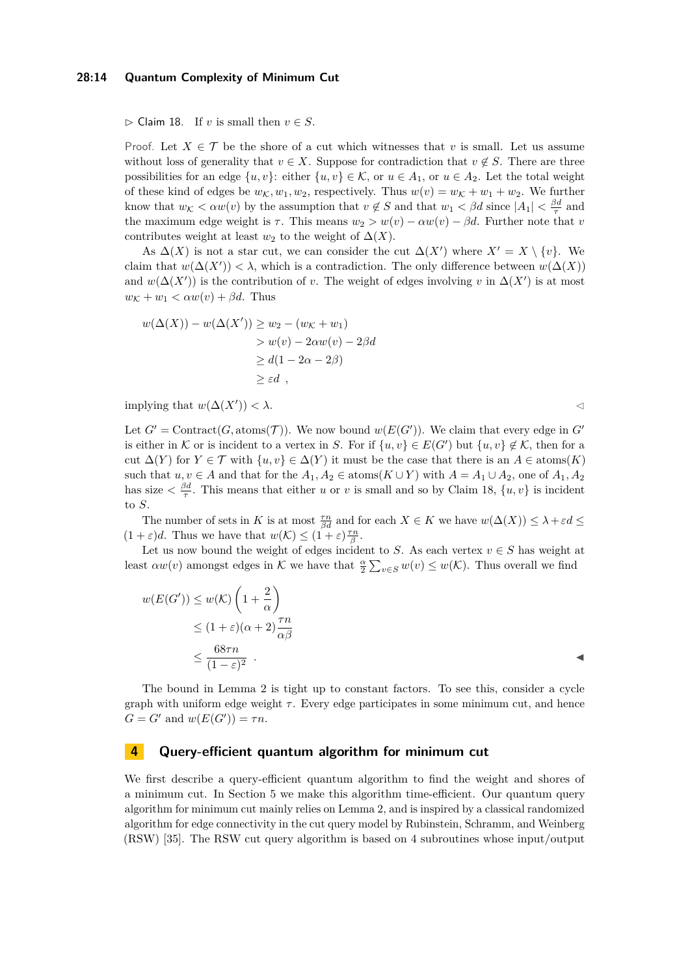#### **28:14 Quantum Complexity of Minimum Cut**

 $\triangleright$  Claim 18. If *v* is small then  $v \in S$ .

Proof. Let  $X \in \mathcal{T}$  be the shore of a cut which witnesses that *v* is small. Let us assume without loss of generality that  $v \in X$ . Suppose for contradiction that  $v \notin S$ . There are three possibilities for an edge  $\{u, v\}$ : either  $\{u, v\} \in \mathcal{K}$ , or  $u \in A_1$ , or  $u \in A_2$ . Let the total weight of these kind of edges be  $w_K, w_1, w_2$ , respectively. Thus  $w(v) = w_K + w_1 + w_2$ . We further know that  $w_K < \alpha w(v)$  by the assumption that  $v \notin S$  and that  $w_1 < \beta d$  since  $|A_1| < \frac{\beta d}{\tau}$  and the maximum edge weight is  $\tau$ . This means  $w_2 > w(v) - \alpha w(v) - \beta d$ . Further note that *v* contributes weight at least  $w_2$  to the weight of  $\Delta(X)$ .

As  $\Delta(X)$  is not a star cut, we can consider the cut  $\Delta(X')$  where  $X' = X \setminus \{v\}$ . We claim that  $w(\Delta(X')) < \lambda$ , which is a contradiction. The only difference between  $w(\Delta(X))$ and  $w(\Delta(X'))$  is the contribution of *v*. The weight of edges involving *v* in  $\Delta(X')$  is at most  $w_{\mathcal{K}} + w_1 < \alpha w(v) + \beta d$ . Thus

$$
w(\Delta(X)) - w(\Delta(X')) \ge w_2 - (w_K + w_1)
$$
  
> 
$$
w(v) - 2\alpha w(v) - 2\beta d
$$
  

$$
\ge d(1 - 2\alpha - 2\beta)
$$
  

$$
\ge \varepsilon d,
$$

implying that  $w(\Delta(X')) < \lambda$ .  $)) < \lambda$ .

Let  $G' = \text{Contract}(G, \text{atoms}(\mathcal{T}))$ . We now bound  $w(E(G'))$ . We claim that every edge in  $G'$ is either in K or is incident to a vertex in *S*. For if  $\{u, v\} \in E(G')$  but  $\{u, v\} \notin \mathcal{K}$ , then for a cut  $\Delta(Y)$  for  $Y \in \mathcal{T}$  with  $\{u, v\} \in \Delta(Y)$  it must be the case that there is an  $A \in \text{atoms}(K)$ such that  $u, v \in A$  and that for the  $A_1, A_2 \in \text{atoms}(K \cup Y)$  with  $A = A_1 \cup A_2$ , one of  $A_1, A_2$ has size  $\langle \frac{\beta d}{\tau} \rangle$ . This means that either *u* or *v* is small and so by Claim [18,](#page-12-1)  $\{u, v\}$  is incident to *S*.

The number of sets in *K* is at most  $\frac{\tau n}{\beta d}$  and for each  $X \in K$  we have  $w(\Delta(X)) \leq \lambda + \varepsilon d \leq$  $(1 + \varepsilon)d$ . Thus we have that  $w(\mathcal{K}) \leq (1 + \varepsilon)\frac{\tau n}{\beta}$ .

Let us now bound the weight of edges incident to *S*. As each vertex  $v \in S$  has weight at least  $\alpha w(v)$  amongst edges in K we have that  $\frac{\alpha}{2} \sum_{v \in S} w(v) \leq w(K)$ . Thus overall we find

$$
w(E(G')) \le w(K) \left(1 + \frac{2}{\alpha}\right)
$$
  
\n
$$
\le (1 + \varepsilon)(\alpha + 2) \frac{\tau n}{\alpha \beta}
$$
  
\n
$$
\le \frac{68\tau n}{(1 - \varepsilon)^2} .
$$

The bound in Lemma [2](#page-5-1) is tight up to constant factors. To see this, consider a cycle graph with uniform edge weight  $\tau$ . Every edge participates in some minimum cut, and hence  $G = G'$  and  $w(E(G')) = \tau n$ .

## **4 Query-efficient quantum algorithm for minimum cut**

We first describe a query-efficient quantum algorithm to find the weight and shores of a minimum cut. In Section [5](#page-17-1) we make this algorithm time-efficient. Our quantum query algorithm for minimum cut mainly relies on Lemma [2,](#page-5-1) and is inspired by a classical randomized algorithm for edge connectivity in the cut query model by Rubinstein, Schramm, and Weinberg (RSW) [\[35\]](#page-30-0). The RSW cut query algorithm is based on 4 subroutines whose input/output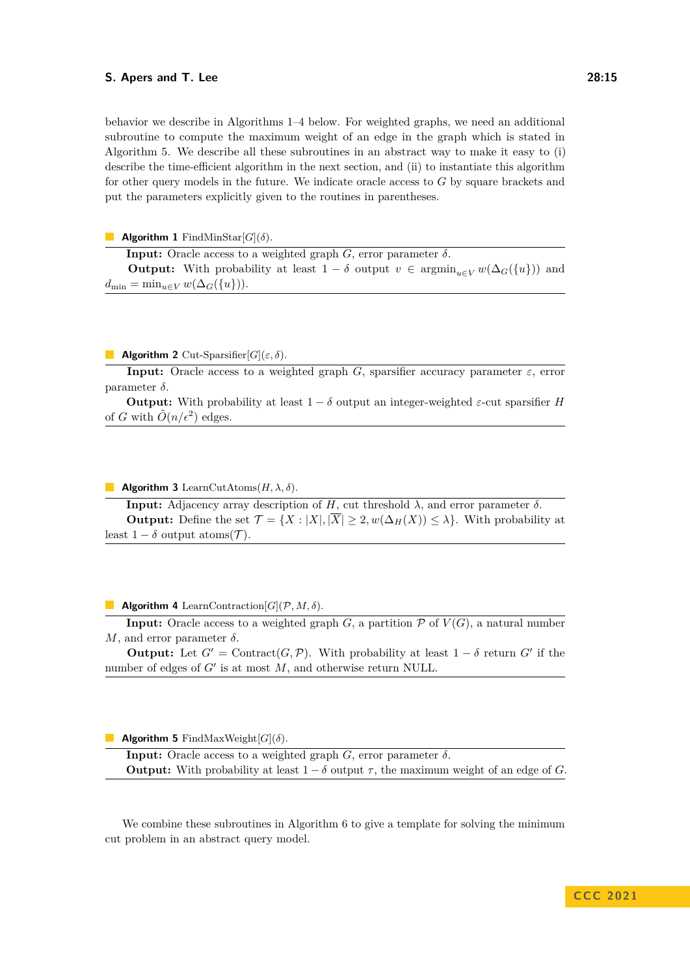behavior we describe in Algorithms 1–4 below. For weighted graphs, we need an additional subroutine to compute the maximum weight of an edge in the graph which is stated in Algorithm [5.](#page-14-0) We describe all these subroutines in an abstract way to make it easy to (i) describe the time-efficient algorithm in the next section, and (ii) to instantiate this algorithm for other query models in the future. We indicate oracle access to *G* by square brackets and put the parameters explicitly given to the routines in parentheses.

**Algorithm 1** FindMinStar[*G*](*δ*).

**Input:** Oracle access to a weighted graph  $G$ , error parameter  $\delta$ .

**Output:** With probability at least  $1 - \delta$  output  $v \in \operatorname{argmin}_{u \in V} w(\Delta_G(\{u\}))$  and  $d_{\min} = \min_{u \in V} w(\Delta_G(\{u\})).$ 

#### **Algorithm 2** Cut-Sparsifier[ $G$ ]( $\varepsilon, \delta$ ).

**Input:** Oracle access to a weighted graph *G*, sparsifier accuracy parameter  $\varepsilon$ , error parameter *δ*.

**Output:** With probability at least  $1 - \delta$  output an integer-weighted  $\varepsilon$ -cut sparsifier *H* of *G* with  $\tilde{O}(n/\epsilon^2)$  edges.

**Algorithm 3** LearnCutAtoms $(H, \lambda, \delta)$ .

**Input:** Adjacency array description of *H*, cut threshold  $λ$ , and error parameter  $δ$ . **Output:** Define the set  $\mathcal{T} = \{X : |X|, |\overline{X}| \geq 2, w(\Delta_H(X)) \leq \lambda\}$ . With probability at least  $1 - \delta$  output atoms( $\mathcal{T}$ ).

**Algorithm 4** LearnContraction[ $G$ ]( $\mathcal{P}, M, \delta$ ).

**Input:** Oracle access to a weighted graph *G*, a partition  $\mathcal{P}$  of  $V(G)$ , a natural number *M*, and error parameter  $δ$ .

**Output:** Let  $G' =$  Contract $(G, \mathcal{P})$ . With probability at least  $1 - \delta$  return  $G'$  if the number of edges of  $G'$  is at most  $M$ , and otherwise return NULL.

<span id="page-14-0"></span>**Algorithm 5** FindMaxWeight $[G](\delta)$ .

**Input:** Oracle access to a weighted graph  $G$ , error parameter  $\delta$ . **Output:** With probability at least  $1 - \delta$  output  $\tau$ , the maximum weight of an edge of *G*.

We combine these subroutines in Algorithm [6](#page-15-1) to give a template for solving the minimum cut problem in an abstract query model.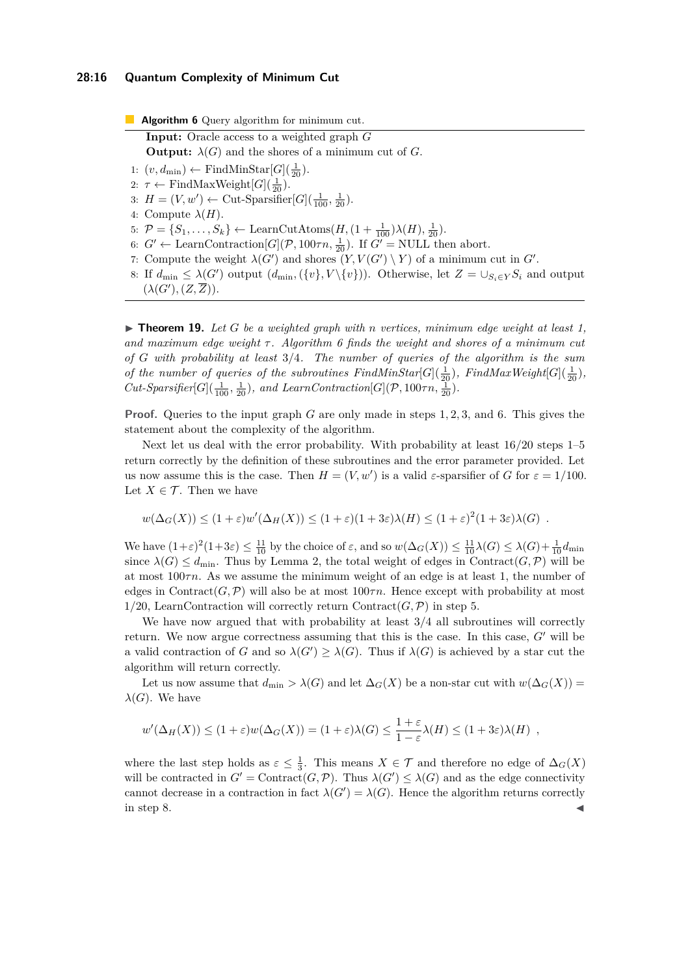## **28:16 Quantum Complexity of Minimum Cut**

<span id="page-15-1"></span>**Algorithm 6** Query algorithm for minimum cut. **Input:** Oracle access to a weighted graph *G* **Output:**  $\lambda(G)$  and the shores of a minimum cut of *G*. 1:  $(v, d_{\min})$  ← FindMinStar[ $G$ ]( $\frac{1}{20}$ ). 2:  $\tau \leftarrow \text{FindMaxWeight}[G](\frac{1}{20}).$ 3:  $H = (V, w') \leftarrow \text{Cut-Sparse[}G](\frac{1}{100}, \frac{1}{20}).$ 4: Compute  $\lambda(H)$ . 5:  $\mathcal{P} = \{S_1, \ldots, S_k\} \leftarrow \text{LearnCutAtoms}(H, (1 + \frac{1}{100})\lambda(H), \frac{1}{20}).$ 6:  $G' \leftarrow \text{LearnContraction}[G](P, 100\tau n, \frac{1}{20})$ . If  $G' = \text{NULL}$  then abort. 7: Compute the weight  $\lambda(G')$  and shores  $(Y, V(G') \setminus Y)$  of a minimum cut in  $G'$ . 8: If  $d_{\min} \leq \lambda(G')$  output  $(d_{\min}, \{\{v\}, V \setminus \{v\})$ . Otherwise, let  $Z = \bigcup_{S_i \in Y} S_i$  and output  $(\lambda(G'), (Z, \overline{Z})).$ 

<span id="page-15-0"></span> $\blacktriangleright$  **Theorem 19.** Let G be a weighted graph with *n* vertices, minimum edge weight at least 1, *and maximum edge weight τ . Algorithm [6](#page-15-1) finds the weight and shores of a minimum cut of G with probability at least* 3*/*4*. The number of queries of the algorithm is the sum of the number of queries of the subroutines FindMinStar*[ $G$ ]( $\frac{1}{20}$ )*, FindMaxWeight*[ $G$ ]( $\frac{1}{20}$ )*, Cut-Sparsifier*[ $G$ ]( $\frac{1}{100}$ ,  $\frac{1}{20}$ )*, and LearnContraction*[ $G$ ]( $P$ , 100 $\tau n$ ,  $\frac{1}{20}$ )*.* 

**Proof.** Queries to the input graph *G* are only made in steps 1*,* 2*,* 3*,* and 6. This gives the statement about the complexity of the algorithm.

Next let us deal with the error probability. With probability at least  $16/20$  steps  $1-5$ return correctly by the definition of these subroutines and the error parameter provided. Let us now assume this is the case. Then  $H = (V, w')$  is a valid  $\varepsilon$ -sparsifier of *G* for  $\varepsilon = 1/100$ . Let  $X \in \mathcal{T}$ . Then we have

$$
w(\Delta_G(X)) \le (1+\varepsilon)w'(\Delta_H(X)) \le (1+\varepsilon)(1+3\varepsilon)\lambda(H) \le (1+\varepsilon)^2(1+3\varepsilon)\lambda(G) .
$$

We have  $(1+\varepsilon)^2(1+3\varepsilon) \le \frac{11}{10}$  by the choice of  $\varepsilon$ , and so  $w(\Delta_G(X)) \le \frac{11}{10}\lambda(G) \le \lambda(G) + \frac{1}{10}d_{\min}$ since  $\lambda(G) \leq d_{\min}$ . Thus by Lemma [2,](#page-5-1) the total weight of edges in Contract $(G, \mathcal{P})$  will be at most 100*τn*. As we assume the minimum weight of an edge is at least 1, the number of edges in Contract( $G, \mathcal{P}$ ) will also be at most  $100\tau n$ . Hence except with probability at most 1/20, LearnContraction will correctly return Contract $(G, \mathcal{P})$  in step 5.

We have now argued that with probability at least 3*/*4 all subroutines will correctly return. We now argue correctness assuming that this is the case. In this case, *G*′ will be a valid contraction of *G* and so  $\lambda(G') \geq \lambda(G)$ . Thus if  $\lambda(G)$  is achieved by a star cut the algorithm will return correctly.

Let us now assume that  $d_{\min} > \lambda(G)$  and let  $\Delta_G(X)$  be a non-star cut with  $w(\Delta_G(X))$  = *λ*(*G*). We have

$$
w'(\Delta_H(X)) \le (1+\varepsilon)w(\Delta_G(X)) = (1+\varepsilon)\lambda(G) \le \frac{1+\varepsilon}{1-\varepsilon}\lambda(H) \le (1+3\varepsilon)\lambda(H) ,
$$

<span id="page-15-2"></span>where the last step holds as  $\varepsilon \leq \frac{1}{3}$ . This means  $X \in \mathcal{T}$  and therefore no edge of  $\Delta_G(X)$ will be contracted in  $G' = \text{Contract}(G, \mathcal{P})$ . Thus  $\lambda(G') \leq \lambda(G)$  and as the edge connectivity cannot decrease in a contraction in fact  $\lambda(G') = \lambda(G)$ . Hence the algorithm returns correctly in step 8.  $\blacktriangleleft$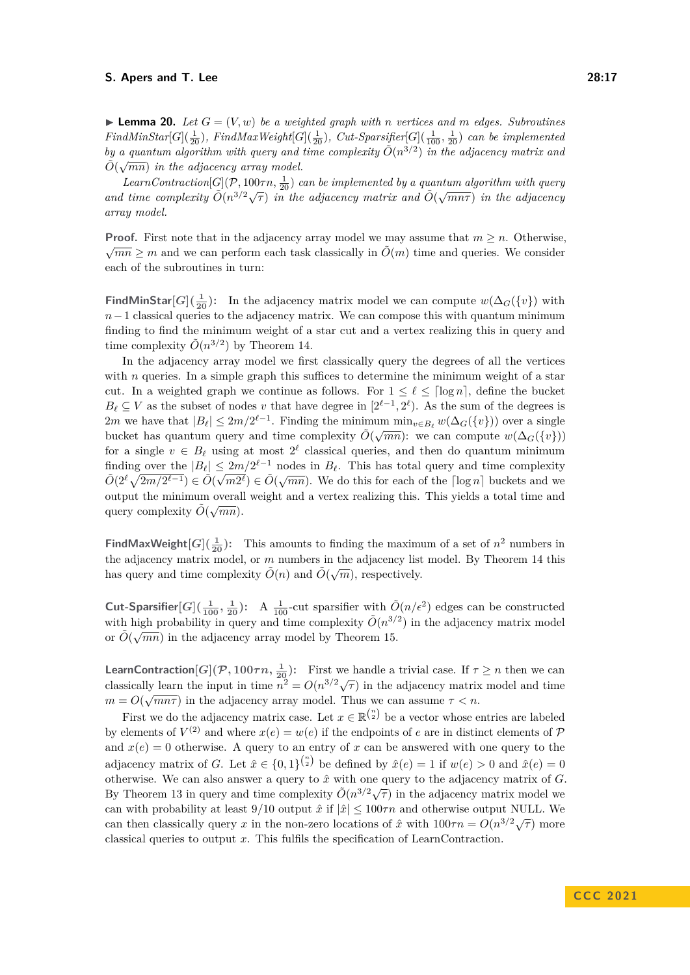$\blacktriangleright$  **Lemma 20.** Let  $G = (V, w)$  be a weighted graph with *n* vertices and *m* edges. Subroutines  $FindMinStar[G](\frac{1}{20})$ *, FindMaxWeight*[ $G](\frac{1}{20})$ *, Cut-Sparsifier*[ $G](\frac{1}{100}, \frac{1}{20})$  *can be implemented by a quantum algorithm with query and time complexity*  $\tilde{O}(n^{3/2})$  *in the adjacency matrix and*  $\tilde{O}(n^{3/2})$  $\tilde{O}(\sqrt{mn})$  in the adjacency array model.

*LearnContraction*[ $G$ ]( $P$ , 100 $\tau n$ ,  $\frac{1}{20}$ ) *can be implemented by a quantum algorithm with query and time complexity*  $\tilde{O}(n^{3/2}\sqrt{\tau})$  *in the adjacency matrix and*  $\tilde{O}(\sqrt{mn\tau})$  *in the adjacency array model.*

**Proof.** First note that in the adjacency array model we may assume that  $m \geq n$ . Otherwise,  $\sqrt{mn}$  > *m* and we can perform each task classically in  $\tilde{O}(m)$  time and queries. We consider each of the subroutines in turn:

**FindMinStar**[ $G$ ]( $\frac{1}{20}$ ): In the adjacency matrix model we can compute  $w(\Delta_G(\{v\})$  with  $n-1$  classical queries to the adjacency matrix. We can compose this with quantum minimum finding to find the minimum weight of a star cut and a vertex realizing this in query and time complexity  $\tilde{O}(n^{3/2})$  by Theorem [14.](#page-11-0)

In the adjacency array model we first classically query the degrees of all the vertices with *n* queries. In a simple graph this suffices to determine the minimum weight of a star cut. In a weighted graph we continue as follows. For  $1 \leq \ell \leq \lceil \log n \rceil$ , define the bucket  $B_{\ell} \subseteq V$  as the subset of nodes *v* that have degree in  $[2^{\ell-1}, 2^{\ell})$ . As the sum of the degrees is 2*m* we have that  $|B_{\ell}| \leq 2m/2^{\ell-1}$ . Finding the minimum  $\min_{v \in B_{\ell}} w(\Delta_G(\{v\}))$  over a single bucket has quantum query and time complexity  $\tilde{O}(\sqrt{mn})$ : we can compute  $w(\Delta_G({v}))$ <br>bucket has quantum query and time complexity  $\tilde{O}(\sqrt{mn})$ : we can compute  $w(\Delta_G({v}))$ for a single  $v \in B_{\ell}$  using at most  $2^{\ell}$  classical queries, and then do quantum minimum finding over the  $|B_\ell| \leq 2m/2^{\ell-1}$  nodes in  $B_\ell$ . This has total query and time complexity  $\tilde{O}(2^{\ell}\sqrt{2m/2^{\ell-1}}) \in \tilde{O}(\sqrt{m2^{\ell}}) \in \tilde{O}(\sqrt{mn})$ . We do this for each of the  $\lceil \log n \rceil$  buckets and we output the minimum overall weight and a vertex realizing this. This yields a total time and query complexity  $\tilde{O}(\sqrt{mn})$ .

**FindMaxWeight** $[G](\frac{1}{20})$ : This amounts to finding the maximum of a set of  $n^2$  numbers in the adjacency matrix model, or *m* numbers in the adjacency list model. By Theorem [14](#page-11-0) this has query and time complexity  $\tilde{O}(n)$  and  $\tilde{O}(\sqrt{m})$ , respectively.

**Cut-Sparsifier**<sup>[*G*</sup>]( $\frac{1}{100}$ ,  $\frac{1}{20}$ ): A  $\frac{1}{100}$ -cut sparsifier with  $\tilde{O}(n/\epsilon^2)$  edges can be constructed with high probability in query and time complexity  $\tilde{O}(n^{3/2})$  in the adjacency matrix model or  $\tilde{O}(\sqrt{mn})$  in the adjacency array model by Theorem [15.](#page-11-1)

**LearnContraction** $[G](\mathcal{P}, 100\tau n, \frac{1}{20})$ : First we handle a trivial case. If  $\tau \geq n$  then we can classically learn the input in time  $n^2 = O(n^{3/2}\sqrt{\tau})$  in the adjacency matrix model and time  $m = O(\sqrt{mn\tau})$  in the adjacency array model. Thus we can assume  $\tau < n$ .

First we do the adjacency matrix case. Let  $x \in \mathbb{R}^{n \choose 2}$  be a vector whose entries are labeled by elements of  $V^{(2)}$  and where  $x(e) = w(e)$  if the endpoints of *e* are in distinct elements of  $P$ and  $x(e) = 0$  otherwise. A query to an entry of x can be answered with one query to the adjacency matrix of *G*. Let  $\hat{x} \in \{0,1\}^{n \choose 2}$  be defined by  $\hat{x}(e) = 1$  if  $w(e) > 0$  and  $\hat{x}(e) = 0$ otherwise. We can also answer a query to  $\hat{x}$  with one query to the adjacency matrix of  $G$ . By Theorem [13](#page-10-2) in query and time complexity  $\tilde{O}(n^{3/2}\sqrt{\tau})$  in the adjacency matrix model we by Theorem 13 in query and time complexity  $\tilde{O}(n^{3/2}\sqrt{\tau})$  in the adjacency matrix model we can with probability at least  $9/10$  output  $\hat{x}$  if  $|\hat{x}| \leq 100 \tau n$  and otherwise output NULL. We can then classically query *x* in the non-zero locations of  $\hat{x}$  with  $100\tau n = O(n^{3/2}\sqrt{\tau})$  more classical queries to output *x*. This fulfils the specification of LearnContraction.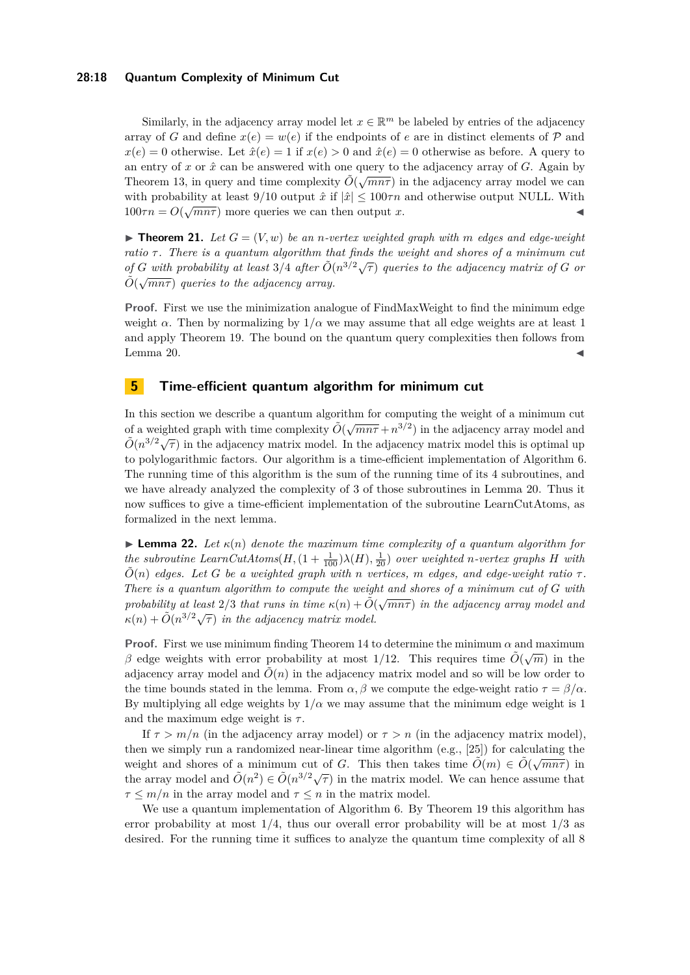## **28:18 Quantum Complexity of Minimum Cut**

Similarly, in the adjacency array model let  $x \in \mathbb{R}^m$  be labeled by entries of the adjacency array of *G* and define  $x(e) = w(e)$  if the endpoints of *e* are in distinct elements of  $P$  and  $x(e) = 0$  otherwise. Let  $\hat{x}(e) = 1$  if  $x(e) > 0$  and  $\hat{x}(e) = 0$  otherwise as before. A query to an entry of *x* or  $\hat{x}$  can be answered with one query to the adjacency array of *G*. Again by Theorem [13,](#page-10-2) in query and time complexity  $\tilde{O}(\sqrt{mn\tau})$  in the adjacency array model we can with probability at least 9/10 output  $\hat{x}$  if  $|\hat{x}| \le 100\tau n$  and otherwise output NULL. With  $100\tau n = O(\sqrt{mn\tau})$  more queries we can then output *x*.

<span id="page-17-0"></span> $\blacktriangleright$  **Theorem 21.** Let  $G = (V, w)$  be an *n*-vertex weighted graph with m edges and edge-weight *ratio*  $\tau$ . There is a quantum algorithm that finds the weight and shores of a minimum cut *of G* with probability at least 3/4 after  $\tilde{O}(n^{3/2}\sqrt{\tau})$  queries to the adjacency matrix of *G* or  $\tilde{O}(\sqrt{\tau})$  $\tilde{O}(\sqrt{mn\tau})$  queries to the adjacency array.

**Proof.** First we use the minimization analogue of FindMaxWeight to find the minimum edge weight  $\alpha$ . Then by normalizing by  $1/\alpha$  we may assume that all edge weights are at least 1 and apply Theorem [19.](#page-15-0) The bound on the quantum query complexities then follows from Lemma [20.](#page-15-2)  $\blacktriangleleft$ 

## <span id="page-17-1"></span>**5 Time-efficient quantum algorithm for minimum cut**

In this section we describe a quantum algorithm for computing the weight of a minimum cut of a weighted graph with time complexity  $\tilde{O}(\sqrt{mn\tau} + n^{3/2})$  in the adjacency array model and  $\tilde{O}(n^{3/2}\sqrt{\tau})$  in the adjacency matrix model. In the adjacency matrix model this is optimal up to polylogarithmic factors. Our algorithm is a time-efficient implementation of Algorithm [6.](#page-15-1) The running time of this algorithm is the sum of the running time of its 4 subroutines, and we have already analyzed the complexity of 3 of those subroutines in Lemma [20.](#page-15-2) Thus it now suffices to give a time-efficient implementation of the subroutine LearnCutAtoms, as formalized in the next lemma.

<span id="page-17-2"></span>**Lemma 22.** Let  $\kappa(n)$  denote the maximum time complexity of a quantum algorithm for  $the$  subroutine  $LearnCutAtoms(H, (1 + \frac{1}{100})\lambda(H), \frac{1}{20})$  *over weighted n-vertex graphs H with*  $\tilde{O}(n)$  *edges. Let G be a weighted graph with n vertices, m edges,* and *edge-weight ratio*  $\tau$ . *There is a quantum algorithm to compute the weight and shores of a minimum cut of G with probability at least*  $2/3$  *that runs in time*  $\kappa(n) + \tilde{O}(\sqrt{mn\tau})$  *in the adjacency array model and probability at least*  $2/3$  *that runs in time*  $\kappa(n) + \tilde{O}(\sqrt{mn\tau})$  *in the adjacency array model and*  $\kappa(n) + \tilde{O}(n^{3/2}\sqrt{\tau})$  in the adjacency matrix model.

**Proof.** First we use minimum finding Theorem [14](#page-11-0) to determine the minimum  $\alpha$  and maximum β edge weights with error probability at most 1/12. This requires time  $\tilde{O}(\sqrt{m})$  in the adjacency array model and  $\tilde{O}(n)$  in the adjacency matrix model and so will be low order to the time bounds stated in the lemma. From  $\alpha$ ,  $\beta$  we compute the edge-weight ratio  $\tau = \beta/\alpha$ . By multiplying all edge weights by  $1/\alpha$  we may assume that the minimum edge weight is 1 and the maximum edge weight is  $\tau$ .

If  $\tau > m/n$  (in the adjacency array model) or  $\tau > n$  (in the adjacency matrix model), then we simply run a randomized near-linear time algorithm (e.g., [\[25\]](#page-29-4)) for calculating the weight and shores of a minimum cut of *G*. This then takes time  $\tilde{O}(m) \in \tilde{O}(\sqrt{mn\tau})$  in the array model and  $\tilde{O}(n^2) \in \tilde{O}(n^{3/2}\sqrt{\tau})$  in the matrix model. We can hence assume that  $\tau \leq m/n$  in the array model and  $\tau \leq n$  in the matrix model.

We use a quantum implementation of Algorithm [6.](#page-15-1) By Theorem [19](#page-15-0) this algorithm has error probability at most 1*/*4, thus our overall error probability will be at most 1*/*3 as desired. For the running time it suffices to analyze the quantum time complexity of all 8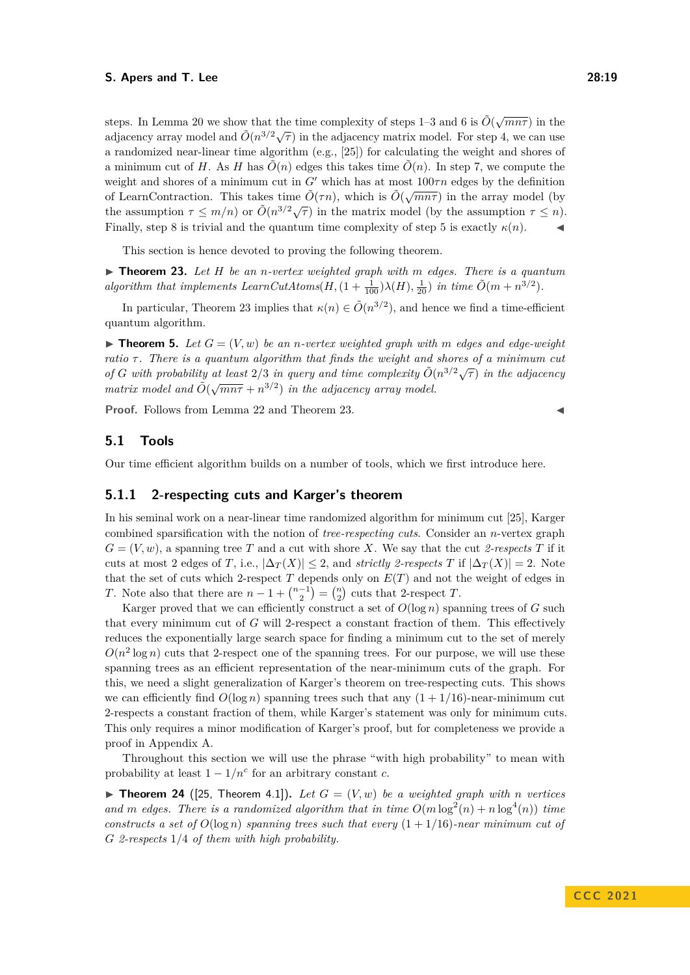steps. In Lemma [20](#page-15-2) we show that the time complexity of steps 1–3 and 6 is  $\tilde{O}(\sqrt{mn\tau})$  in the adjacency array model and  $\tilde{O}(n^{3/2}\sqrt{\tau})$  in the adjacency matrix model. For step 4, we can use a randomized near-linear time algorithm (e.g., [\[25\]](#page-29-4)) for calculating the weight and shores of a minimum cut of *H*. As *H* has  $\tilde{O}(n)$  edges this takes time  $\tilde{O}(n)$ . In step 7, we compute the weight and shores of a minimum cut in *G*′ which has at most 100*τn* edges by the definition of LearnContraction. This takes time  $\tilde{O}(\tau n)$ , which is  $\tilde{O}(\sqrt{mn\tau})$  in the array model (by the assumption *τ* ≤ *m*/*n*) or  $\tilde{O}(n^{3/2}\sqrt{\tau})$  in the matrix model (by the assumption  $\tau$  ≤ *n*). Finally, step 8 is trivial and the quantum time complexity of step 5 is exactly  $\kappa(n)$ .

This section is hence devoted to proving the following theorem.

<span id="page-18-0"></span>▶ **Theorem 23.** *Let H be an n-vertex weighted graph with m edges. There is a quantum algorithm that implements LearnCutAtoms* $(H, (1 + \frac{1}{100})\lambda(H), \frac{1}{20})$  *in time*  $\tilde{O}(m + n^{3/2})$ *.* 

In particular, Theorem [23](#page-18-0) implies that  $\kappa(n) \in \tilde{O}(n^{3/2})$ , and hence we find a time-efficient quantum algorithm.

 $\blacktriangleright$  **Theorem 5.** Let  $G = (V, w)$  be an *n*-vertex weighted graph with m edges and edge-weight *ratio τ . There is a quantum algorithm that finds the weight and shores of a minimum cut of G* with probability at least 2/3 in query and time complexity  $\tilde{O}(n^{3/2}\sqrt{\tau})$  in the adjacency *of*  $G$  with probability at itself  $2/3$  in query and time complexity  $O(\sqrt{m}n\tau + n^{3/2})$  in the adjacency array model.

**Proof.** Follows from Lemma [22](#page-17-2) and Theorem [23.](#page-18-0)

## **5.1 Tools**

Our time efficient algorithm builds on a number of tools, which we first introduce here.

## **5.1.1 2-respecting cuts and Karger's theorem**

In his seminal work on a near-linear time randomized algorithm for minimum cut [\[25\]](#page-29-4), Karger combined sparsification with the notion of *tree-respecting cuts*. Consider an *n*-vertex graph  $G = (V, w)$ , a spanning tree *T* and a cut with shore *X*. We say that the cut 2-respects *T* if it cuts at most 2 edges of *T*, i.e.,  $|\Delta_T(X)| \leq 2$ , and *strictly 2-respects T* if  $|\Delta_T(X)| = 2$ . Note that the set of cuts which 2-respect  $T$  depends only on  $E(T)$  and not the weight of edges in *T*. Note also that there are  $n - 1 + {n-1 \choose 2} = {n \choose 2}$  cuts that 2-respect *T*.

Karger proved that we can efficiently construct a set of  $O(\log n)$  spanning trees of  $G$  such that every minimum cut of *G* will 2-respect a constant fraction of them. This effectively reduces the exponentially large search space for finding a minimum cut to the set of merely  $O(n^2 \log n)$  cuts that 2-respect one of the spanning trees. For our purpose, we will use these spanning trees as an efficient representation of the near-minimum cuts of the graph. For this, we need a slight generalization of Karger's theorem on tree-respecting cuts. This shows we can efficiently find  $O(\log n)$  spanning trees such that any  $(1 + 1/16)$ -near-minimum cut 2-respects a constant fraction of them, while Karger's statement was only for minimum cuts. This only requires a minor modification of Karger's proof, but for completeness we provide a proof in Appendix [A.](#page-30-1)

Throughout this section we will use the phrase "with high probability" to mean with probability at least  $1 - 1/n^c$  for an arbitrary constant *c*.

<span id="page-18-1"></span> $\blacktriangleright$  **Theorem 24** ([\[25,](#page-29-4) Theorem 4.1]). Let  $G = (V, w)$  be a weighted graph with *n* vertices and *m* edges. There is a randomized algorithm that in time  $O(m \log^2(n) + n \log^4(n))$  time *constructs a set of*  $O(\log n)$  *spanning trees such that every*  $(1 + 1/16)$ *-near minimum cut of G 2-respects* 1*/*4 *of them with high probability.*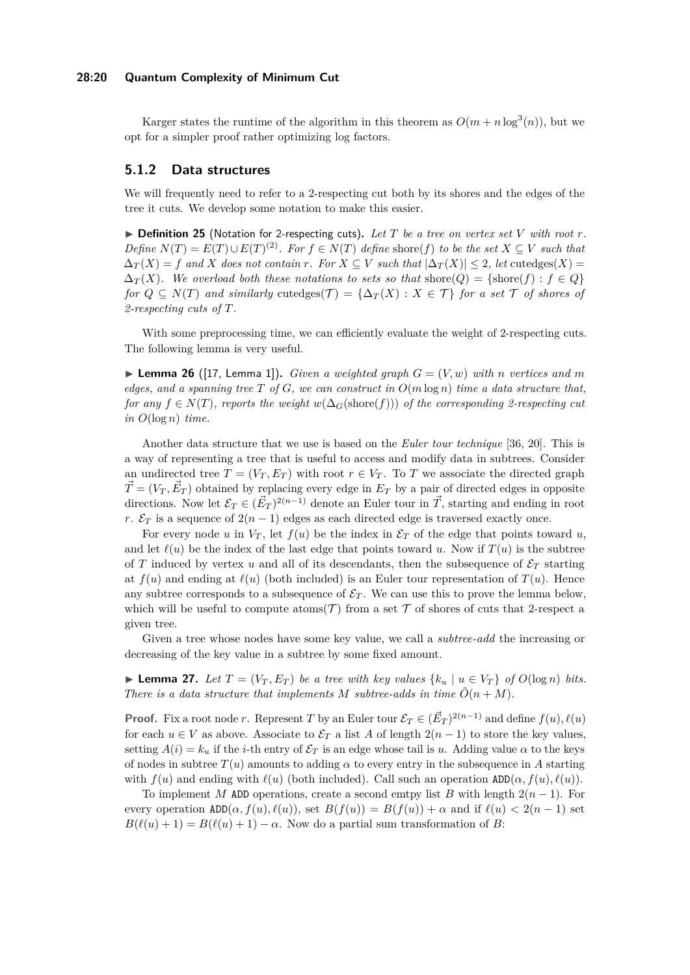## **28:20 Quantum Complexity of Minimum Cut**

Karger states the runtime of the algorithm in this theorem as  $O(m + n \log^3(n))$ , but we opt for a simpler proof rather optimizing log factors.

## **5.1.2 Data structures**

We will frequently need to refer to a 2-respecting cut both by its shores and the edges of the tree it cuts. We develop some notation to make this easier.

 $\triangleright$  **Definition 25** (Notation for 2-respecting cuts). Let T be a tree on vertex set V with root r. *Define*  $N(T) = E(T) \cup E(T)^{(2)}$ *. For*  $f \in N(T)$  *define* shore(*f*) *to be the set*  $X ⊆ V$  *such that*  $\Delta_T(X) = f$  and *X* does not contain *r*. For  $X \subseteq V$  such that  $|\Delta_T(X)| \leq 2$ , let cutedges(*X*) =  $\Delta_T(X)$ . We overload both these notations to sets so that shore(Q) = {shore(f) :  $f \in Q$ } *for*  $Q \subseteq N(T)$  *and similarly* cutedges $(T) = {\Delta_T(X) : X \in T}$  *for a set* T *of shores of 2-respecting cuts of T.*

With some preprocessing time, we can efficiently evaluate the weight of 2-respecting cuts. The following lemma is very useful.

<span id="page-19-0"></span> $\blacktriangleright$  **Lemma 26** ([\[17,](#page-29-11) Lemma 1]). *Given a weighted graph*  $G = (V, w)$  *with n vertices and m edges, and a spanning tree*  $T$  *of*  $G$ *, we can construct in*  $O(m \log n)$  *time a data structure that, for any*  $f \in N(T)$ , reports the weight  $w(\Delta_G(\text{shore}(f)))$  of the corresponding 2-respecting cut  $in$   $O(log n)$   $time.$ 

Another data structure that we use is based on the *Euler tour technique* [\[36,](#page-30-2) [20\]](#page-29-12). This is a way of representing a tree that is useful to access and modify data in subtrees. Consider an undirected tree  $T = (V_T, E_T)$  with root  $r \in V_T$ . To *T* we associate the directed graph  $\vec{T} = (V_T, \vec{E}_T)$  obtained by replacing every edge in  $E_T$  by a pair of directed edges in opposite directions. Now let  $\mathcal{E}_T \in (\vec{E}_T)^{2(n-1)}$  denote an Euler tour in  $\vec{T}$ , starting and ending in root *r*.  $\mathcal{E}_T$  is a sequence of  $2(n-1)$  edges as each directed edge is traversed exactly once.

For every node *u* in  $V_T$ , let  $f(u)$  be the index in  $\mathcal{E}_T$  of the edge that points toward *u*, and let  $\ell(u)$  be the index of the last edge that points toward *u*. Now if  $T(u)$  is the subtree of *T* induced by vertex *u* and all of its descendants, then the subsequence of  $\mathcal{E}_T$  starting at  $f(u)$  and ending at  $\ell(u)$  (both included) is an Euler tour representation of  $T(u)$ . Hence any subtree corresponds to a subsequence of  $\mathcal{E}_T$ . We can use this to prove the lemma below, which will be useful to compute atoms  $(\mathcal{T})$  from a set  $\mathcal T$  of shores of cuts that 2-respect a given tree.

Given a tree whose nodes have some key value, we call a *subtree-add* the increasing or decreasing of the key value in a subtree by some fixed amount.

<span id="page-19-1"></span>▶ **Lemma 27.** *Let*  $T = (V_T, E_T)$  *be a tree with key values*  $\{k_u | u \in V_T\}$  *of*  $O(\log n)$  *bits. There is a data structure that implements*  $M$  *subtree-adds in time*  $\tilde{O}(n + M)$ *.* 

**Proof.** Fix a root node *r*. Represent *T* by an Euler tour  $\mathcal{E}_T \in (\vec{E}_T)^{2(n-1)}$  and define  $f(u), \ell(u)$ for each  $u \in V$  as above. Associate to  $\mathcal{E}_T$  a list *A* of length  $2(n-1)$  to store the key values, setting  $A(i) = k_u$  if the *i*-th entry of  $\mathcal{E}_T$  is an edge whose tail is *u*. Adding value  $\alpha$  to the keys of nodes in subtree  $T(u)$  amounts to adding  $\alpha$  to every entry in the subsequence in A starting with  $f(u)$  and ending with  $\ell(u)$  (both included). Call such an operation  $ADD(\alpha, f(u), \ell(u))$ .

To implement *M* ADD operations, create a second emtpy list *B* with length  $2(n-1)$ . For every operation  $ADD(\alpha, f(u), \ell(u))$ , set  $B(f(u)) = B(f(u)) + \alpha$  and if  $\ell(u) < 2(n-1)$  set  $B(\ell(u) + 1) = B(\ell(u) + 1) - \alpha$ . Now do a partial sum transformation of *B*: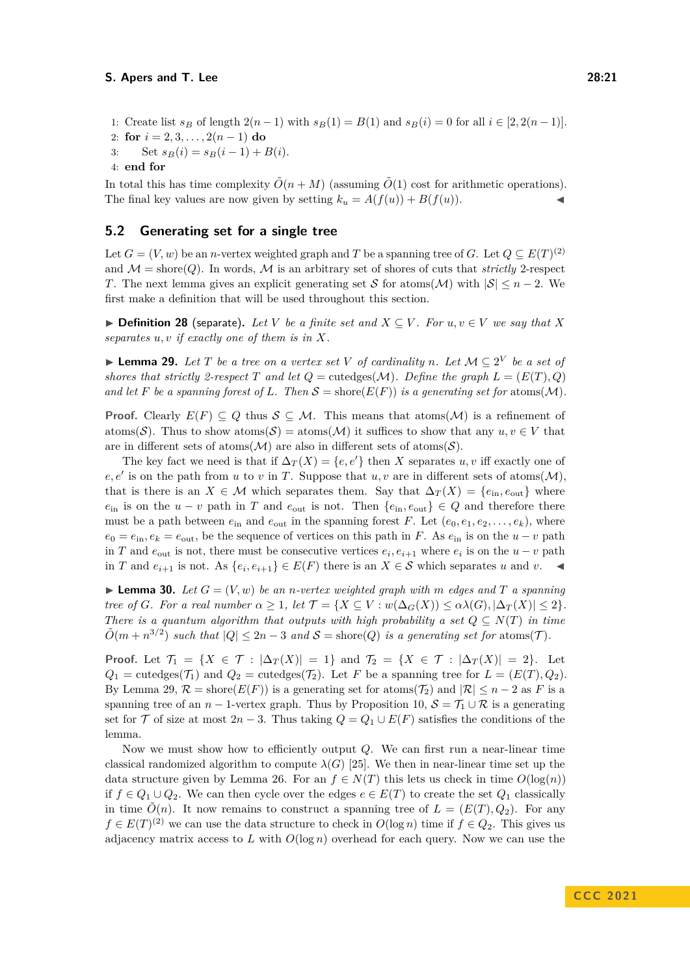1: Create list  $s_B$  of length  $2(n-1)$  with  $s_B(1) = B(1)$  and  $s_B(i) = 0$  for all  $i \in [2, 2(n-1)]$ .

```
2: for i = 2, 3, \ldots, 2(n-1) do
```
3: Set  $s_B(i) = s_B(i-1) + B(i)$ .

```
4: end for
```
In total this has time complexity  $\tilde{O}(n + M)$  (assuming  $\tilde{O}(1)$  cost for arithmetic operations). The final key values are now given by setting  $k_u = A(f(u)) + B(f(u))$ .

## **5.2 Generating set for a single tree**

Let  $G = (V, w)$  be an *n*-vertex weighted graph and *T* be a spanning tree of *G*. Let  $Q \subseteq E(T)^{(2)}$ and  $\mathcal{M} =$  shore(*Q*). In words,  $\mathcal{M}$  is an arbitrary set of shores of cuts that *strictly* 2-respect *T*. The next lemma gives an explicit generating set S for atoms(M) with  $|S| \le n - 2$ . We first make a definition that will be used throughout this section.

▶ **Definition 28** (separate). Let *V* be a finite set and  $X \subseteq V$ . For  $u, v \in V$  we say that  $X$ *separates u, v if exactly one of them is in X.*

<span id="page-20-0"></span>▶ **Lemma 29.** Let T be a tree on a vertex set V of cardinality n. Let  $M ⊆ 2^V$  be a set of *shores that strictly 2-respect T* and let  $Q = \text{cutedges}(M)$ *. Define the graph*  $L = (E(T), Q)$ and let F be a spanning forest of L. Then  $S =$  shore $(E(F))$  is a generating set for atoms(M).

**Proof.** Clearly  $E(F) \subseteq Q$  thus  $S \subseteq M$ . This means that atoms(M) is a refinement of atoms(S). Thus to show atoms(S) = atoms(M) it suffices to show that any  $u, v \in V$  that are in different sets of atoms( $\mathcal{M}$ ) are also in different sets of atoms( $\mathcal{S}$ ).

The key fact we need is that if  $\Delta_T(X) = \{e, e'\}$  then *X* separates *u, v* iff exactly one of  $e, e'$  is on the path from *u* to *v* in *T*. Suppose that *u, v* are in different sets of atoms( $M$ ), that is there is an  $X \in \mathcal{M}$  which separates them. Say that  $\Delta_T(X) = \{e_{in}, e_{out}\}\$  where *e*<sub>in</sub> is on the *u* − *v* path in *T* and  $e_{\text{out}}$  is not. Then  $\{e_{\text{in}}, e_{\text{out}}\} \in Q$  and therefore there must be a path between  $e_{\text{in}}$  and  $e_{\text{out}}$  in the spanning forest *F*. Let  $(e_0, e_1, e_2, \ldots, e_k)$ , where  $e_0 = e_{\text{in}}$ ,  $e_k = e_{\text{out}}$ , be the sequence of vertices on this path in *F*. As  $e_{\text{in}}$  is on the  $u - v$  path in *T* and  $e_{\text{out}}$  is not, there must be consecutive vertices  $e_i, e_{i+1}$  where  $e_i$  is on the  $u - v$  path in *T* and  $e_{i+1}$  is not. As  $\{e_i, e_{i+1}\}\in E(F)$  there is an *X* ∈ S which separates *u* and *v*. ◀

<span id="page-20-1"></span> $\blacktriangleright$  **Lemma 30.** Let  $G = (V, w)$  be an *n*-vertex weighted graph with m edges and T a spanning *tree of G. For a real number*  $\alpha \geq 1$ *, let*  $\mathcal{T} = \{X \subseteq V : w(\Delta_G(X)) \leq \alpha \lambda(G), |\Delta_T(X)| \leq 2\}$ . *There is a quantum algorithm that outputs with high probability a set*  $Q \subseteq N(T)$  *in time*  $\tilde{O}(m + n^{3/2})$  *such that*  $|Q| \leq 2n - 3$  *and*  $S =$  shore(*Q*) *is a generating set for* atoms(*T*).

**Proof.** Let  $\mathcal{T}_1 = \{X \in \mathcal{T} : |\Delta_T(X)| = 1\}$  and  $\mathcal{T}_2 = \{X \in \mathcal{T} : |\Delta_T(X)| = 2\}$ . Let  $Q_1$  = cutedges( $\mathcal{T}_1$ ) and  $Q_2$  = cutedges( $\mathcal{T}_2$ ). Let *F* be a spanning tree for  $L = (E(T), Q_2)$ . By Lemma [29,](#page-20-0)  $\mathcal{R} = \text{shore}(E(F))$  is a generating set for atoms( $\mathcal{T}_2$ ) and  $|\mathcal{R}| \leq n - 2$  as *F* is a spanning tree of an *n* − 1-vertex graph. Thus by Proposition [10,](#page-9-0)  $S = \mathcal{T}_1 \cup \mathcal{R}$  is a generating set for  $\mathcal T$  of size at most  $2n-3$ . Thus taking  $Q = Q_1 \cup E(F)$  satisfies the conditions of the lemma.

Now we must show how to efficiently output *Q*. We can first run a near-linear time classical randomized algorithm to compute  $\lambda(G)$  [\[25\]](#page-29-4). We then in near-linear time set up the data structure given by Lemma [26.](#page-19-0) For an  $f \in N(T)$  this lets us check in time  $O(\log(n))$ if *f* ∈ *Q*<sup>1</sup> ∪ *Q*2. We can then cycle over the edges *e* ∈ *E*(*T*) to create the set *Q*<sup>1</sup> classically in time  $\tilde{O}(n)$ . It now remains to construct a spanning tree of  $L = (E(T), Q_2)$ . For any *f* ∈ *E*(*T*)<sup>(2)</sup> we can use the data structure to check in *O*(log *n*) time if *f* ∈  $Q_2$ . This gives us adjacency matrix access to  $L$  with  $O(\log n)$  overhead for each query. Now we can use the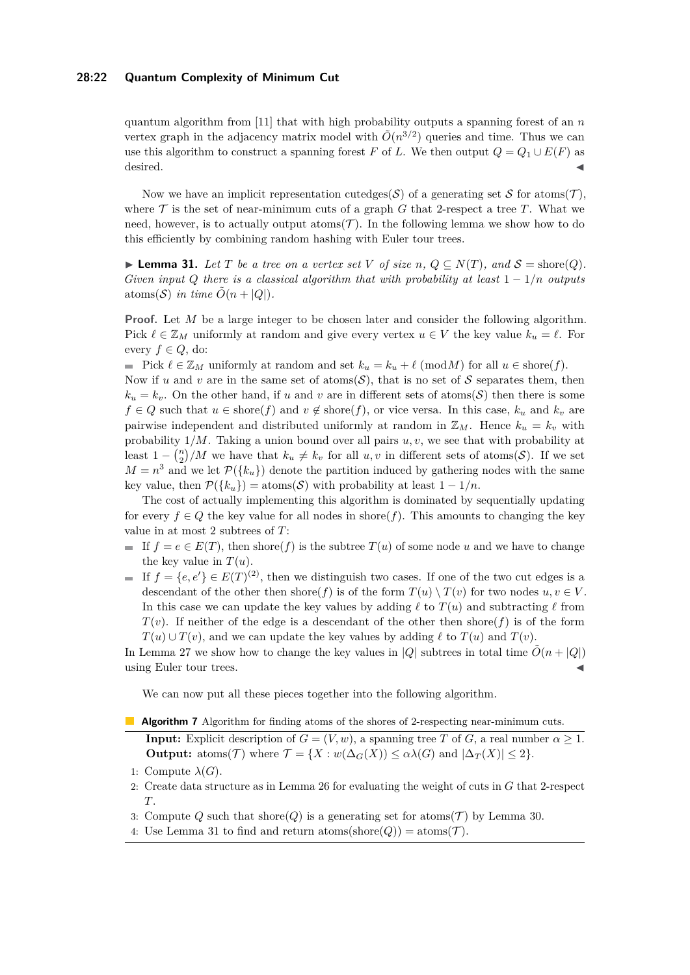## **28:22 Quantum Complexity of Minimum Cut**

quantum algorithm from [\[11\]](#page-28-2) that with high probability outputs a spanning forest of an *n* vertex graph in the adjacency matrix model with  $\tilde{O}(n^{3/2})$  queries and time. Thus we can use this algorithm to construct a spanning forest *F* of *L*. We then output  $Q = Q_1 \cup E(F)$  as desired. ◀

Now we have an implicit representation cutedges(S) of a generating set S for atoms(T), where  $\mathcal T$  is the set of near-minimum cuts of a graph  $G$  that 2-respect a tree  $T$ . What we need, however, is to actually output atoms  $(\mathcal{T})$ . In the following lemma we show how to do this efficiently by combining random hashing with Euler tour trees.

<span id="page-21-0"></span>▶ **Lemma 31.** *Let*  $T$  *be a tree on a vertex set*  $V$  *of size*  $n, Q \subseteq N(T)$ *, and*  $S = \text{shore}(Q)$ *. Given input Q* there is a classical algorithm that with probability at least  $1 - 1/n$  *outputs* atoms(S) in time  $\tilde{O}(n + |Q|)$ .

**Proof.** Let *M* be a large integer to be chosen later and consider the following algorithm. Pick  $\ell \in \mathbb{Z}_M$  uniformly at random and give every vertex  $u \in V$  the key value  $k_u = \ell$ . For every  $f \in Q$ , do:

■ Pick  $\ell \in \mathbb{Z}_M$  uniformly at random and set  $k_u = k_u + \ell \pmod{M}$  for all  $u \in \text{shore}(f)$ .

Now if *u* and *v* are in the same set of atoms( $S$ ), that is no set of S separates them, then  $k_u = k_v$ . On the other hand, if *u* and *v* are in different sets of atoms(S) then there is some *f* ∈ *Q* such that *u* ∈ shore(*f*) and *v* ∉ shore(*f*), or vice versa. In this case,  $k_u$  and  $k_v$  are pairwise independent and distributed uniformly at random in  $\mathbb{Z}_M$ . Hence  $k_u = k_v$  with probability 1*/M*. Taking a union bound over all pairs *u, v*, we see that with probability at least  $1 - {n \choose 2}/M$  we have that  $k_u \neq k_v$  for all  $u, v$  in different sets of atoms(S). If we set  $M = n<sup>3</sup>$  and we let  $\mathcal{P}(\lbrace k_u \rbrace)$  denote the partition induced by gathering nodes with the same key value, then  $\mathcal{P}(\{k_u\}) = \text{atoms}(\mathcal{S})$  with probability at least  $1 - 1/n$ .

The cost of actually implementing this algorithm is dominated by sequentially updating for every  $f \in Q$  the key value for all nodes in shore(*f*). This amounts to changing the key value in at most 2 subtrees of *T*:

- If  $f = e \in E(T)$ , then shore( $f$ ) is the subtree  $T(u)$  of some node *u* and we have to change the key value in  $T(u)$ .
- If  $f = \{e, e'\} \in E(T)^{(2)}$ , then we distinguish two cases. If one of the two cut edges is a descendant of the other then shore(*f*) is of the form  $T(u) \setminus T(v)$  for two nodes  $u, v \in V$ . In this case we can update the key values by adding  $\ell$  to  $T(u)$  and subtracting  $\ell$  from  $T(v)$ . If neither of the edge is a descendant of the other then shore(*f*) is of the form  $T(u) \cup T(v)$ , and we can update the key values by adding  $\ell$  to  $T(u)$  and  $T(v)$ .

In Lemma [27](#page-19-1) we show how to change the key values in  $|Q|$  subtrees in total time  $\tilde{O}(n + |Q|)$ using Euler tour trees.

We can now put all these pieces together into the following algorithm.

<span id="page-21-1"></span>**Algorithm 7** Algorithm for finding atoms of the shores of 2-respecting near-minimum cuts.

**Input:** Explicit description of  $G = (V, w)$ , a spanning tree *T* of *G*, a real number  $\alpha \geq 1$ . **Output:** atoms(*T*) where  $\mathcal{T} = \{X : w(\Delta_G(X)) \leq \alpha \lambda(G) \text{ and } |\Delta_T(X)| \leq 2\}.$ 

- 2: Create data structure as in Lemma [26](#page-19-0) for evaluating the weight of cuts in *G* that 2-respect *T*.
- 3: Compute Q such that shore $(Q)$  is a generating set for atoms  $(\mathcal{T})$  by Lemma [30.](#page-20-1)
- <span id="page-21-2"></span>4: Use Lemma [31](#page-21-0) to find and return atoms(shore(Q)) = atoms( $\mathcal{T}$ ).

<sup>1:</sup> Compute  $\lambda(G)$ .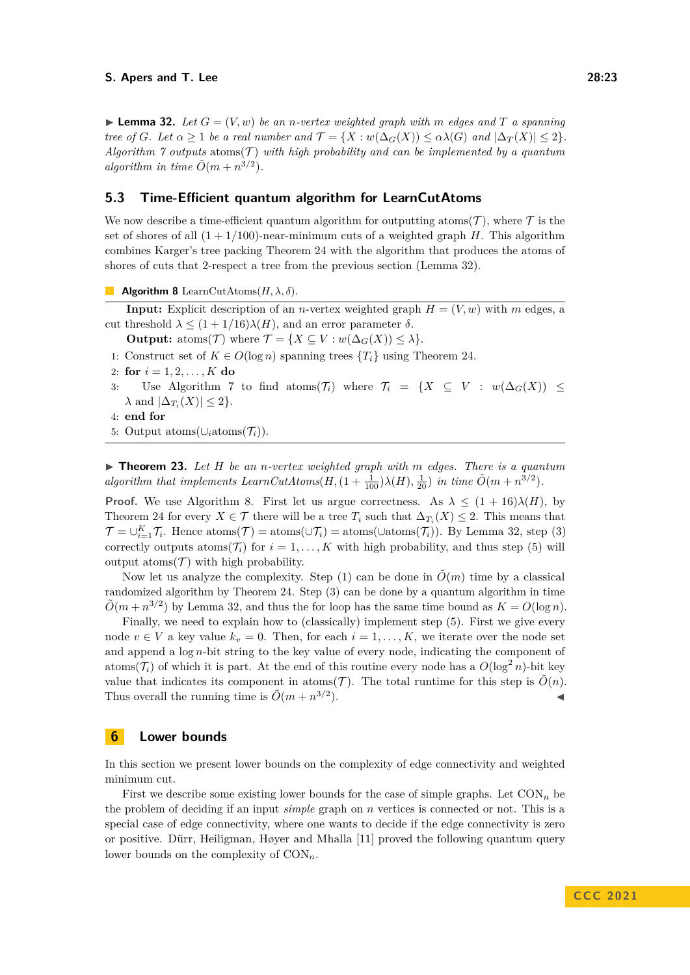$\blacktriangleright$  **Lemma 32.** Let  $G = (V, w)$  be an *n*-vertex weighted graph with m edges and T a spanning *tree of G. Let*  $\alpha \geq 1$  *be a real number and*  $\mathcal{T} = \{X : w(\Delta_G(X)) \leq \alpha \lambda(G) \text{ and } |\Delta_T(X)| \leq 2\}.$ *Algorithm*  $\gamma$  *outputs* atoms( $\mathcal{T}$ ) *with high probability and can be implemented by a quantum algorithm in time*  $\tilde{O}(m + n^{3/2})$ *.* 

## **5.3 Time-Efficient quantum algorithm for LearnCutAtoms**

We now describe a time-efficient quantum algorithm for outputting atoms( $\mathcal T$ ), where  $\mathcal T$  is the set of shores of all  $(1 + 1/100)$ -near-minimum cuts of a weighted graph *H*. This algorithm combines Karger's tree packing Theorem [24](#page-18-1) with the algorithm that produces the atoms of shores of cuts that 2-respect a tree from the previous section (Lemma [32\)](#page-21-2).

<span id="page-22-0"></span>**Algorithm 8** LearnCutAtoms $(H, \lambda, \delta)$ .

**Input:** Explicit description of an *n*-vertex weighted graph  $H = (V, w)$  with *m* edges, a cut threshold *λ* ≤ (1 + 1*/*16)*λ*(*H*), and an error parameter *δ*.

- **Output:** atoms(*T*) where  $\mathcal{T} = \{X \subseteq V : w(\Delta_G(X)) \leq \lambda\}.$
- 1: Construct set of  $K \in O(\log n)$  spanning trees  $\{T_i\}$  using Theorem [24.](#page-18-1)
- 2: **for**  $i = 1, 2, ..., K$  **do**
- 3: Use Algorithm [7](#page-21-1) to find atoms( $\mathcal{T}_i$ ) where  $\mathcal{T}_i = \{X \subseteq V : w(\Delta_G(X)) \leq$  $\lambda$  and  $|\Delta_{T_i}(X)| \leq 2$ .
- 4: **end for**
- 5: Output atoms(∪*i*atoms(T*i*)).

▶ **Theorem 23.** *Let H be an n-vertex weighted graph with m edges. There is a quantum algorithm that implements LearnCutAtoms* $(H, (1 + \frac{1}{100})\lambda(H), \frac{1}{20})$  *in time*  $\tilde{O}(m + n^{3/2})$ *.* 

**Proof.** We use Algorithm [8.](#page-22-0) First let us argue correctness. As  $\lambda \leq (1 + 16)\lambda(H)$ , by Theorem [24](#page-18-1) for every  $X \in \mathcal{T}$  there will be a tree  $T_i$  such that  $\Delta_{T_i}(X) \leq 2$ . This means that  $\mathcal{T} = \bigcup_{i=1}^K \mathcal{T}_i$ . Hence atoms $(\mathcal{T}) = \text{atoms}(\bigcup \mathcal{T}_i) = \text{atoms}(\bigcup \text{atoms}(\mathcal{T}_i))$ . By Lemma [32,](#page-21-2) step (3) correctly outputs atoms( $\mathcal{T}_i$ ) for  $i = 1, \ldots, K$  with high probability, and thus step (5) will output atoms  $(\mathcal{T})$  with high probability.

Now let us analyze the complexity. Step (1) can be done in  $\tilde{O}(m)$  time by a classical randomized algorithm by Theorem [24.](#page-18-1) Step (3) can be done by a quantum algorithm in time  $\tilde{O}(m + n^{3/2})$  by Lemma [32,](#page-21-2) and thus the for loop has the same time bound as  $K = O(\log n)$ .

Finally, we need to explain how to (classically) implement step  $(5)$ . First we give every node  $v \in V$  a key value  $k_v = 0$ . Then, for each  $i = 1, \ldots, K$ , we iterate over the node set and append a log *n*-bit string to the key value of every node, indicating the component of atoms( $\mathcal{T}_i$ ) of which it is part. At the end of this routine every node has a  $O(\log^2 n)$ -bit key value that indicates its component in atoms(T). The total runtime for this step is  $\tilde{O}(n)$ . Thus overall the running time is  $\tilde{O}(m + n^{3/2})$  $\blacksquare$ ).

## **6 Lower bounds**

In this section we present lower bounds on the complexity of edge connectivity and weighted minimum cut.

<span id="page-22-1"></span>First we describe some existing lower bounds for the case of simple graphs. Let  $CON_n$  be the problem of deciding if an input *simple* graph on *n* vertices is connected or not. This is a special case of edge connectivity, where one wants to decide if the edge connectivity is zero or positive. Dürr, Heiligman, Høyer and Mhalla [\[11\]](#page-28-2) proved the following quantum query lower bounds on the complexity of CON*n*.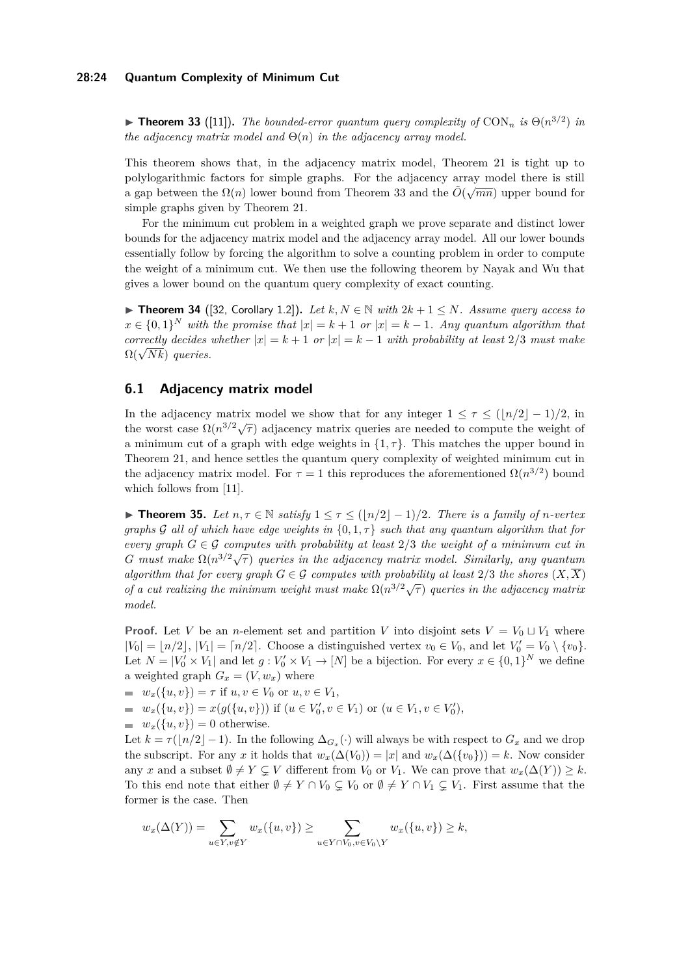$\blacktriangleright$  **Theorem 33** ([\[11\]](#page-28-2)). The bounded-error quantum query complexity of CON<sub>n</sub> is  $\Theta(n^{3/2})$  in *the adjacency matrix model and* Θ(*n*) *in the adjacency array model.*

This theorem shows that, in the adjacency matrix model, Theorem [21](#page-17-0) is tight up to polylogarithmic factors for simple graphs. For the adjacency array model there is still  $\alpha$  gap between the  $\Omega(n)$  lower bound from Theorem [33](#page-22-1) and the  $\tilde{O}(\sqrt{mn})$  upper bound for simple graphs given by Theorem [21.](#page-17-0)

For the minimum cut problem in a weighted graph we prove separate and distinct lower bounds for the adjacency matrix model and the adjacency array model. All our lower bounds essentially follow by forcing the algorithm to solve a counting problem in order to compute the weight of a minimum cut. We then use the following theorem by Nayak and Wu that gives a lower bound on the quantum query complexity of exact counting.

<span id="page-23-1"></span>▶ **Theorem 34** ([\[32,](#page-29-9) Corollary 1.2]). Let  $k, N \in \mathbb{N}$  with  $2k + 1 \leq N$ *. Assume query access to*  $x \in \{0,1\}^N$  *with the promise that*  $|x| = k + 1$  *or*  $|x| = k - 1$ *. Any quantum algorithm that correctly decides whether*  $|x| = k + 1$  *or*  $|x| = k - 1$  *with probability at least* 2/3 *must make*  $\Omega(\sqrt{Nk})$  *queries.* 

## **6.1 Adjacency matrix model**

In the adjacency matrix model we show that for any integer  $1 \leq \tau \leq (\lfloor n/2 \rfloor - 1)/2$ , in the worst case  $\Omega(n^{3/2}\sqrt{\tau})$  adjacency matrix queries are needed to compute the weight of a minimum cut of a graph with edge weights in  $\{1, \tau\}$ . This matches the upper bound in Theorem [21,](#page-17-0) and hence settles the quantum query complexity of weighted minimum cut in the adjacency matrix model. For  $\tau = 1$  this reproduces the aforementioned  $\Omega(n^{3/2})$  bound which follows from [\[11\]](#page-28-2).

<span id="page-23-0"></span>▶ **Theorem 35.** *Let*  $n, \tau \in \mathbb{N}$  *satisfy*  $1 \leq \tau \leq (\lfloor n/2 \rfloor - 1)/2$ *. There is a family of n-vertex graphs* G *all of which have edge weights in* {0*,* 1*, τ*} *such that any quantum algorithm that for every graph*  $G \in \mathcal{G}$  *computes with probability at least* 2/3 *the weight of a minimum cut in G G g G G G G Computes with productly at teast*  $2/3$  *<i>die weight of a multimam cat in G must make*  $\Omega(n^{3/2}\sqrt{\tau})$  *queries in the adjacency matrix model. Similarly, any quantum algorithm that for every graph*  $G \in \mathcal{G}$  *computes with probability at least*  $2/3$  *the shores*  $(X,\overline{X})$ *of a cut realizing the minimum weight must make*  $\Omega(n^{3/2}\sqrt{\tau})$  *queries in the adjacency matrix* of a cut realizing the minimum weight must make  $\Omega(n^{3/2}\sqrt{\tau})$  queries in the adjacency matrix *model.*

**Proof.** Let *V* be an *n*-element set and partition *V* into disjoint sets  $V = V_0 \sqcup V_1$  where  $|V_0| = \lfloor n/2 \rfloor$ ,  $|V_1| = \lceil n/2 \rceil$ . Choose a distinguished vertex  $v_0 \in V_0$ , and let  $V'_0 = V_0 \setminus \{v_0\}$ . Let  $N = |V'_0 \times V_1|$  and let  $g: V'_0 \times V_1 \to [N]$  be a bijection. For every  $x \in \{0,1\}^N$  we define a weighted graph  $G_x = (V, w_x)$  where

- $w_x({u, v}) = \tau$  if  $u, v \in V_0$  or  $u, v \in V_1$ ,
- $w_x(\{u, v\}) = x(g(\{u, v\}))$  if  $(u \in V'_0, v \in V_1)$  or  $(u \in V_1, v \in V'_0)$ ,
- $w_x(\{u, v\}) = 0$  otherwise.

Let  $k = \tau(\lfloor n/2 \rfloor - 1)$ . In the following  $\Delta_{G_x}(\cdot)$  will always be with respect to  $G_x$  and we drop the subscript. For any *x* it holds that  $w_x(\Delta(V_0)) = |x|$  and  $w_x(\Delta(\{v_0\})) = k$ . Now consider any *x* and a subset  $\emptyset \neq Y \subsetneq V$  different from  $V_0$  or  $V_1$ . We can prove that  $w_x(\Delta(Y)) \geq k$ . To this end note that either  $\emptyset \neq Y \cap V_0 \subseteq V_0$  or  $\emptyset \neq Y \cap V_1 \subseteq V_1$ . First assume that the former is the case. Then

$$
w_x(\Delta(Y)) = \sum_{u \in Y, v \notin Y} w_x(\{u, v\}) \ge \sum_{u \in Y \cap V_0, v \in V_0 \setminus Y} w_x(\{u, v\}) \ge k,
$$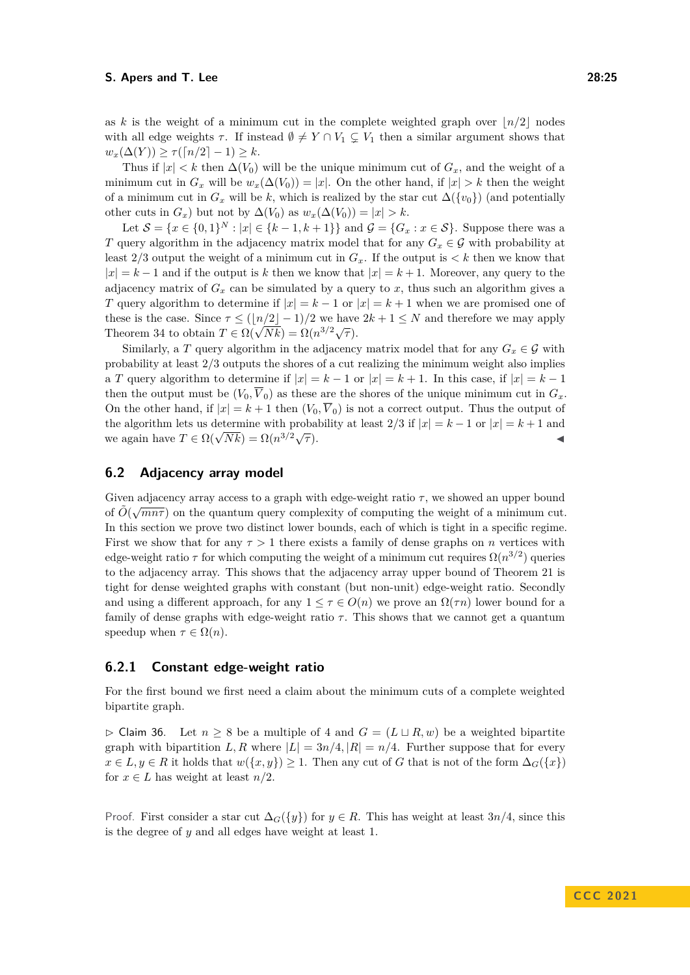as *k* is the weight of a minimum cut in the complete weighted graph over  $\lfloor n/2 \rfloor$  nodes with all edge weights  $\tau$ . If instead  $\emptyset \neq Y \cap V_1 \subsetneq V_1$  then a similar argument shows that  $w_x(\Delta(Y)) > \tau(\lceil n/2 \rceil - 1) > k$ .

Thus if  $|x| < k$  then  $\Delta(V_0)$  will be the unique minimum cut of  $G_x$ , and the weight of a minimum cut in  $G_x$  will be  $w_x(\Delta(V_0)) = |x|$ . On the other hand, if  $|x| > k$  then the weight of a minimum cut in  $G_x$  will be k, which is realized by the star cut  $\Delta({v_0})$  (and potentially other cuts in  $G_x$ ) but not by  $\Delta(V_0)$  as  $w_x(\Delta(V_0)) = |x| > k$ .

Let  $S = \{x \in \{0,1\}^N : |x| \in \{k-1, k+1\}\}\$  and  $\mathcal{G} = \{G_x : x \in S\}$ . Suppose there was a *T* query algorithm in the adjacency matrix model that for any  $G_x \in \mathcal{G}$  with probability at least  $2/3$  output the weight of a minimum cut in  $G_x$ . If the output is  $\lt k$  then we know that  $|x| = k - 1$  and if the output is k then we know that  $|x| = k + 1$ . Moreover, any query to the adjacency matrix of  $G_x$  can be simulated by a query to x, thus such an algorithm gives a *T* query algorithm to determine if  $|x| = k - 1$  or  $|x| = k + 1$  when we are promised one of these is the case. Since  $\tau \leq (\lfloor n/2 \rfloor - 1)/2$  we have  $2k + 1 \leq N$  and therefore we may apply Theorem [34](#page-23-1) to obtain  $T \in \Omega(\sqrt{Nk}) = \Omega(n^{3/2}\sqrt{\tau}).$ 

Similarly, a *T* query algorithm in the adjacency matrix model that for any  $G_x \in \mathcal{G}$  with probability at least 2*/*3 outputs the shores of a cut realizing the minimum weight also implies a *T* query algorithm to determine if  $|x| = k - 1$  or  $|x| = k + 1$ . In this case, if  $|x| = k - 1$ then the output must be  $(V_0, \overline{V}_0)$  as these are the shores of the unique minimum cut in  $G_x$ . On the other hand, if  $|x| = k + 1$  then  $(V_0, \overline{V}_0)$  is not a correct output. Thus the output of the algorithm lets us determine with probability at least  $2/3$  if  $|x| = k - 1$  or  $|x| = k + 1$  and we again have  $T \in \Omega(\sqrt{Nk}) = \Omega(n^{3/2}\sqrt{k})$ *τ* ). ◀

## **6.2 Adjacency array model**

Given adjacency array access to a graph with edge-weight ratio  $\tau$ , we showed an upper bound of  $\tilde{O}(\sqrt{mn\tau})$  on the quantum query complexity of computing the weight of a minimum cut. In this section we prove two distinct lower bounds, each of which is tight in a specific regime. First we show that for any  $\tau > 1$  there exists a family of dense graphs on *n* vertices with edge-weight ratio  $\tau$  for which computing the weight of a minimum cut requires  $\Omega(n^{3/2})$  queries to the adjacency array. This shows that the adjacency array upper bound of Theorem [21](#page-17-0) is tight for dense weighted graphs with constant (but non-unit) edge-weight ratio. Secondly and using a different approach, for any  $1 \leq \tau \in O(n)$  we prove an  $\Omega(\tau n)$  lower bound for a family of dense graphs with edge-weight ratio  $\tau$ . This shows that we cannot get a quantum speedup when  $\tau \in \Omega(n)$ .

## **6.2.1 Constant edge-weight ratio**

For the first bound we first need a claim about the minimum cuts of a complete weighted bipartite graph.

<span id="page-24-0"></span>▷ Claim 36. Let *n* ≥ 8 be a multiple of 4 and *G* = (*L* ⊔ *R, w*) be a weighted bipartite graph with bipartition *L, R* where  $|L| = 3n/4$ ,  $|R| = n/4$ . Further suppose that for every *x* ∈ *L*, *y* ∈ *R* it holds that *w*({*x, y*}) ≥ 1. Then any cut of *G* that is not of the form  $\Delta$ <sub>*G*</sub>({*x*}) for  $x \in L$  has weight at least  $n/2$ .

Proof. First consider a star cut  $\Delta_G({y})$  for  $y \in R$ . This has weight at least  $3n/4$ , since this is the degree of *y* and all edges have weight at least 1.

**C C C 2 0 2 1**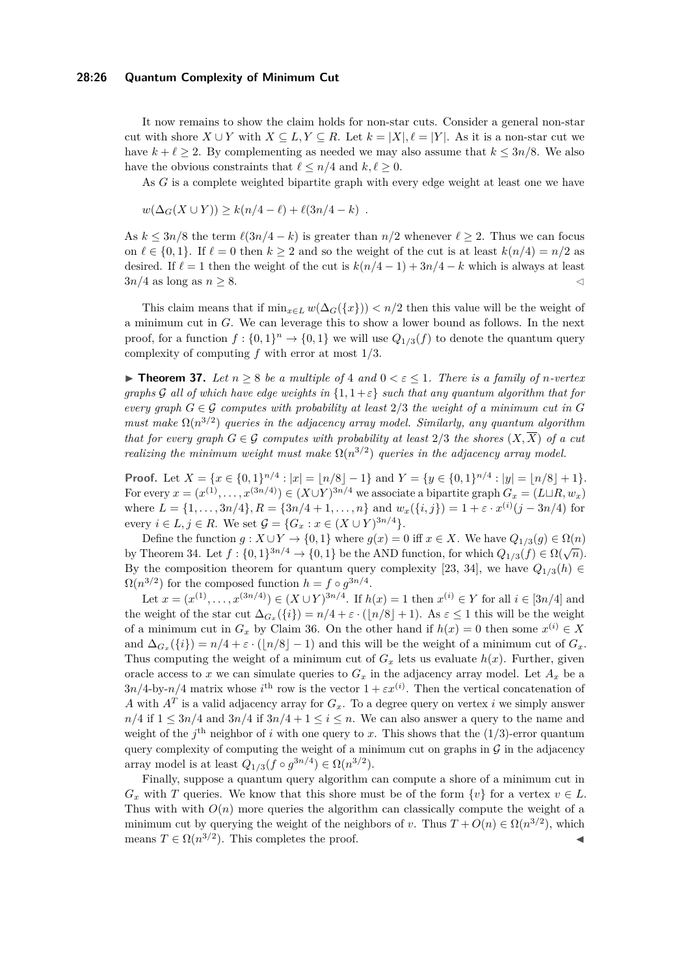#### **28:26 Quantum Complexity of Minimum Cut**

It now remains to show the claim holds for non-star cuts. Consider a general non-star cut with shore  $X \cup Y$  with  $X \subseteq L, Y \subseteq R$ . Let  $k = |X|, \ell = |Y|$ . As it is a non-star cut we have  $k + \ell > 2$ . By complementing as needed we may also assume that  $k \leq 3n/8$ . We also have the obvious constraints that  $\ell \leq n/4$  and  $k, \ell \geq 0$ .

As *G* is a complete weighted bipartite graph with every edge weight at least one we have

$$
w(\Delta_G(X \cup Y)) \ge k(n/4 - \ell) + \ell(3n/4 - k) .
$$

As  $k \leq 3n/8$  the term  $\ell(3n/4-k)$  is greater than  $n/2$  whenever  $\ell \geq 2$ . Thus we can focus on  $\ell \in \{0,1\}$ . If  $\ell = 0$  then  $k \geq 2$  and so the weight of the cut is at least  $k(n/4) = n/2$  as desired. If  $\ell = 1$  then the weight of the cut is  $k(n/4 - 1) + 3n/4 - k$  which is always at least  $3n/4$  as long as  $n \geq 8$ .

This claim means that if  $\min_{x \in L} w(\Delta_G({x})) < n/2$  then this value will be the weight of a minimum cut in *G*. We can leverage this to show a lower bound as follows. In the next proof, for a function  $f: \{0,1\}^n \to \{0,1\}$  we will use  $Q_{1/3}(f)$  to denote the quantum query complexity of computing *f* with error at most 1*/*3.

<span id="page-25-0"></span>▶ **Theorem 37.** Let  $n \ge 8$  be a multiple of 4 and  $0 < \varepsilon \le 1$ . There is a family of *n*-vertex *graphs* G all of which have edge weights in  $\{1, 1 + \varepsilon\}$  such that any quantum algorithm that for *every graph*  $G \in \mathcal{G}$  *computes with probability at least*  $2/3$  *the weight of a minimum cut in*  $G$ *must make*  $\Omega(n^{3/2})$  *queries in the adjacency array model. Similarly, any quantum algorithm that for every graph*  $G \in \mathcal{G}$  *computes with probability at least* 2/3 *the shores*  $(X,\overline{X})$  *of a cut realizing the minimum weight must make*  $\Omega(n^{3/2})$  *queries in the adjacency array model.* 

**Proof.** Let  $X = \{x \in \{0,1\}^{n/4} : |x| = |n/8| - 1\}$  and  $Y = \{y \in \{0,1\}^{n/4} : |y| = |n/8| + 1\}$ . For every  $x = (x^{(1)}, \ldots, x^{(3n/4)}) \in (X \cup Y)^{3n/4}$  we associate a bipartite graph  $G_x = (L \sqcup R, w_x)$ where  $L = \{1, \ldots, 3n/4\}, R = \{3n/4 + 1, \ldots, n\}$  and  $w_x(\{i, j\}) = 1 + \varepsilon \cdot x^{(i)}(j - 3n/4)$  for every *i* ∈ *L*, *j* ∈ *R*. We set  $\mathcal{G} = \{G_x : x \in (X \cup Y)^{3n/4}\}.$ 

Define the function  $g: X \cup Y \to \{0,1\}$  where  $g(x) = 0$  iff  $x \in X$ . We have  $Q_{1/3}(g) \in \Omega(n)$ by Theorem [34.](#page-23-1) Let  $f : \{0,1\}^{3n/4} \to \{0,1\}$  be the AND function, for which  $Q_{1/3}(f) \in \Omega(\sqrt{n})$ . By the composition theorem for quantum query complexity [\[23,](#page-29-13) [34\]](#page-29-15), we have  $Q_{1/3}(h) \in$  $\Omega(n^{3/2})$  for the composed function  $h = f \circ g^{3n/4}$ .

Let  $x = (x^{(1)}, \ldots, x^{(3n/4)}) \in (X \cup Y)^{3n/4}$ . If  $h(x) = 1$  then  $x^{(i)} \in Y$  for all  $i \in [3n/4]$  and the weight of the star cut  $\Delta_{G_x}(\{i\}) = n/4 + \varepsilon \cdot (\lfloor n/8 \rfloor + 1)$ . As  $\varepsilon \leq 1$  this will be the weight of a minimum cut in  $G_x$  by Claim [36.](#page-24-0) On the other hand if  $h(x) = 0$  then some  $x^{(i)} \in X$ and  $\Delta_{G_x}(\{i\}) = n/4 + \varepsilon \cdot (\lfloor n/8 \rfloor - 1)$  and this will be the weight of a minimum cut of  $G_x$ . Thus computing the weight of a minimum cut of  $G<sub>x</sub>$  lets us evaluate  $h(x)$ . Further, given oracle access to *x* we can simulate queries to  $G_x$  in the adjacency array model. Let  $A_x$  be a  $3n/4$ -by- $n/4$  matrix whose  $i^{\text{th}}$  row is the vector  $1 + \varepsilon x^{(i)}$ . Then the vertical concatenation of *A* with  $A<sup>T</sup>$  is a valid adjacency array for  $G<sub>x</sub>$ . To a degree query on vertex *i* we simply answer  $n/4$  if  $1 \leq 3n/4$  and  $3n/4$  if  $3n/4 + 1 \leq i \leq n$ . We can also answer a query to the name and weight of the  $j^{\text{th}}$  neighbor of *i* with one query to *x*. This shows that the  $(1/3)$ -error quantum query complexity of computing the weight of a minimum cut on graphs in  $G$  in the adjacency array model is at least  $Q_{1/3}(f \circ g^{3n/4}) \in \Omega(n^{3/2})$ .

Finally, suppose a quantum query algorithm can compute a shore of a minimum cut in  $G_x$  with *T* queries. We know that this shore must be of the form  $\{v\}$  for a vertex  $v \in L$ . Thus with  $O(n)$  more queries the algorithm can classically compute the weight of a minimum cut by querying the weight of the neighbors of *v*. Thus  $T + O(n) \in \Omega(n^{3/2})$ , which means  $T \in \Omega(n^{3/2})$ . This completes the proof.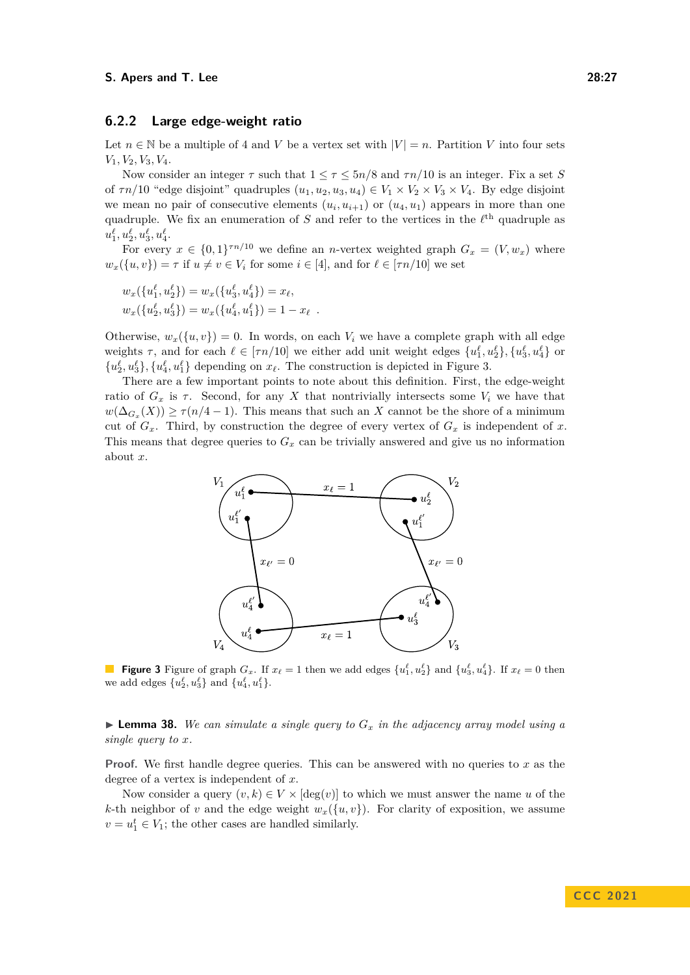## **6.2.2 Large edge-weight ratio**

Let  $n \in \mathbb{N}$  be a multiple of 4 and *V* be a vertex set with  $|V| = n$ . Partition *V* into four sets *V*1*, V*2*, V*3*, V*4.

Now consider an integer  $\tau$  such that  $1 \leq \tau \leq 5n/8$  and  $\tau n/10$  is an integer. Fix a set *S* of  $\tau n/10$  "edge disjoint" quadruples  $(u_1, u_2, u_3, u_4) \in V_1 \times V_2 \times V_3 \times V_4$ . By edge disjoint we mean no pair of consecutive elements  $(u_i, u_{i+1})$  or  $(u_4, u_1)$  appears in more than one quadruple. We fix an enumeration of  $S$  and refer to the vertices in the  $\ell^{\text{th}}$  quadruple as  $u_1^{\ell}, u_2^{\ell}, u_3^{\ell}, u_4^{\ell}.$ 

For every  $x \in \{0,1\}^{\tau n/10}$  we define an *n*-vertex weighted graph  $G_x = (V, w_x)$  where  $w_x(\{u, v\}) = \tau$  if  $u \neq v \in V_i$  for some  $i \in [4]$ , and for  $\ell \in [\tau n/10]$  we set

$$
w_x(\{u_1^{\ell}, u_2^{\ell}\}) = w_x(\{u_3^{\ell}, u_4^{\ell}\}) = x_{\ell},
$$
  

$$
w_x(\{u_2^{\ell}, u_3^{\ell}\}) = w_x(\{u_4^{\ell}, u_1^{\ell}\}) = 1 - x_{\ell}.
$$

Otherwise,  $w_x(\lbrace u, v \rbrace) = 0$ . In words, on each  $V_i$  we have a complete graph with all edge weights  $\tau$ , and for each  $\ell \in [\tau n/10]$  we either add unit weight edges  $\{u_1^{\ell}, u_2^{\ell}\}, \{u_3^{\ell}, u_4^{\ell}\}$  or  $\{u_2^{\ell}, u_3^{\ell}\}, \{u_4^{\ell}, u_1^{\ell}\}\$  depending on  $x_{\ell}$ . The construction is depicted in Figure [3.](#page-26-0)

<span id="page-26-0"></span>There are a few important points to note about this definition. First, the edge-weight ratio of  $G_x$  is  $\tau$ . Second, for any X that nontrivially intersects some  $V_i$  we have that  $w(\Delta_{G_x}(X)) \ge \tau(n/4 - 1)$ . This means that such an *X* cannot be the shore of a minimum cut of  $G_x$ . Third, by construction the degree of every vertex of  $G_x$  is independent of  $x$ . This means that degree queries to *G<sup>x</sup>* can be trivially answered and give us no information about *x*.



**Figure 3** Figure of graph  $G_x$ . If  $x_\ell = 1$  then we add edges  $\{u_1^\ell, u_2^\ell\}$  and  $\{u_3^\ell, u_4^\ell\}$ . If  $x_\ell = 0$  then we add edges  $\{u_2^{\ell}, u_3^{\ell}\}\$  and  $\{u_4^{\ell}, u_1^{\ell}\}.$ 

<span id="page-26-1"></span> $\blacktriangleright$  **Lemma 38.** We can simulate a single query to  $G_x$  in the adjacency array model using a *single query to x.*

**Proof.** We first handle degree queries. This can be answered with no queries to x as the degree of a vertex is independent of *x*.

Now consider a query  $(v, k) \in V \times [\deg(v)]$  to which we must answer the name *u* of the *k*-th neighbor of *v* and the edge weight  $w_x(\{u, v\})$ . For clarity of exposition, we assume  $v = u_1^t \in V_1$ ; the other cases are handled similarly.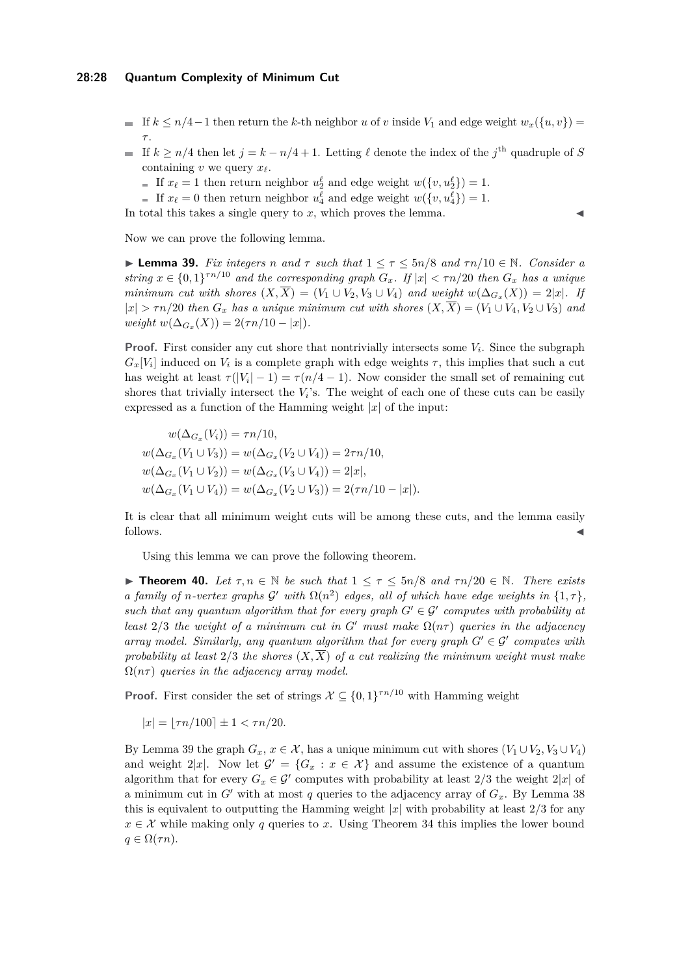#### **28:28 Quantum Complexity of Minimum Cut**

- If  $k \leq n/4-1$  then return the k-th neighbor *u* of *v* inside  $V_1$  and edge weight  $w_x({w, v})$ *τ* .
- If  $k \geq n/4$  then let  $j = k n/4 + 1$ . Letting  $\ell$  denote the index of the  $j^{\text{th}}$  quadruple of *S* containing *v* we query *xℓ*.
	- If  $x_{\ell} = 1$  then return neighbor  $u_2^{\ell}$  and edge weight  $w(\lbrace v, u_2^{\ell} \rbrace) = 1$ .
	- If  $x_{\ell} = 0$  then return neighbor  $u_4^{\ell}$  and edge weight  $w(\lbrace v, u_4^{\ell} \rbrace) = 1$ .

<span id="page-27-1"></span>Now we can prove the following lemma.

▶ **Lemma 39.** *Fix integers n and τ such that* 1 ≤ *τ* ≤ 5*n/*8 *and τn/*10 ∈ N*. Consider a string*  $x \in \{0,1\}^{\tau n/10}$  *and the corresponding graph*  $G_x$ *. If*  $|x| < \tau n/20$  *then*  $G_x$  *has a unique minimum cut with shores*  $(X, X) = (V_1 \cup V_2, V_3 \cup V_4)$  *and weight*  $w(\Delta_{G_x}(X)) = 2|x|$ *. If*  $|x| > \tau n/20$  *then*  $G_x$  *has a unique minimum cut with shores*  $(X, \overline{X}) = (V_1 \cup V_4, V_2 \cup V_3)$  *and*  $weight w(\Delta_{G_x}(X)) = 2(\tau n/10 - |x|).$ 

**Proof.** First consider any cut shore that nontrivially intersects some  $V_i$ . Since the subgraph  $G_x[V_i]$  induced on  $V_i$  is a complete graph with edge weights  $\tau$ , this implies that such a cut has weight at least  $\tau(|V_i| - 1) = \tau(n/4 - 1)$ . Now consider the small set of remaining cut shores that trivially intersect the  $V_i$ 's. The weight of each one of these cuts can be easily expressed as a function of the Hamming weight  $|x|$  of the input:

$$
w(\Delta_{G_x}(V_i)) = \tau n/10,
$$
  
\n
$$
w(\Delta_{G_x}(V_1 \cup V_3)) = w(\Delta_{G_x}(V_2 \cup V_4)) = 2\tau n/10,
$$
  
\n
$$
w(\Delta_{G_x}(V_1 \cup V_2)) = w(\Delta_{G_x}(V_3 \cup V_4)) = 2|x|,
$$
  
\n
$$
w(\Delta_{G_x}(V_1 \cup V_4)) = w(\Delta_{G_x}(V_2 \cup V_3)) = 2(\tau n/10 - |x|).
$$

It is clear that all minimum weight cuts will be among these cuts, and the lemma easily follows.

Using this lemma we can prove the following theorem.

<span id="page-27-0"></span>**► Theorem 40.** Let  $\tau, n \in \mathbb{N}$  be such that  $1 \leq \tau \leq 5n/8$  and  $\tau n/20 \in \mathbb{N}$ . There exists *a* family of *n*-vertex graphs  $G'$  with  $\Omega(n^2)$  edges, all of which have edge weights in  $\{1, \tau\}$ , *such that any quantum algorithm that for every graph*  $G' \in \mathcal{G}'$  computes with probability at *least*  $2/3$  *the weight of a minimum cut in G' must make*  $\Omega(n\tau)$  *queries in the adjacency array model. Similarly, any quantum algorithm that for every graph*  $G' \in \mathcal{G}'$  *computes with* probability at least  $2/3$  the shores  $(X,\overline{X})$  of a cut realizing the minimum weight must make Ω(*nτ* ) *queries in the adjacency array model.*

**Proof.** First consider the set of strings  $X \subseteq \{0,1\}^{\tau n/10}$  with Hamming weight

 $|x| = |\tau n/100| \pm 1 < \tau n/20.$ 

By Lemma [39](#page-27-1) the graph  $G_x$ ,  $x \in \mathcal{X}$ , has a unique minimum cut with shores  $(V_1 \cup V_2, V_3 \cup V_4)$ and weight  $2|x|$ . Now let  $\mathcal{G}' = \{G_x : x \in \mathcal{X}\}\$  and assume the existence of a quantum algorithm that for every  $G_x \in \mathcal{G}'$  computes with probability at least 2/3 the weight 2|x| of a minimum cut in  $G'$  with at most  $q$  queries to the adjacency array of  $G_x$ . By Lemma [38](#page-26-1) this is equivalent to outputting the Hamming weight  $|x|$  with probability at least  $2/3$  for any  $x \in \mathcal{X}$  while making only *q* queries to *x*. Using Theorem [34](#page-23-1) this implies the lower bound  $q \in \Omega(\tau n)$ .

In total this takes a single query to  $x$ , which proves the lemma.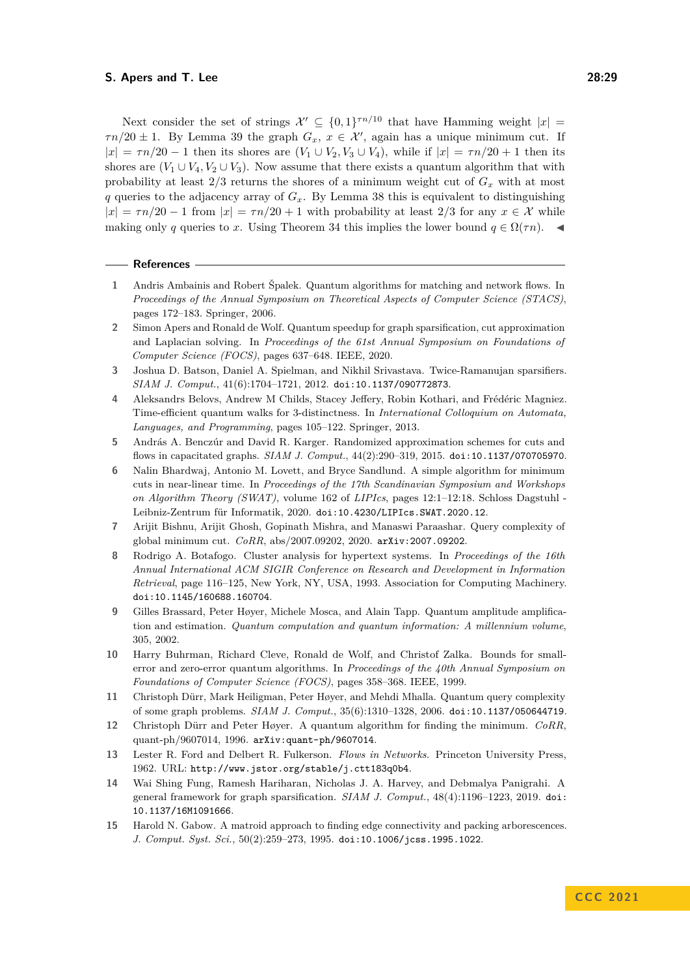Next consider the set of strings  $\mathcal{X}' \subseteq \{0,1\}^{\tau n/10}$  that have Hamming weight  $|x| =$  $\tau n/20 \pm 1$ . By Lemma [39](#page-27-1) the graph  $G_x$ ,  $x \in \mathcal{X}'$ , again has a unique minimum cut. If  $|x| = \tau n/20 - 1$  then its shores are  $(V_1 \cup V_2, V_3 \cup V_4)$ , while if  $|x| = \tau n/20 + 1$  then its shores are  $(V_1 \cup V_4, V_2 \cup V_3)$ . Now assume that there exists a quantum algorithm that with probability at least 2*/*3 returns the shores of a minimum weight cut of *G<sup>x</sup>* with at most *q* queries to the adjacency array of  $G_x$ . By Lemma [38](#page-26-1) this is equivalent to distinguishing  $|x| = \tau n/20 - 1$  from  $|x| = \tau n/20 + 1$  with probability at least 2/3 for any  $x \in \mathcal{X}$  while making only *q* queries to *x*. Using Theorem [34](#page-23-1) this implies the lower bound  $q \in \Omega(\tau n)$ .

#### **References**

- <span id="page-28-9"></span>**1** Andris Ambainis and Robert Špalek. Quantum algorithms for matching and network flows. In *Proceedings of the Annual Symposium on Theoretical Aspects of Computer Science (STACS)*, pages 172–183. Springer, 2006.
- <span id="page-28-4"></span>**2** Simon Apers and Ronald de Wolf. Quantum speedup for graph sparsification, cut approximation and Laplacian solving. In *Proceedings of the 61st Annual Symposium on Foundations of Computer Science (FOCS)*, pages 637–648. IEEE, 2020.
- <span id="page-28-8"></span>**3** Joshua D. Batson, Daniel A. Spielman, and Nikhil Srivastava. Twice-Ramanujan sparsifiers. *SIAM J. Comput.*, 41(6):1704–1721, 2012. [doi:10.1137/090772873](https://doi.org/10.1137/090772873).
- <span id="page-28-10"></span>**4** Aleksandrs Belovs, Andrew M Childs, Stacey Jeffery, Robin Kothari, and Frédéric Magniez. Time-efficient quantum walks for 3-distinctness. In *International Colloquium on Automata, Languages, and Programming*, pages 105–122. Springer, 2013.
- <span id="page-28-6"></span>**5** András A. Benczúr and David R. Karger. Randomized approximation schemes for cuts and flows in capacitated graphs. *SIAM J. Comput.*, 44(2):290–319, 2015. [doi:10.1137/070705970](https://doi.org/10.1137/070705970).
- <span id="page-28-14"></span>**6** Nalin Bhardwaj, Antonio M. Lovett, and Bryce Sandlund. A simple algorithm for minimum cuts in near-linear time. In *Proceedings of the 17th Scandinavian Symposium and Workshops on Algorithm Theory (SWAT)*, volume 162 of *LIPIcs*, pages 12:1–12:18. Schloss Dagstuhl - Leibniz-Zentrum für Informatik, 2020. [doi:10.4230/LIPIcs.SWAT.2020.12](https://doi.org/10.4230/LIPIcs.SWAT.2020.12).
- <span id="page-28-3"></span>**7** Arijit Bishnu, Arijit Ghosh, Gopinath Mishra, and Manaswi Paraashar. Query complexity of global minimum cut. *CoRR*, abs/2007.09202, 2020. [arXiv:2007.09202](http://arxiv.org/abs/2007.09202).
- <span id="page-28-1"></span>**8** Rodrigo A. Botafogo. Cluster analysis for hypertext systems. In *Proceedings of the 16th Annual International ACM SIGIR Conference on Research and Development in Information Retrieval*, page 116–125, New York, NY, USA, 1993. Association for Computing Machinery. [doi:10.1145/160688.160704](https://doi.org/10.1145/160688.160704).
- <span id="page-28-11"></span>**9** Gilles Brassard, Peter Høyer, Michele Mosca, and Alain Tapp. Quantum amplitude amplification and estimation. *Quantum computation and quantum information: A millennium volume*, 305, 2002.
- <span id="page-28-12"></span>**10** Harry Buhrman, Richard Cleve, Ronald de Wolf, and Christof Zalka. Bounds for smallerror and zero-error quantum algorithms. In *Proceedings of the 40th Annual Symposium on Foundations of Computer Science (FOCS)*, pages 358–368. IEEE, 1999.
- <span id="page-28-2"></span>**11** Christoph Dürr, Mark Heiligman, Peter Høyer, and Mehdi Mhalla. Quantum query complexity of some graph problems. *SIAM J. Comput.*, 35(6):1310–1328, 2006. [doi:10.1137/050644719](https://doi.org/10.1137/050644719).
- <span id="page-28-13"></span>**12** Christoph Dürr and Peter Høyer. A quantum algorithm for finding the minimum. *CoRR*, quant-ph/9607014, 1996. [arXiv:quant-ph/9607014](http://arxiv.org/abs/quant-ph/9607014).
- <span id="page-28-0"></span>**13** Lester R. Ford and Delbert R. Fulkerson. *Flows in Networks*. Princeton University Press, 1962. URL: <http://www.jstor.org/stable/j.ctt183q0b4>.
- <span id="page-28-7"></span>**14** Wai Shing Fung, Ramesh Hariharan, Nicholas J. A. Harvey, and Debmalya Panigrahi. A general framework for graph sparsification. *SIAM J. Comput.*, 48(4):1196–1223, 2019. [doi:](https://doi.org/10.1137/16M1091666) [10.1137/16M1091666](https://doi.org/10.1137/16M1091666).
- <span id="page-28-5"></span>**15** Harold N. Gabow. A matroid approach to finding edge connectivity and packing arborescences. *J. Comput. Syst. Sci.*, 50(2):259–273, 1995. [doi:10.1006/jcss.1995.1022](https://doi.org/10.1006/jcss.1995.1022).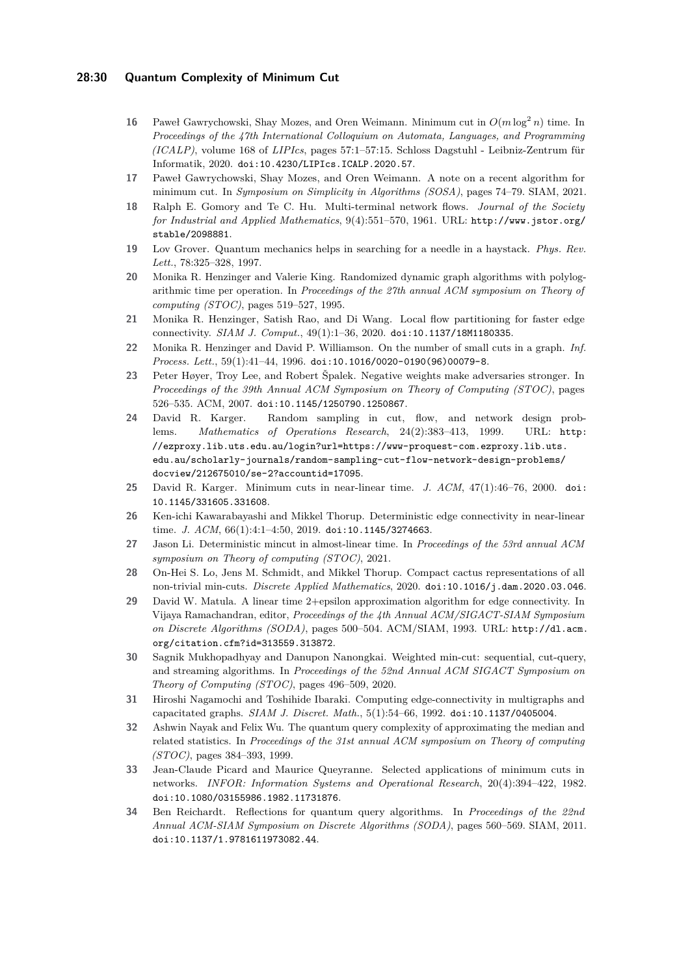## **28:30 Quantum Complexity of Minimum Cut**

- <span id="page-29-6"></span>**16** Paweł Gawrychowski, Shay Mozes, and Oren Weimann. Minimum cut in  $O(m \log^2 n)$  time. In *Proceedings of the 47th International Colloquium on Automata, Languages, and Programming (ICALP)*, volume 168 of *LIPIcs*, pages 57:1–57:15. Schloss Dagstuhl - Leibniz-Zentrum für Informatik, 2020. [doi:10.4230/LIPIcs.ICALP.2020.57](https://doi.org/10.4230/LIPIcs.ICALP.2020.57).
- <span id="page-29-11"></span>**17** Paweł Gawrychowski, Shay Mozes, and Oren Weimann. A note on a recent algorithm for minimum cut. In *Symposium on Simplicity in Algorithms (SOSA)*, pages 74–79. SIAM, 2021.
- <span id="page-29-0"></span>**18** Ralph E. Gomory and Te C. Hu. Multi-terminal network flows. *Journal of the Society for Industrial and Applied Mathematics*, 9(4):551–570, 1961. URL: [http://www.jstor.org/](http://www.jstor.org/stable/2098881) [stable/2098881](http://www.jstor.org/stable/2098881).
- <span id="page-29-14"></span>**19** Lov Grover. Quantum mechanics helps in searching for a needle in a haystack. *Phys. Rev. Lett.*, 78:325–328, 1997.
- <span id="page-29-12"></span>**20** Monika R. Henzinger and Valerie King. Randomized dynamic graph algorithms with polylogarithmic time per operation. In *Proceedings of the 27th annual ACM symposium on Theory of computing (STOC)*, pages 519–527, 1995.
- <span id="page-29-3"></span>**21** Monika R. Henzinger, Satish Rao, and Di Wang. Local flow partitioning for faster edge connectivity. *SIAM J. Comput.*, 49(1):1–36, 2020. [doi:10.1137/18M1180335](https://doi.org/10.1137/18M1180335).
- <span id="page-29-10"></span>**22** Monika R. Henzinger and David P. Williamson. On the number of small cuts in a graph. *Inf. Process. Lett.*, 59(1):41–44, 1996. [doi:10.1016/0020-0190\(96\)00079-8](https://doi.org/10.1016/0020-0190(96)00079-8).
- <span id="page-29-13"></span>**23** Peter Høyer, Troy Lee, and Robert Špalek. Negative weights make adversaries stronger. In *Proceedings of the 39th Annual ACM Symposium on Theory of Computing (STOC)*, pages 526–535. ACM, 2007. [doi:10.1145/1250790.1250867](https://doi.org/10.1145/1250790.1250867).
- <span id="page-29-17"></span>**24** David R. Karger. Random sampling in cut, flow, and network design problems. *Mathematics of Operations Research*, 24(2):383–413, 1999. URL: [http:](http://ezproxy.lib.uts.edu.au/login?url=https://www-proquest-com.ezproxy.lib.uts.edu.au/scholarly-journals/random-sampling-cut-flow-network-design-problems/docview/212675010/se-2?accountid=17095) [//ezproxy.lib.uts.edu.au/login?url=https://www-proquest-com.ezproxy.lib.uts.](http://ezproxy.lib.uts.edu.au/login?url=https://www-proquest-com.ezproxy.lib.uts.edu.au/scholarly-journals/random-sampling-cut-flow-network-design-problems/docview/212675010/se-2?accountid=17095) [edu.au/scholarly-journals/random-sampling-cut-flow-network-design-problems/](http://ezproxy.lib.uts.edu.au/login?url=https://www-proquest-com.ezproxy.lib.uts.edu.au/scholarly-journals/random-sampling-cut-flow-network-design-problems/docview/212675010/se-2?accountid=17095) [docview/212675010/se-2?accountid=17095](http://ezproxy.lib.uts.edu.au/login?url=https://www-proquest-com.ezproxy.lib.uts.edu.au/scholarly-journals/random-sampling-cut-flow-network-design-problems/docview/212675010/se-2?accountid=17095).
- <span id="page-29-4"></span>**25** David R. Karger. Minimum cuts in near-linear time. *J. ACM*, 47(1):46–76, 2000. [doi:](https://doi.org/10.1145/331605.331608) [10.1145/331605.331608](https://doi.org/10.1145/331605.331608).
- <span id="page-29-2"></span>**26** Ken-ichi Kawarabayashi and Mikkel Thorup. Deterministic edge connectivity in near-linear time. *J. ACM*, 66(1):4:1-4:50, 2019. [doi:10.1145/3274663](https://doi.org/10.1145/3274663).
- <span id="page-29-7"></span>**27** Jason Li. Deterministic mincut in almost-linear time. In *Proceedings of the 53rd annual ACM symposium on Theory of computing (STOC)*, 2021.
- <span id="page-29-8"></span>**28** On-Hei S. Lo, Jens M. Schmidt, and Mikkel Thorup. Compact cactus representations of all non-trivial min-cuts. *Discrete Applied Mathematics*, 2020. [doi:10.1016/j.dam.2020.03.046](https://doi.org/10.1016/j.dam.2020.03.046).
- <span id="page-29-16"></span>**29** David W. Matula. A linear time 2+epsilon approximation algorithm for edge connectivity. In Vijaya Ramachandran, editor, *Proceedings of the 4th Annual ACM/SIGACT-SIAM Symposium on Discrete Algorithms (SODA)*, pages 500–504. ACM/SIAM, 1993. URL: [http://dl.acm.](http://dl.acm.org/citation.cfm?id=313559.313872) [org/citation.cfm?id=313559.313872](http://dl.acm.org/citation.cfm?id=313559.313872).
- <span id="page-29-5"></span>**30** Sagnik Mukhopadhyay and Danupon Nanongkai. Weighted min-cut: sequential, cut-query, and streaming algorithms. In *Proceedings of the 52nd Annual ACM SIGACT Symposium on Theory of Computing (STOC)*, pages 496–509, 2020.
- <span id="page-29-18"></span>**31** Hiroshi Nagamochi and Toshihide Ibaraki. Computing edge-connectivity in multigraphs and capacitated graphs. *SIAM J. Discret. Math.*, 5(1):54–66, 1992. [doi:10.1137/0405004](https://doi.org/10.1137/0405004).
- <span id="page-29-9"></span>**32** Ashwin Nayak and Felix Wu. The quantum query complexity of approximating the median and related statistics. In *Proceedings of the 31st annual ACM symposium on Theory of computing (STOC)*, pages 384–393, 1999.
- <span id="page-29-1"></span>**33** Jean-Claude Picard and Maurice Queyranne. Selected applications of minimum cuts in networks. *INFOR: Information Systems and Operational Research*, 20(4):394–422, 1982. [doi:10.1080/03155986.1982.11731876](https://doi.org/10.1080/03155986.1982.11731876).
- <span id="page-29-15"></span>**34** Ben Reichardt. Reflections for quantum query algorithms. In *Proceedings of the 22nd Annual ACM-SIAM Symposium on Discrete Algorithms (SODA)*, pages 560–569. SIAM, 2011. [doi:10.1137/1.9781611973082.44](https://doi.org/10.1137/1.9781611973082.44).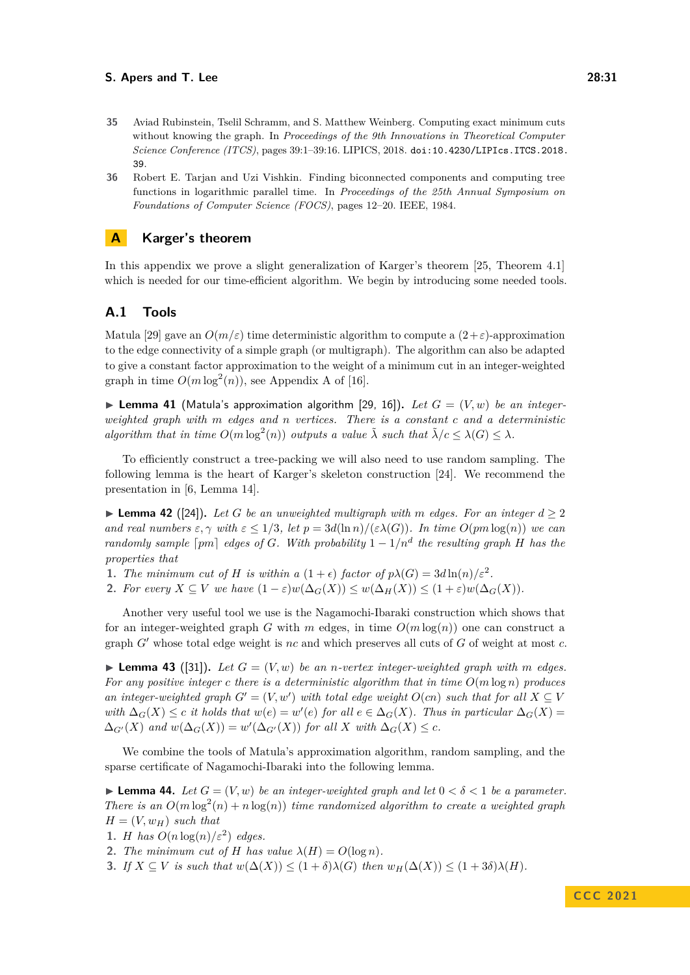- <span id="page-30-0"></span>**35** Aviad Rubinstein, Tselil Schramm, and S. Matthew Weinberg. Computing exact minimum cuts without knowing the graph. In *Proceedings of the 9th Innovations in Theoretical Computer Science Conference (ITCS)*, pages 39:1–39:16. LIPICS, 2018. [doi:10.4230/LIPIcs.ITCS.2018.](https://doi.org/10.4230/LIPIcs.ITCS.2018.39) [39](https://doi.org/10.4230/LIPIcs.ITCS.2018.39).
- <span id="page-30-2"></span>**36** Robert E. Tarjan and Uzi Vishkin. Finding biconnected components and computing tree functions in logarithmic parallel time. In *Proceedings of the 25th Annual Symposium on Foundations of Computer Science (FOCS)*, pages 12–20. IEEE, 1984.

## <span id="page-30-1"></span>**A Karger's theorem**

In this appendix we prove a slight generalization of Karger's theorem [\[25,](#page-29-4) Theorem 4.1] which is needed for our time-efficient algorithm. We begin by introducing some needed tools.

## **A.1 Tools**

Matula [\[29\]](#page-29-16) gave an  $O(m/\varepsilon)$  time deterministic algorithm to compute a  $(2+\varepsilon)$ -approximation to the edge connectivity of a simple graph (or multigraph). The algorithm can also be adapted to give a constant factor approximation to the weight of a minimum cut in an integer-weighted graph in time  $O(m \log^2(n))$ , see Appendix A of [\[16\]](#page-29-6).

<span id="page-30-3"></span> $\blacktriangleright$  **Lemma 41** (Matula's approximation algorithm [\[29,](#page-29-16) [16\]](#page-29-6)). Let  $G = (V, w)$  be an integer*weighted graph with m edges and n vertices. There is a constant c and a deterministic algorithm that in time*  $O(m \log^2(n))$  *outputs a value*  $\tilde{\lambda}$  *such that*  $\tilde{\lambda}/c \leq \lambda(G) \leq \lambda$ *.* 

To efficiently construct a tree-packing we will also need to use random sampling. The following lemma is the heart of Karger's skeleton construction [\[24\]](#page-29-17). We recommend the presentation in [\[6,](#page-28-14) Lemma 14].

<span id="page-30-4"></span>▶ **Lemma 42** ([\[24\]](#page-29-17)). Let *G* be an unweighted multigraph with *m* edges. For an integer  $d > 2$ *and real numbers*  $\varepsilon, \gamma$  *with*  $\varepsilon \leq 1/3$ , let  $p = 3d(\ln n)/(\varepsilon \lambda(G))$ . In time  $O(pm \log(n))$  we can *randomly sample*  $\lceil pm \rceil$  *edges of G. With probability*  $1 - 1/n^d$  *the resulting graph H has the properties that*

- **1.** *The minimum cut of H is within a*  $(1+\epsilon)$  *factor of*  $p\lambda(G) = 3d\ln(n)/\epsilon^2$ .
- **2.** *For every*  $X \subseteq V$  *we have*  $(1 \varepsilon)w(\Delta_G(X)) \leq w(\Delta_H(X)) \leq (1 + \varepsilon)w(\Delta_G(X))$ .

Another very useful tool we use is the Nagamochi-Ibaraki construction which shows that for an integer-weighted graph *G* with *m* edges, in time  $O(m \log(n))$  one can construct a graph *G*′ whose total edge weight is *nc* and which preserves all cuts of *G* of weight at most *c*.

 $\blacktriangleright$  **Lemma 43** ([\[31\]](#page-29-18)). Let  $G = (V, w)$  be an *n*-vertex integer-weighted graph with m edges. *For any positive integer c there is a deterministic algorithm that in time O*(*m* log *n*) *produces an integer-weighted graph*  $G' = (V, w')$  *with total edge weight*  $O(cn)$  *such that for all*  $X \subseteq V$ *with*  $\Delta_G(X)$  ≤ *c it holds that*  $w(e) = w'(e)$  *for all*  $e \in \Delta_G(X)$ *. Thus in particular*  $\Delta_G(X) =$  $\Delta_{G'}(X)$  and  $w(\Delta_G(X)) = w'(\Delta_{G'}(X))$  for all X with  $\Delta_G(X) \leq c$ .

We combine the tools of Matula's approximation algorithm, random sampling, and the sparse certificate of Nagamochi-Ibaraki into the following lemma.

<span id="page-30-5"></span>**Lemma 44.** *Let*  $G = (V, w)$  *be an integer-weighted graph and let*  $0 < \delta < 1$  *be a parameter. There is an*  $O(m \log^2(n) + n \log(n))$  *time randomized algorithm to create a weighted graph*  $H = (V, w_H)$  *such that* 

- **1.** *H has*  $O(n \log(n)/\varepsilon^2)$  *edges.*
- **2.** *The minimum cut of H has value*  $\lambda(H) = O(\log n)$ *.*

**3.** *If*  $X \subseteq V$  *is such that*  $w(\Delta(X)) \leq (1 + \delta)\lambda(G)$  *then*  $w_H(\Delta(X)) \leq (1 + 3\delta)\lambda(H)$ *.*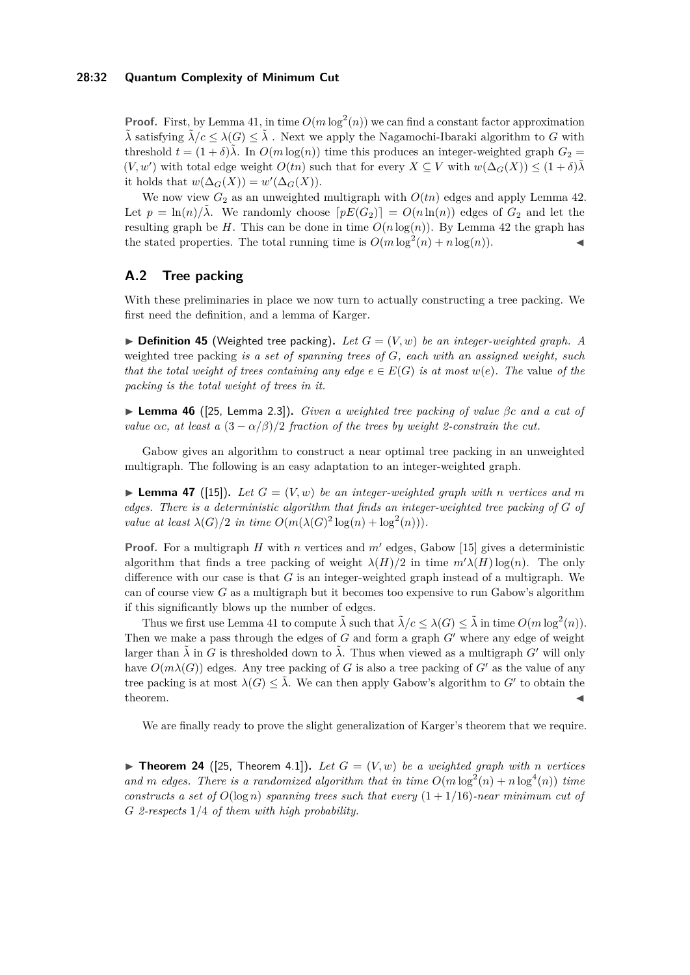## **28:32 Quantum Complexity of Minimum Cut**

**Proof.** First, by Lemma [41,](#page-30-3) in time  $O(m \log^2(n))$  we can find a constant factor approximation  $\lambda$ <sup></sup> satisfying  $\lambda/c \leq \lambda(G) \leq \lambda$ . Next we apply the Nagamochi-Ibaraki algorithm to *G* with threshold  $t = (1 + \delta)\lambda$ . In  $O(m \log(n))$  time this produces an integer-weighted graph  $G_2$  $(V, w')$  with total edge weight  $O(tn)$  such that for every  $X \subseteq V$  with  $w(\Delta_G(X)) \leq (1+\delta)\tilde{\lambda}$ it holds that  $w(\Delta_G(X)) = w'(\Delta_G(X)).$ 

We now view  $G_2$  as an unweighted multigraph with  $O(tn)$  edges and apply Lemma [42.](#page-30-4) Let  $p = \ln(n)/\tilde{\lambda}$ . We randomly choose  $[pE(G_2)] = O(n \ln(n))$  edges of  $G_2$  and let the resulting graph be *H*. This can be done in time  $O(n \log(n))$ . By Lemma [42](#page-30-4) the graph has the stated properties. The total running time is  $O(m \log^2(n) + n \log(n))$ .

## **A.2 Tree packing**

With these preliminaries in place we now turn to actually constructing a tree packing. We first need the definition, and a lemma of Karger.

 $\blacktriangleright$  **Definition 45** (Weighted tree packing). Let  $G = (V, w)$  be an integer-weighted graph. A weighted tree packing *is a set of spanning trees of G, each with an assigned weight, such that the total weight of trees containing any edge*  $e \in E(G)$  *is at most*  $w(e)$ *. The value of the packing is the total weight of trees in it.*

<span id="page-31-1"></span>▶ **Lemma 46** ([\[25,](#page-29-4) Lemma 2.3])**.** *Given a weighted tree packing of value βc and a cut of value*  $\alpha c$ , at least a  $(3 - \alpha/\beta)/2$  *fraction of the trees by weight 2-constrain the cut.* 

Gabow gives an algorithm to construct a near optimal tree packing in an unweighted multigraph. The following is an easy adaptation to an integer-weighted graph.

<span id="page-31-0"></span> $\blacktriangleright$  **Lemma 47** ([\[15\]](#page-28-5)). Let  $G = (V, w)$  be an integer-weighted graph with *n* vertices and m *edges. There is a deterministic algorithm that finds an integer-weighted tree packing of G of value at least*  $\lambda(G)/2$  *in time*  $O(m(\lambda(G)^2 \log(n) + \log^2(n)))$ *.* 

**Proof.** For a multigraph *H* with *n* vertices and *m*′ edges, Gabow [\[15\]](#page-28-5) gives a deterministic algorithm that finds a tree packing of weight  $\lambda(H)/2$  in time  $m'\lambda(H)\log(n)$ . The only difference with our case is that *G* is an integer-weighted graph instead of a multigraph. We can of course view *G* as a multigraph but it becomes too expensive to run Gabow's algorithm if this significantly blows up the number of edges.

Thus we first use Lemma [41](#page-30-3) to compute  $\tilde{\lambda}$  such that  $\tilde{\lambda}/c \leq \lambda(G) \leq \tilde{\lambda}$  in time  $O(m \log^2(n))$ . Then we make a pass through the edges of *G* and form a graph *G*′ where any edge of weight larger than  $\tilde{\lambda}$  in *G* is thresholded down to  $\tilde{\lambda}$ . Thus when viewed as a multigraph *G'* will only have  $O(m\lambda(G))$  edges. Any tree packing of *G* is also a tree packing of *G'* as the value of any tree packing is at most  $\lambda(G) \leq \tilde{\lambda}$ . We can then apply Gabow's algorithm to *G'* to obtain the  $\bullet$  theorem.

We are finally ready to prove the slight generalization of Karger's theorem that we require.

 $\blacktriangleright$  **Theorem 24** ([\[25,](#page-29-4) Theorem 4.1]). Let  $G = (V, w)$  be a weighted graph with *n* vertices and *m* edges. There is a randomized algorithm that in time  $O(m \log^2(n) + n \log^4(n))$  time *constructs a set of*  $O(\log n)$  *spanning trees such that every*  $(1 + 1/16)$ *-near minimum cut of G 2-respects* 1*/*4 *of them with high probability.*